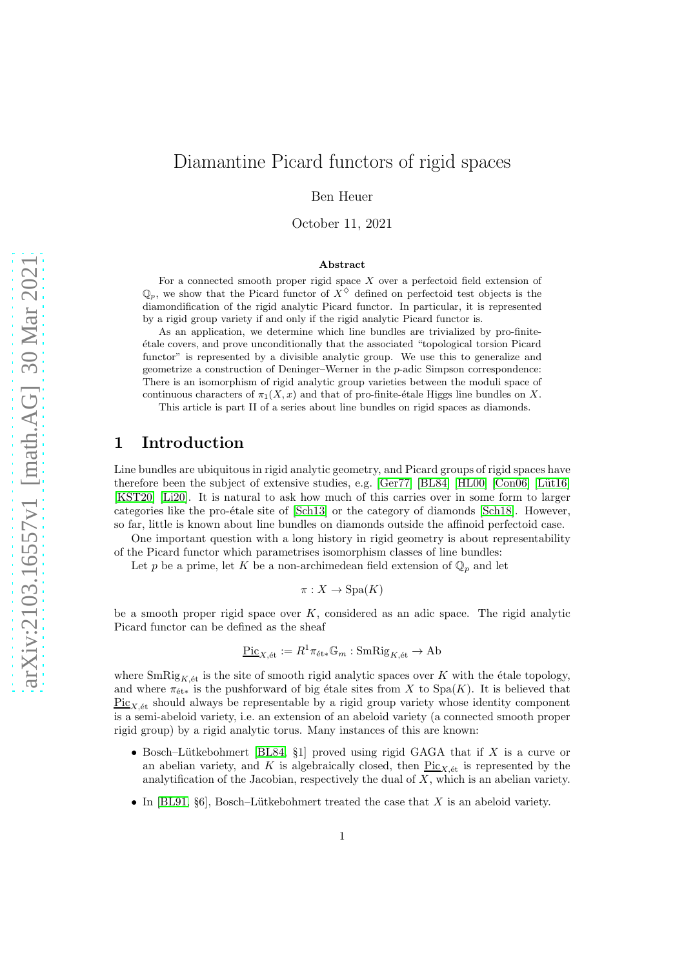# Diamantine Picard functors of rigid spaces

Ben Heuer

October 11, 2021

#### Abstract

For a connected smooth proper rigid space  $X$  over a perfectoid field extension of  $\mathbb{Q}_p$ , we show that the Picard functor of  $X^{\diamondsuit}$  defined on perfectoid test objects is the diamondification of the rigid analytic Picard functor. In particular, it is represented by a rigid group variety if and only if the rigid analytic Picard functor is.

As an application, we determine which line bundles are trivialized by pro-finite- ´etale covers, and prove unconditionally that the associated "topological torsion Picard functor" is represented by a divisible analytic group. We use this to generalize and geometrize a construction of Deninger–Werner in the p-adic Simpson correspondence: There is an isomorphism of rigid analytic group varieties between the moduli space of continuous characters of  $\pi_1(X, x)$  and that of pro-finite-étale Higgs line bundles on X. This article is part II of a series about line bundles on rigid spaces as diamonds.

# 1 Introduction

Line bundles are ubiquitous in rigid analytic geometry, and Picard groups of rigid spaces have therefore been the subject of extensive studies, e.g.  $[Ger77]$   $[BL84]$   $[HL00]$   $[Con06]$   $[Lüt16]$ [\[KST20\]](#page-52-2) [\[Li20\]](#page-52-3). It is natural to ask how much of this carries over in some form to larger categories like the pro-étale site of  $[Sch13]$  or the category of diamonds  $[Sch18]$ . However, so far, little is known about line bundles on diamonds outside the affinoid perfectoid case.

One important question with a long history in rigid geometry is about representability of the Picard functor which parametrises isomorphism classes of line bundles:

Let p be a prime, let K be a non-archimedean field extension of  $\mathbb{Q}_p$  and let

$$
\pi: X \to \text{Spa}(K)
$$

be a smooth proper rigid space over  $K$ , considered as an adic space. The rigid analytic Picard functor can be defined as the sheaf

$$
\underline{\mathrm{Pic}}_{X,\mathrm{\acute{e}t}}:=R^1\pi_{\mathrm{\acute{e}t}*}\mathbb{G}_m:\mathrm{SmRig}_{K,\mathrm{\acute{e}t}}\to\mathrm{Ab}
$$

where  $\text{SmRig}_{K,\'{e}t}$  is the site of smooth rigid analytic spaces over K with the étale topology, and where  $\pi_{\text{\'et}*}$  is the pushforward of big étale sites from X to Spa(K). It is believed that  $Pic_{X,\'{e}t}$  should always be representable by a rigid group variety whose identity component is a semi-abeloid variety, i.e. an extension of an abeloid variety (a connected smooth proper rigid group) by a rigid analytic torus. Many instances of this are known:

- Bosch–Lütkebohmert [\[BL84,](#page-51-1) §1] proved using rigid GAGA that if X is a curve or an abelian variety, and K is algebraically closed, then  $Pic_{X,\text{\'et}}$  is represented by the analytification of the Jacobian, respectively the dual of  $X$ , which is an abelian variety.
- In [\[BL91,](#page-51-3)  $\S6$ ], Bosch–Lütkebohmert treated the case that X is an abeloid variety.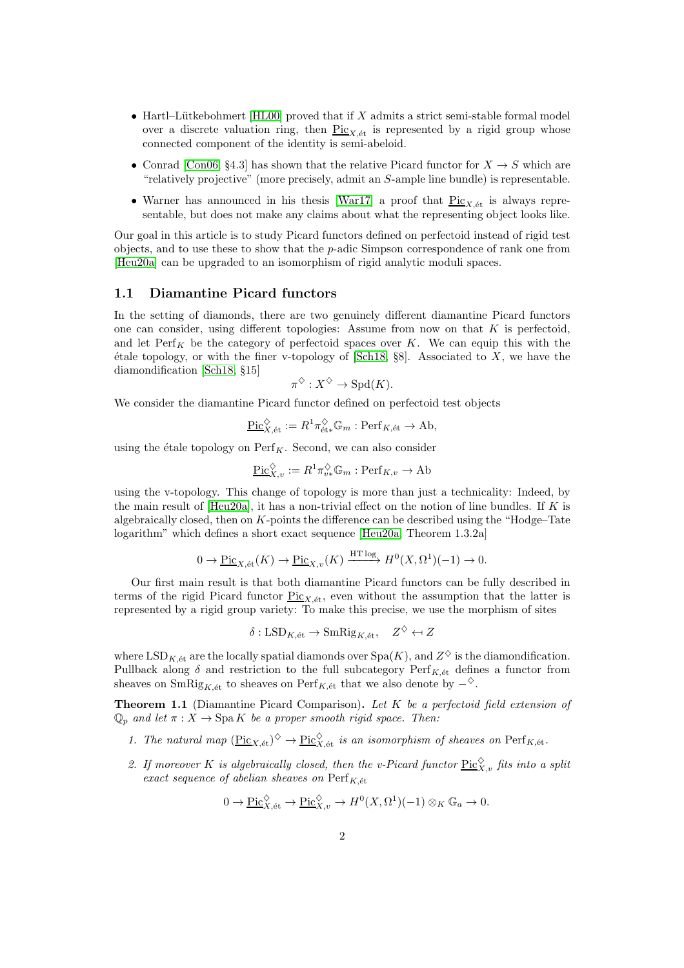- Hartl–Lütkebohmert [\[HL00\]](#page-52-0) proved that if  $X$  admits a strict semi-stable formal model over a discrete valuation ring, then  $Pic_{X, \text{\'et}}$  is represented by a rigid group whose connected component of the identity is semi-abeloid.
- Conrad [\[Con06,](#page-51-2) §4.3] has shown that the relative Picard functor for  $X \to S$  which are "relatively projective" (more precisely, admit an S-ample line bundle) is representable.
- Warner has announced in his thesis [\[War17\]](#page-53-0) a proof that  $Pic_{X,\text{\'et}}$  is always representable, but does not make any claims about what the representing object looks like.

Our goal in this article is to study Picard functors defined on perfectoid instead of rigid test objects, and to use these to show that the p-adic Simpson correspondence of rank one from [\[Heu20a\]](#page-51-4) can be upgraded to an isomorphism of rigid analytic moduli spaces.

### 1.1 Diamantine Picard functors

In the setting of diamonds, there are two genuinely different diamantine Picard functors one can consider, using different topologies: Assume from now on that  $K$  is perfectoid, and let  $\text{Perf}_K$  be the category of perfectoid spaces over K. We can equip this with the étale topology, or with the finer v-topology of  $[Sch18, §8]$ . Associated to X, we have the diamondification [\[Sch18,](#page-52-5) §15]

$$
\pi^{\diamondsuit}: X^{\diamondsuit} \to \mathrm{Spd}(K).
$$

We consider the diamantine Picard functor defined on perfectoid test objects

$$
\underline{\mathrm{Pic}}_{X,\mathrm{\acute{e}t}}^{\diamondsuit} := R^1 \pi_{\mathrm{\acute{e}t}*}^{\diamondsuit} \mathbb{G}_m : \mathrm{Perf}_{K,\mathrm{\acute{e}t}} \to \mathrm{Ab},
$$

using the étale topology on  $\text{Perf}_K$ . Second, we can also consider

$$
\underline{\operatorname{Pic}}_{X,v}^{\diamondsuit} := R^1 \pi_{v*}^{\diamondsuit} \mathbb{G}_m : \operatorname{Perf}_{K,v} \to \operatorname{Ab}
$$

using the v-topology. This change of topology is more than just a technicality: Indeed, by the main result of  $[Heu20a]$ , it has a non-trivial effect on the notion of line bundles. If K is algebraically closed, then on  $K$ -points the difference can be described using the "Hodge–Tate logarithm" which defines a short exact sequence [\[Heu20a,](#page-51-4) Theorem 1.3.2a]

$$
0 \to \underline{\mathrm{Pic}}_{X,\text{\'et}}(K) \to \underline{\mathrm{Pic}}_{X,v}(K) \xrightarrow{\mathrm{HT}\log} H^0(X,\Omega^1)(-1) \to 0.
$$

Our first main result is that both diamantine Picard functors can be fully described in terms of the rigid Picard functor  $\text{Pic}_{X,\text{\'et}}$ , even without the assumption that the latter is represented by a rigid group variety: To make this precise, we use the morphism of sites

$$
\delta: \mathrm{LSD}_{K,\text{\'et}} \to \mathrm{SmRig}_{K,\text{\'et}}, \quad Z^{\diamondsuit} \leftarrow Z
$$

where  $\mathrm{LSD}_{K,\text{\'et}}$  are the locally spatial diamonds over  $\mathrm{Spa}(K)$ , and  $Z^\diamondsuit$  is the diamondification. Pullback along  $\delta$  and restriction to the full subcategory  $\text{Perf}_{K,\text{\'et}}$  defines a functor from sheaves on SmRig<sub>K, $\acute{e}t$ </sub> to sheaves on Perf<sub>K, $\acute{e}t$ </sub> that we also denote by  $-\diamond$ .

<span id="page-1-0"></span>Theorem 1.1 (Diamantine Picard Comparison). Let K be a perfectoid field extension of  $\mathbb{Q}_p$  and let  $\pi: X \to \text{Spa } K$  be a proper smooth rigid space. Then:

- 1. The natural map  $(\text{Pic}_{X,\text{\'et}})^\diamondsuit \to \text{Pic}_{X,\text{\'et}}^\diamondsuit$  is an isomorphism of sheaves on  $\text{Perf}_{K,\text{\'et}}$ .
- 2. If moreover K is algebraically closed, then the v-Picard functor  $\underline{\mathrm{Pic}}_{X,v}^{\diamondsuit}$  fits into a split exact sequence of abelian sheaves on  $\text{Perf}_{K, \text{\'et}}$

$$
0 \to \underline{\mathrm{Pic}}_{X,\mathrm{\acute{e}t}}^{\diamondsuit} \to \underline{\mathrm{Pic}}_{X,v}^{\diamondsuit} \to H^0(X,\Omega^1)(-1) \otimes_K \mathbb{G}_a \to 0.
$$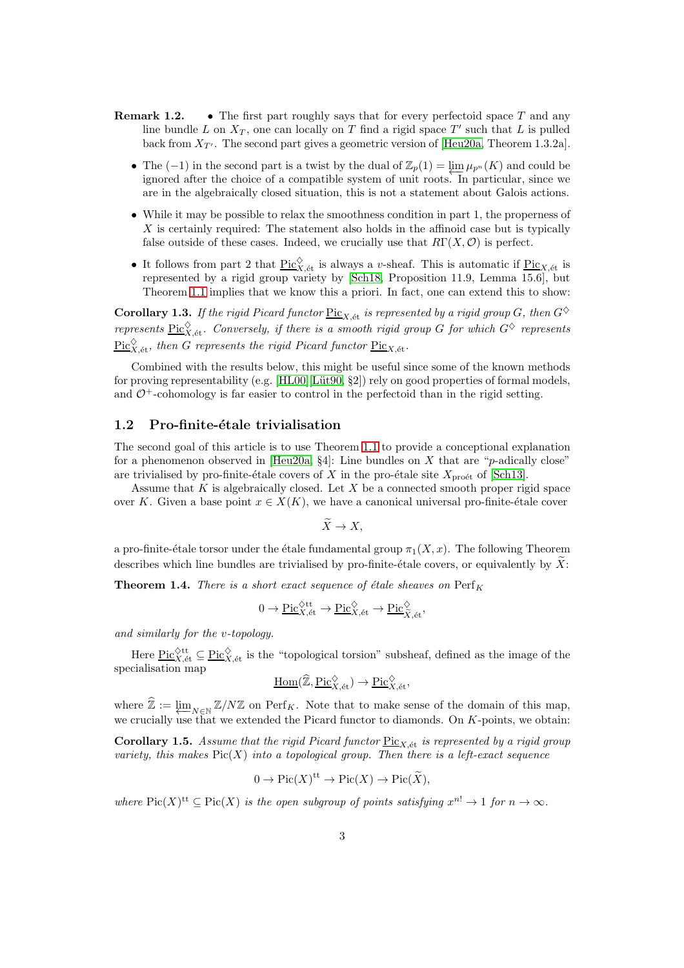- **Remark 1.2.** The first part roughly says that for every perfectoid space  $T$  and any line bundle L on  $X_T$ , one can locally on T find a rigid space T' such that L is pulled back from  $X_{T'}$ . The second part gives a geometric version of [\[Heu20a,](#page-51-4) Theorem 1.3.2a].
	- The (−1) in the second part is a twist by the dual of  $\mathbb{Z}_p(1) = \varprojlim_{P} \mu_{p^n}(K)$  and could be ignored after the choice of a compatible system of unit roots. In particular, since we are in the algebraically closed situation, this is not a statement about Galois actions.
	- While it may be possible to relax the smoothness condition in part 1, the properness of X is certainly required: The statement also holds in the affinoid case but is typically false outside of these cases. Indeed, we crucially use that  $R\Gamma(X, \mathcal{O})$  is perfect.
	- It follows from part 2 that  $\underline{\text{Pic}}_{X,\text{\'et}}^{\diamondsuit}$  is always a v-sheaf. This is automatic if  $\underline{\text{Pic}}_{X,\text{\'et}}$  is represented by a rigid group variety by [\[Sch18,](#page-52-5) Proposition 11.9, Lemma 15.6], but Theorem [1.1](#page-1-0) implies that we know this a priori. In fact, one can extend this to show:

<span id="page-2-2"></span>Corollary 1.3. If the rigid Picard functor  $\underline{Pic}_{X,\text{\'et}}$  is represented by a rigid group G, then  $G^{\diamondsuit}$ represents  $\underline{\text{Pic}}_{X,\text{\'et}}^{\diamondsuit}$ . Conversely, if there is a smooth rigid group G for which  $G^{\diamondsuit}$  represents  $\frac{\text{Pic} \hat{X}}{\text{Pic} X, \text{\'et}}$ , then G represents the rigid Picard functor  $\frac{\text{Pic}_{X, \text{\'et}}}{\text{Pic}_X}$ .

Combined with the results below, this might be useful since some of the known methods for proving representability (e.g.  $[HL00][Lüt90, §2]$ ) rely on good properties of formal models, and  $\mathcal{O}^+$ -cohomology is far easier to control in the perfectoid than in the rigid setting.

#### 1.2 Pro-finite-étale trivialisation

The second goal of this article is to use Theorem [1.1](#page-1-0) to provide a conceptional explanation for a phenomenon observed in [\[Heu20a,](#page-51-4) §4]: Line bundles on X that are "p-adically close" are trivialised by pro-finite-étale covers of X in the pro-étale site  $X_{\text{pro\acute{e}t}}$  of [\[Sch13\]](#page-52-4).

Assume that  $K$  is algebraically closed. Let  $X$  be a connected smooth proper rigid space over K. Given a base point  $x \in X(K)$ , we have a canonical universal pro-finite-étale cover

$$
\widetilde{X} \to X,
$$

a pro-finite-étale torsor under the étale fundamental group  $\pi_1(X, x)$ . The following Theorem describes which line bundles are trivialised by pro-finite-étale covers, or equivalently by  $X$ :

<span id="page-2-1"></span>**Theorem 1.4.** There is a short exact sequence of étale sheaves on  $\text{Perf}_K$ 

$$
0 \to \underline{\mathrm{Pic}}_{X,\mathrm{\acute{e}t}}^{\diamondsuit \mathrm{tt}} \to \underline{\mathrm{Pic}}_{X,\mathrm{\acute{e}t}}^{\diamondsuit} \to \underline{\mathrm{Pic}}_{\widetilde{X},\mathrm{\acute{e}t}}^{\diamondsuit},
$$

and similarly for the v-topology.

Here  $\underline{\text{Pic}}_{X,\text{\'et}}^{\diamondsuit\text{tt}} \subseteq \underline{\text{Pic}}_{X,\text{\'et}}^{\diamondsuit}$  is the "topological torsion" subsheaf, defined as the image of the specialisation map

$$
\underline{\text{Hom}}(\widehat{\mathbb{Z}}, \underline{\text{Pic}}_{X,\text{\'et}}^{\diamondsuit}) \to \underline{\text{Pic}}_{X,\text{\'et}}^{\diamondsuit},
$$

where  $\mathbb{Z} := \varprojlim_{N \in \mathbb{N}} \mathbb{Z}/N\mathbb{Z}$  on  $\text{Perf}_K$ . Note that to make sense of the domain of this map, we crucially use that we extended the Picard functor to diamonds. On  $K$ -points, we obtain:

<span id="page-2-0"></span>Corollary 1.5. Assume that the rigid Picard functor  $Pic_{X, \text{\'et}}$  is represented by a rigid group variety, this makes  $Pic(X)$  into a topological group. Then there is a left-exact sequence

$$
0 \to Pic(X)^{\mathrm{tt}} \to Pic(X) \to Pic(\widetilde{X}),
$$

where  $Pic(X)^{tt} \subseteq Pic(X)$  is the open subgroup of points satisfying  $x^{n!} \to 1$  for  $n \to \infty$ .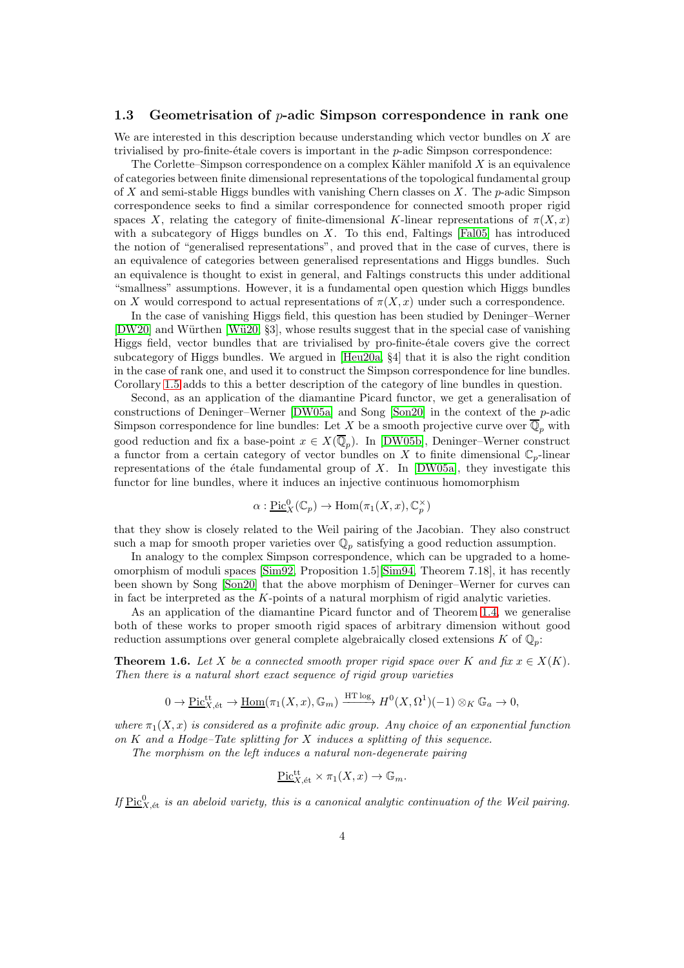#### 1.3 Geometrisation of p-adic Simpson correspondence in rank one

We are interested in this description because understanding which vector bundles on X are trivialised by pro-finite-étale covers is important in the  $p$ -adic Simpson correspondence:

The Corlette–Simpson correspondence on a complex Kähler manifold  $X$  is an equivalence of categories between finite dimensional representations of the topological fundamental group of X and semi-stable Higgs bundles with vanishing Chern classes on X. The  $p$ -adic Simpson correspondence seeks to find a similar correspondence for connected smooth proper rigid spaces X, relating the category of finite-dimensional K-linear representations of  $\pi(X, x)$ with a subcategory of Higgs bundles on  $X$ . To this end, Faltings [\[Fal05\]](#page-51-5) has introduced the notion of "generalised representations", and proved that in the case of curves, there is an equivalence of categories between generalised representations and Higgs bundles. Such an equivalence is thought to exist in general, and Faltings constructs this under additional "smallness" assumptions. However, it is a fundamental open question which Higgs bundles on X would correspond to actual representations of  $\pi(X, x)$  under such a correspondence.

In the case of vanishing Higgs field, this question has been studied by Deninger–Werner [\[DW20\]](#page-51-6) and Würthen [Wü20, §3], whose results suggest that in the special case of vanishing Higgs field, vector bundles that are trivialised by pro-finite- $\acute{e}$ tale covers give the correct subcategory of Higgs bundles. We argued in [\[Heu20a,](#page-51-4) §4] that it is also the right condition in the case of rank one, and used it to construct the Simpson correspondence for line bundles. Corollary [1.5](#page-2-0) adds to this a better description of the category of line bundles in question.

Second, as an application of the diamantine Picard functor, we get a generalisation of constructions of Deninger–Werner [\[DW05a\]](#page-51-7) and Song [\[Son20\]](#page-53-2) in the context of the p-adic Simpson correspondence for line bundles: Let X be a smooth projective curve over  $\overline{\mathbb{Q}}_p$  with good reduction and fix a base-point  $x \in X(\mathbb{Q}_p)$ . In [\[DW05b\]](#page-51-8), Deninger–Werner construct a functor from a certain category of vector bundles on X to finite dimensional  $\mathbb{C}_p$ -linear representations of the étale fundamental group of  $X$ . In [\[DW05a\]](#page-51-7), they investigate this functor for line bundles, where it induces an injective continuous homomorphism

$$
\alpha: \underline{\mathrm{Pic}}_X^0(\mathbb{C}_p) \to \mathrm{Hom}(\pi_1(X, x), \mathbb{C}_p^{\times})
$$

that they show is closely related to the Weil pairing of the Jacobian. They also construct such a map for smooth proper varieties over  $\mathbb{Q}_p$  satisfying a good reduction assumption.

In analogy to the complex Simpson correspondence, which can be upgraded to a homeomorphism of moduli spaces [\[Sim92,](#page-52-7) Proposition 1.5][\[Sim94,](#page-53-3) Theorem 7.18], it has recently been shown by Song [\[Son20\]](#page-53-2) that the above morphism of Deninger–Werner for curves can in fact be interpreted as the K-points of a natural morphism of rigid analytic varieties.

As an application of the diamantine Picard functor and of Theorem [1.4,](#page-2-1) we generalise both of these works to proper smooth rigid spaces of arbitrary dimension without good reduction assumptions over general complete algebraically closed extensions K of  $\mathbb{Q}_p$ :

<span id="page-3-0"></span>**Theorem 1.6.** Let X be a connected smooth proper rigid space over K and fix  $x \in X(K)$ . Then there is a natural short exact sequence of rigid group varieties

$$
0 \to \underline{\mathrm{Pic}}_{X,\text{\'et}}^{\text{tt}} \to \underline{\mathrm{Hom}}(\pi_1(X,x),\mathbb{G}_m) \xrightarrow{\text{HT log}} H^0(X,\Omega^1)(-1) \otimes_K \mathbb{G}_a \to 0,
$$

where  $\pi_1(X, x)$  is considered as a profinite adic group. Any choice of an exponential function on  $K$  and a Hodge–Tate splitting for  $X$  induces a splitting of this sequence.

The morphism on the left induces a natural non-degenerate pairing

$$
\underline{\mathrm{Pic}}^{\mathrm{tt}}_{X,\mathrm{\acute{e}t}} \times \pi_1(X,x) \to \mathbb{G}_m.
$$

If  $\underline{\mathrm{Pic}}_{X,\mathrm{\acute{e}t}}^0$  is an abeloid variety, this is a canonical analytic continuation of the Weil pairing.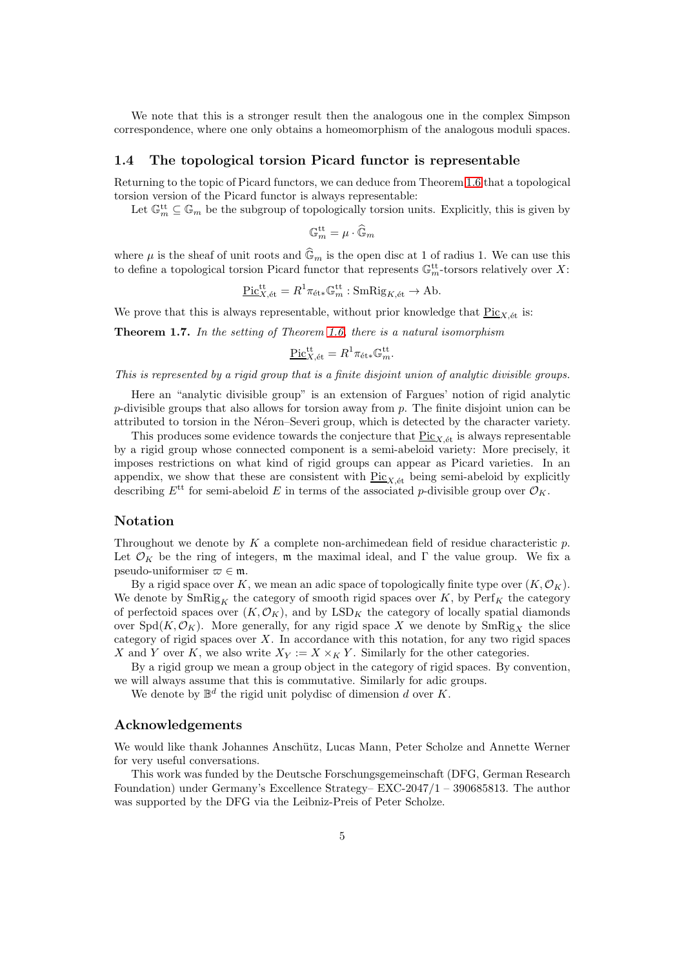We note that this is a stronger result then the analogous one in the complex Simpson correspondence, where one only obtains a homeomorphism of the analogous moduli spaces.

### <span id="page-4-0"></span>1.4 The topological torsion Picard functor is representable

Returning to the topic of Picard functors, we can deduce from Theorem [1.6](#page-3-0) that a topological torsion version of the Picard functor is always representable:

Let  $\mathbb{G}_m^{\text{tt}} \subseteq \mathbb{G}_m$  be the subgroup of topologically torsion units. Explicitly, this is given by

$$
\mathbb{G}_m^{\mathrm{tt}} = \mu \cdot \widehat{\mathbb{G}}_m
$$

where  $\mu$  is the sheaf of unit roots and  $\mathbb{G}_m$  is the open disc at 1 of radius 1. We can use this to define a topological torsion Picard functor that represents  $\mathbb{G}_m^{\text{tt}}$ -torsors relatively over X:

$$
\underline{\mathrm{Pic}}_{X,\mathrm{\acute{e}t}}^{\mathrm{tt}} = R^1 \pi_{\mathrm{\acute{e}t}*} \mathbb{G}_m^{\mathrm{tt}} : \mathrm{SmRig}_{K,\mathrm{\acute{e}t}} \to \mathrm{Ab}.
$$

We prove that this is always representable, without prior knowledge that  $Pic_{X,\text{\'et}}$  is:

Theorem 1.7. In the setting of Theorem [1.6,](#page-3-0) there is a natural isomorphism

$$
\underline{\mathrm{Pic}}^{\mathrm{tt}}_{X,\mathrm{\acute{e}t}} = R^1 \pi_{\mathrm{\acute{e}t}*} \mathbb{G}_m^{\mathrm{tt}}.
$$

This is represented by a rigid group that is a finite disjoint union of analytic divisible groups.

Here an "analytic divisible group" is an extension of Fargues' notion of rigid analytic  $p$ -divisible groups that also allows for torsion away from  $p$ . The finite disjoint union can be attributed to torsion in the Néron–Severi group, which is detected by the character variety.

This produces some evidence towards the conjecture that  $\frac{\text{Pic}_{X,\text{\'et}}}{\text{Pic}_{X,\text{\'et}}}$  is always representable by a rigid group whose connected component is a semi-abeloid variety: More precisely, it imposes restrictions on what kind of rigid groups can appear as Picard varieties. In an appendix, we show that these are consistent with  $Pic_{X,\text{\'et}}$  being semi-abeloid by explicitly describing  $E^{\text{tt}}$  for semi-abeloid E in terms of the associated p-divisible group over  $\mathcal{O}_K$ .

### Notation

Throughout we denote by K a complete non-archimedean field of residue characteristic  $p$ . Let  $\mathcal{O}_K$  be the ring of integers, m the maximal ideal, and  $\Gamma$  the value group. We fix a pseudo-uniformiser  $\varpi \in \mathfrak{m}$ .

By a rigid space over K, we mean an adic space of topologically finite type over  $(K, \mathcal{O}_K)$ . We denote by  $\text{SmRig}_K$  the category of smooth rigid spaces over K, by  $\text{Perf}_K$  the category of perfectoid spaces over  $(K, \mathcal{O}_K)$ , and by LSD<sub>K</sub> the category of locally spatial diamonds over  $Spd(K, \mathcal{O}_K)$ . More generally, for any rigid space X we denote by  $SmRig<sub>X</sub>$  the slice category of rigid spaces over  $X$ . In accordance with this notation, for any two rigid spaces X and Y over K, we also write  $X_Y := X \times_K Y$ . Similarly for the other categories.

By a rigid group we mean a group object in the category of rigid spaces. By convention, we will always assume that this is commutative. Similarly for adic groups.

We denote by  $\mathbb{B}^d$  the rigid unit polydisc of dimension d over K.

### Acknowledgements

We would like thank Johannes Anschütz, Lucas Mann, Peter Scholze and Annette Werner for very useful conversations.

This work was funded by the Deutsche Forschungsgemeinschaft (DFG, German Research Foundation) under Germany's Excellence Strategy– EXC-2047/1 – 390685813. The author was supported by the DFG via the Leibniz-Preis of Peter Scholze.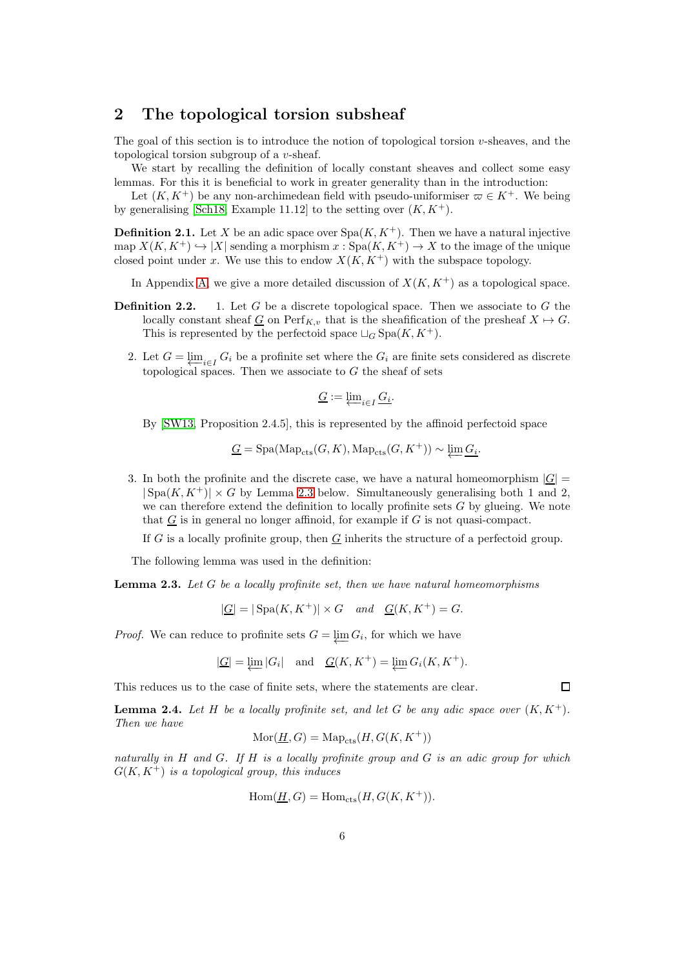## <span id="page-5-2"></span>2 The topological torsion subsheaf

The goal of this section is to introduce the notion of topological torsion  $v$ -sheaves, and the topological torsion subgroup of a v-sheaf.

We start by recalling the definition of locally constant sheaves and collect some easy lemmas. For this it is beneficial to work in greater generality than in the introduction:

Let  $(K, K^+)$  be any non-archimedean field with pseudo-uniformiser  $\varpi \in K^+$ . We being by generalising [\[Sch18,](#page-52-5) Example 11.12] to the setting over  $(K, K^+)$ .

**Definition 2.1.** Let X be an adic space over  $Spa(K, K^+)$ . Then we have a natural injective map  $X(K, K^+) \hookrightarrow |X|$  sending a morphism  $x : \text{Spa}(K, K^+) \to X$  to the image of the unique closed point under x. We use this to endow  $X(K, K^+)$  with the subspace topology.

In Appendix [A,](#page-44-0) we give a more detailed discussion of  $X(K, K<sup>+</sup>)$  as a topological space.

- **Definition 2.2.** 1. Let G be a discrete topological space. Then we associate to G the locally constant sheaf G on  $\text{Perf}_{K,v}$  that is the sheafification of the presheaf  $X \mapsto G$ . This is represented by the perfectoid space  $\sqcup_G$  Spa $(K, K^+)$ .
	- 2. Let  $G = \varprojlim_{i \in I} G_i$  be a profinite set where the  $G_i$  are finite sets considered as discrete topological spaces. Then we associate to  $G$  the sheaf of sets

$$
\underline{G} := \varprojlim_{i \in I} \underline{G_i}.
$$

By [\[SW13,](#page-53-4) Proposition 2.4.5], this is represented by the affinoid perfectoid space

$$
\underline{G} = \mathrm{Spa}(\mathrm{Map}_{\mathrm{cts}}(G, K), \mathrm{Map}_{\mathrm{cts}}(G, K^+)) \sim \varprojlim \underline{G_i}.
$$

3. In both the profinite and the discrete case, we have a natural homeomorphism  $|\underline{G}|$  $|\text{Spa}(K, K^+)| \times G$  by Lemma [2.3](#page-5-0) below. Simultaneously generalising both 1 and 2, we can therefore extend the definition to locally profinite sets  $G$  by glueing. We note that  $G$  is in general no longer affinoid, for example if  $G$  is not quasi-compact.

If G is a locally profinite group, then  $G$  inherits the structure of a perfectoid group.

The following lemma was used in the definition:

<span id="page-5-0"></span>**Lemma 2.3.** Let  $G$  be a locally profinite set, then we have natural homeomorphisms

$$
|\underline{G}| = |\operatorname{Spa}(K, K^+)| \times G \quad and \quad \underline{G}(K, K^+) = G.
$$

*Proof.* We can reduce to profinite sets  $G = \varprojlim G_i$ , for which we have

$$
|\underline{G}| = \varprojlim |G_i| \quad \text{and} \quad \underline{G}(K, K^+) = \varprojlim G_i(K, K^+).
$$

This reduces us to the case of finite sets, where the statements are clear.

<span id="page-5-1"></span>**Lemma 2.4.** Let H be a locally profinite set, and let G be any adic space over  $(K, K^+)$ . Then we have

$$
\text{Mor}(\underline{H},G)=\text{Map}_\text{cts}(H,G(K,K^+))
$$

naturally in H and G. If H is a locally profinite group and G is an adic group for which  $G(K, K^+)$  is a topological group, this induces

$$
\operatorname{Hom}(\underline{H}, G) = \operatorname{Hom}_{\mathrm{cts}}(H, G(K, K^+)).
$$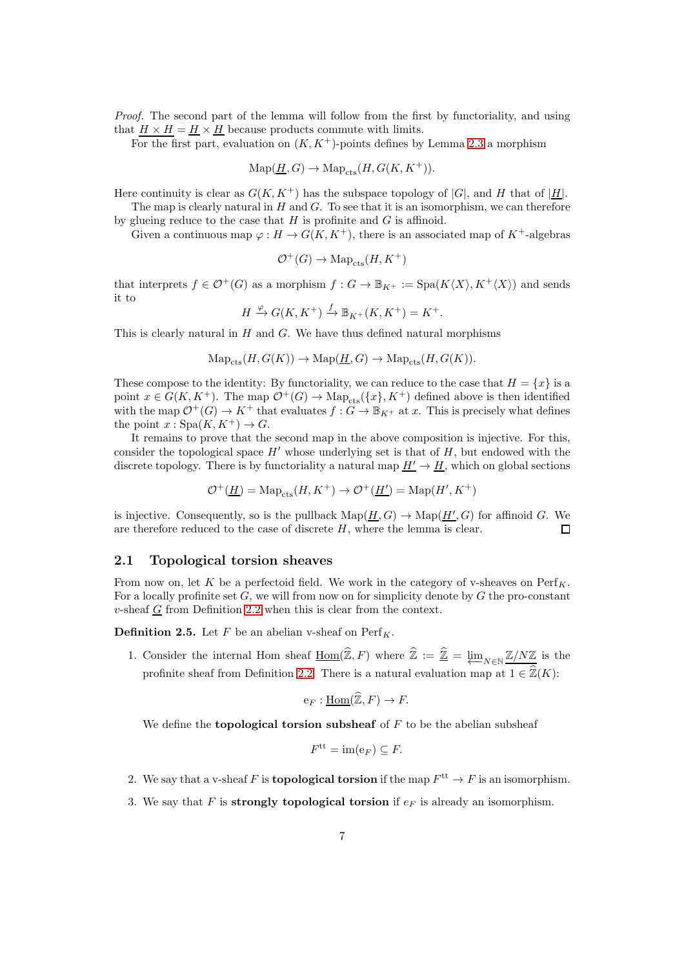Proof. The second part of the lemma will follow from the first by functoriality, and using that  $H \times H = H \times H$  because products commute with limits.

For the first part, evaluation on  $(K, K^+)$ -points defines by Lemma [2.3](#page-5-0) a morphism

$$
\mathrm{Map}(\underline{H},G) \to \mathrm{Map}_{\mathrm{cts}}(H,G(K,K^+)).
$$

Here continuity is clear as  $G(K, K^+)$  has the subspace topology of  $|G|$ , and H that of  $|\underline{H}|$ .

The map is clearly natural in  $H$  and  $G$ . To see that it is an isomorphism, we can therefore by glueing reduce to the case that  $H$  is profinite and  $G$  is affinoid.

Given a continuous map  $\varphi : H \to G(K, K^+)$ , there is an associated map of  $K^+$ -algebras

$$
{\mathcal O}^+(G) \to \operatorname{Map}_{\rm cts}(H,K^+)
$$

that interprets  $f \in \mathcal{O}^+(G)$  as a morphism  $f : G \to \mathbb{B}_{K^+} := \text{Spa}(K\langle X\rangle, K^+\langle X\rangle)$  and sends it to

$$
H \xrightarrow{\varphi} G(K, K^+) \xrightarrow{f} \mathbb{B}_{K^+}(K, K^+) = K^+.
$$

This is clearly natural in  $H$  and  $G$ . We have thus defined natural morphisms

$$
\mathrm{Map}_{\mathrm{cts}}(H, G(K)) \to \mathrm{Map}(\underline{H}, G) \to \mathrm{Map}_{\mathrm{cts}}(H, G(K)).
$$

These compose to the identity: By functoriality, we can reduce to the case that  $H = \{x\}$  is a point  $x \in G(K, K^+)$ . The map  $\mathcal{O}^+(G) \to \text{Map}_{\text{cts}}(\{x\}, K^+)$  defined above is then identified with the map  $\mathcal{O}^+(G) \to K^+$  that evaluates  $f: G \to \mathbb{B}_{K^+}$  at x. This is precisely what defines the point  $x : Spa(K, K^+) \to G$ .

It remains to prove that the second map in the above composition is injective. For this, consider the topological space  $H'$  whose underlying set is that of  $H$ , but endowed with the discrete topology. There is by functoriality a natural map  $\underline{H'} \to \underline{H}$ , which on global sections

$$
\mathcal{O}^+(\underline{H}) = \text{Map}_{\text{cts}}(H, K^+) \to \mathcal{O}^+(\underline{H'}) = \text{Map}(H', K^+)
$$

is injective. Consequently, so is the pullback  $\text{Map}(\underline{H}, G) \to \text{Map}(\underline{H}', G)$  for affinoid G. We are therefore reduced to the case of discrete  $H$ , where the lemma is clear.  $\Box$ 

### 2.1 Topological torsion sheaves

From now on, let K be a perfectoid field. We work in the category of v-sheaves on  $\text{Perf}_K$ . For a locally profinite set  $G$ , we will from now on for simplicity denote by  $G$  the pro-constant  $v$ -sheaf  $G$  from Definition 2.2 when this is clear from the context.

<span id="page-6-0"></span>**Definition 2.5.** Let F be an abelian v-sheaf on  $\text{Perf}_K$ .

1. Consider the internal Hom sheaf  $\underline{Hom}(\mathbb{Z}, F)$  where  $\mathbb{Z} := \underline{\mathbb{Z}} = \underbrace{\lim}_{N \in \mathbb{N}} \underline{\mathbb{Z}/N\mathbb{Z}}$  is the profinite sheaf from Definition 2.2. There is a natural evaluation map at  $1 \in \widehat{\mathbb{Z}}(K)$ :

$$
e_F: \underline{\mathrm{Hom}}(\widehat{\mathbb{Z}}, F) \to F.
$$

We define the **topological torsion subsheaf** of  $F$  to be the abelian subsheaf

$$
F^{\text{tt}} = \text{im}(e_F) \subseteq F.
$$

- 2. We say that a v-sheaf F is **topological torsion** if the map  $F^{\text{tt}} \to F$  is an isomorphism.
- 3. We say that F is strongly topological torsion if  $e_F$  is already an isomorphism.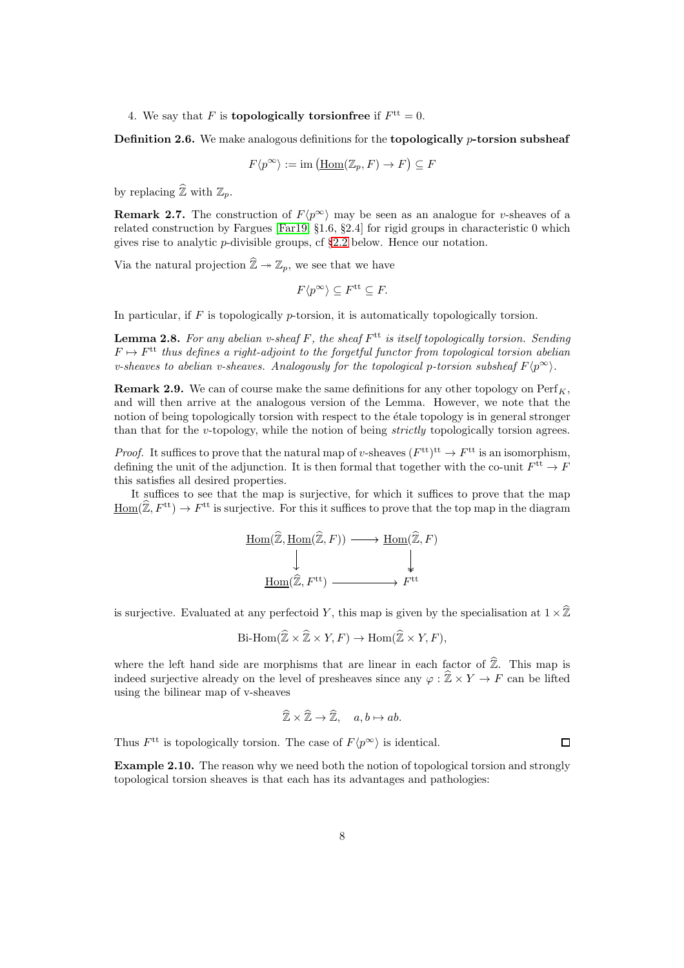4. We say that F is **topologically torsion free** if  $F<sup>tt</sup> = 0$ .

**Definition 2.6.** We make analogous definitions for the **topologically** *p*-torsion subsheaf

$$
F\langle p^{\infty}\rangle := \text{im}\left(\underline{\text{Hom}}(\mathbb{Z}_p, F) \to F\right) \subseteq F
$$

by replacing  $\widehat{\mathbb{Z}}$  with  $\mathbb{Z}_p$ .

**Remark 2.7.** The construction of  $F(p^{\infty})$  may be seen as an analogue for v-sheaves of a related construction by Fargues [\[Far19,](#page-51-9) §1.6, §2.4] for rigid groups in characteristic 0 which gives rise to analytic p-divisible groups, cf §[2.2](#page-9-0) below. Hence our notation.

Via the natural projection  $\widehat{\mathbb{Z}} \to \mathbb{Z}_p$ , we see that we have

$$
F\langle p^{\infty}\rangle \subseteq F^{\text{tt}} \subseteq F.
$$

In particular, if  $F$  is topologically p-torsion, it is automatically topologically torsion.

<span id="page-7-0"></span>**Lemma 2.8.** For any abelian v-sheaf F, the sheaf  $F<sup>tt</sup>$  is itself topologically torsion. Sending  $F \mapsto F^{\text{tt}}$  thus defines a right-adjoint to the forgetful functor from topological torsion abelian v-sheaves to abelian v-sheaves. Analogously for the topological p-torsion subsheaf  $F(p^{\infty})$ .

**Remark 2.9.** We can of course make the same definitions for any other topology on  $\text{Perf}_K$ , and will then arrive at the analogous version of the Lemma. However, we note that the notion of being topologically torsion with respect to the etale topology is in general stronger than that for the v-topology, while the notion of being strictly topologically torsion agrees.

*Proof.* It suffices to prove that the natural map of v-sheaves  $(F<sup>tt</sup>)<sup>tt</sup> \to F<sup>tt</sup>$  is an isomorphism, defining the unit of the adjunction. It is then formal that together with the co-unit  $F<sup>tt</sup> \to F$ this satisfies all desired properties.

It suffices to see that the map is surjective, for which it suffices to prove that the map  $\underline{\text{Hom}}(\widehat{\mathbb{Z}}, F^{\text{tt}}) \to F^{\text{tt}}$  is surjective. For this it suffices to prove that the top map in the diagram

$$
\underline{\text{Hom}(\widehat{\mathbb{Z}}, \underline{\text{Hom}}(\widehat{\mathbb{Z}}, F)) \longrightarrow \underline{\text{Hom}(\widehat{\mathbb{Z}}, F)}} \downarrow
$$
\n
$$
\underline{\downarrow} \qquad \qquad \downarrow \qquad \qquad \downarrow
$$
\n
$$
\underline{\text{Hom}(\widehat{\mathbb{Z}}, F^{\text{tt}}) \longrightarrow F^{\text{tt}}
$$

is surjective. Evaluated at any perfectoid Y, this map is given by the specialisation at  $1 \times \hat{\mathbb{Z}}$ 

$$
\text{Bi-Hom}(\mathbb{Z} \times \mathbb{Z} \times Y, F) \to \text{Hom}(\mathbb{Z} \times Y, F),
$$

where the left hand side are morphisms that are linear in each factor of  $\widehat{\mathbb{Z}}$ . This map is indeed surjective already on the level of presheaves since any  $\varphi : \widehat{\mathbb{Z}} \times Y \to F$  can be lifted using the bilinear map of v-sheaves

$$
\widehat{\mathbb{Z}} \times \widehat{\mathbb{Z}} \to \widehat{\mathbb{Z}}, \quad a, b \mapsto ab.
$$

Thus  $F^{\text{tt}}$  is topologically torsion. The case of  $F\langle p^{\infty} \rangle$  is identical.

Example 2.10. The reason why we need both the notion of topological torsion and strongly topological torsion sheaves is that each has its advantages and pathologies: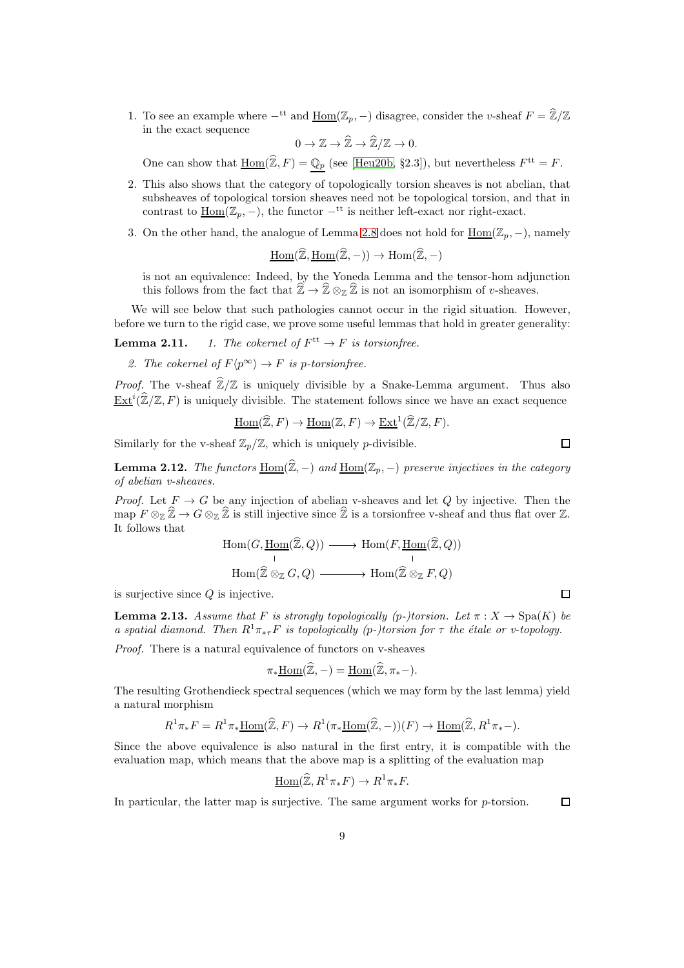1. To see an example where  $-$ <sup>tt</sup> and  $\underline{\text{Hom}}(\mathbb{Z}_p, -)$  disagree, consider the v-sheaf  $F = \widehat{\mathbb{Z}}/\mathbb{Z}$ in the exact sequence

 $0 \to \mathbb{Z} \to \widehat{\mathbb{Z}} \to \widehat{\mathbb{Z}}/\mathbb{Z} \to 0.$ 

One can show that  $\underline{\text{Hom}}(\mathbb{Z}, F) = \mathbb{Q}_p$  (see [\[Heu20b,](#page-51-10) §2.3]), but nevertheless  $F^{\text{tt}} = F$ .

- 2. This also shows that the category of topologically torsion sheaves is not abelian, that subsheaves of topological torsion sheaves need not be topological torsion, and that in contrast to  $\underline{\text{Hom}}(\mathbb{Z}_p, -)$ , the functor  $-$ <sup>tt</sup> is neither left-exact nor right-exact.
- 3. On the other hand, the analogue of Lemma [2.8](#page-7-0) does not hold for  $\underline{\text{Hom}}(\mathbb{Z}_p, -)$ , namely

$$
\underline{\mathrm{Hom}}(\widehat{\mathbb{Z}}, \underline{\mathrm{Hom}}(\widehat{\mathbb{Z}}, -)) \to \mathrm{Hom}(\widehat{\mathbb{Z}}, -)
$$

is not an equivalence: Indeed, by the Yoneda Lemma and the tensor-hom adjunction this follows from the fact that  $\widetilde{\mathbb{Z}} \to \widehat{\mathbb{Z}} \otimes_{\mathbb{Z}} \widehat{\mathbb{Z}}$  is not an isomorphism of v-sheaves.

We will see below that such pathologies cannot occur in the rigid situation. However, before we turn to the rigid case, we prove some useful lemmas that hold in greater generality:

**Lemma 2.11.** 1. The cokernel of  $F<sup>tt</sup> \to F$  is torsionfree.

2. The cokernel of  $F\langle p^{\infty} \rangle \to F$  is p-torsion free.

*Proof.* The v-sheaf  $\hat{\mathbb{Z}}/\mathbb{Z}$  is uniquely divisible by a Snake-Lemma argument. Thus also  $\underline{\operatorname{Ext}}^i(\widehat{\mathbb{Z}}/\mathbb{Z}, F)$  is uniquely divisible. The statement follows since we have an exact sequence

Hom
$$
(\widehat{\mathbb{Z}}, F)
$$
  $\to$  Hom $(\mathbb{Z}, F)$   $\to$  Ext<sup>1</sup> $(\widehat{\mathbb{Z}}/\mathbb{Z}, F)$ .

Similarly for the v-sheaf  $\mathbb{Z}_p/\mathbb{Z}$ , which is uniquely p-divisible.

**Lemma 2.12.** The functors  $\underline{\text{Hom}}(\widehat{\mathbb{Z}},-)$  and  $\underline{\text{Hom}}(\mathbb{Z}_p,-)$  preserve injectives in the category of abelian v-sheaves.

*Proof.* Let  $F \to G$  be any injection of abelian v-sheaves and let Q by injective. Then the map  $F \otimes_{\mathbb{Z}} \widehat{\mathbb{Z}} \to G \otimes_{\mathbb{Z}} \widehat{\mathbb{Z}}$  is still injective since  $\widehat{\mathbb{Z}}$  is a torsionfree v-sheaf and thus flat over  $\mathbb{Z}$ . It follows that

$$
\text{Hom}(G, \underline{\text{Hom}}(\widehat{\mathbb{Z}}, Q)) \longrightarrow \text{Hom}(F, \underline{\text{Hom}}(\widehat{\mathbb{Z}}, Q))
$$
\n
$$
\text{Hom}(\widehat{\mathbb{Z}} \otimes_{\mathbb{Z}} G, Q) \longrightarrow \text{Hom}(\widehat{\mathbb{Z}} \otimes_{\mathbb{Z}} F, Q)
$$

is surjective since  $Q$  is injective.

<span id="page-8-0"></span>**Lemma 2.13.** Assume that F is strongly topologically (p-)torsion. Let  $\pi : X \to \text{Spa}(K)$  be a spatial diamond. Then  $R^1\pi_{*\tau}F$  is topologically (p-)torsion for  $\tau$  the étale or v-topology.

Proof. There is a natural equivalence of functors on v-sheaves

$$
\pi_* \underline{\mathrm{Hom}}(\widehat{\mathbb{Z}}, -) = \underline{\mathrm{Hom}}(\widehat{\mathbb{Z}}, \pi_* -).
$$

The resulting Grothendieck spectral sequences (which we may form by the last lemma) yield a natural morphism

$$
R^1 \pi_* F = R^1 \pi_* \underline{\text{Hom}}(\widehat{\mathbb{Z}}, F) \to R^1(\pi_* \underline{\text{Hom}}(\widehat{\mathbb{Z}}, -))(F) \to \underline{\text{Hom}}(\widehat{\mathbb{Z}}, R^1 \pi_* -).
$$

Since the above equivalence is also natural in the first entry, it is compatible with the evaluation map, which means that the above map is a splitting of the evaluation map

$$
\underline{\mathrm{Hom}}(\widehat{\mathbb{Z}}, R^1\pi_*F) \to R^1\pi_*F.
$$

In particular, the latter map is surjective. The same argument works for p-torsion.  $\Box$ 

 $\Box$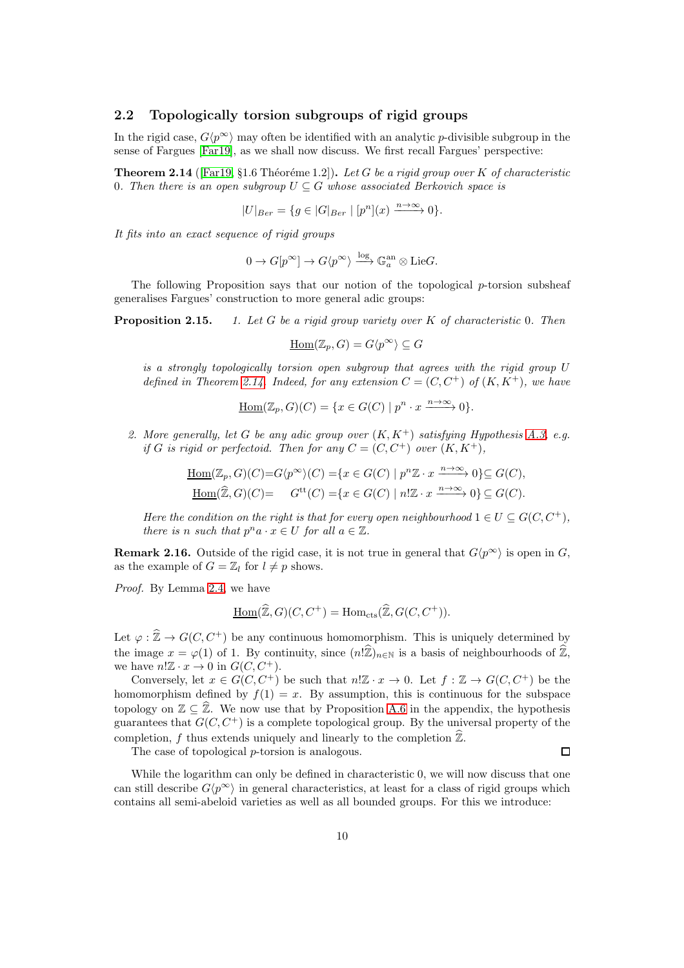### <span id="page-9-0"></span>2.2 Topologically torsion subgroups of rigid groups

In the rigid case,  $G(p^{\infty})$  may often be identified with an analytic p-divisible subgroup in the sense of Fargues [\[Far19\]](#page-51-9), as we shall now discuss. We first recall Fargues' perspective:

<span id="page-9-1"></span>**Theorem 2.14** ([\[Far19,](#page-51-9) §1.6 Théoréme 1.2]). Let G be a rigid group over K of characteristic 0. Then there is an open subgroup  $U \subseteq G$  whose associated Berkovich space is

$$
|U|_{Ber} = \{ g \in |G|_{Ber} \mid [p^n](x) \xrightarrow{n \to \infty} 0 \}.
$$

It fits into an exact sequence of rigid groups

$$
0 \to G[p^{\infty}] \to G\langle p^{\infty} \rangle \xrightarrow{\log} \mathbb{G}_a^{\text{an}} \otimes \text{Lie}G.
$$

The following Proposition says that our notion of the topological  $p$ -torsion subsheaf generalises Fargues' construction to more general adic groups:

**Proposition 2.15.** 1. Let G be a rigid group variety over  $K$  of characteristic 0. Then

$$
\underline{\mathrm{Hom}}(\mathbb{Z}_p, G) = G \langle p^{\infty} \rangle \subseteq G
$$

is a strongly topologically torsion open subgroup that agrees with the rigid group  $U$ defined in Theorem [2.14.](#page-9-1) Indeed, for any extension  $C = (C, C^+)$  of  $(K, K^+)$ , we have

$$
\underline{\mathrm{Hom}}(\mathbb{Z}_p, G)(C) = \{ x \in G(C) \mid p^n \cdot x \xrightarrow{n \to \infty} 0 \}.
$$

2. More generally, let G be any adic group over  $(K, K<sup>+</sup>)$  satisfying Hypothesis [A.3,](#page-45-0) e.g. if G is rigid or perfectoid. Then for any  $C = (C, C^+)$  over  $(K, K^+)$ ,

$$
\underline{\text{Hom}}(\mathbb{Z}_p, G)(C) = G\langle p^{\infty} \rangle(C) = \{ x \in G(C) \mid p^n \mathbb{Z} \cdot x \xrightarrow{n \to \infty} 0 \} \subseteq G(C),
$$
  

$$
\underline{\text{Hom}}(\widehat{\mathbb{Z}}, G)(C) = G^{\text{tt}}(C) = \{ x \in G(C) \mid n! \mathbb{Z} \cdot x \xrightarrow{n \to \infty} 0 \} \subseteq G(C).
$$

Here the condition on the right is that for every open neighbourhood  $1 \in U \subseteq G(C, C^+)$ , there is n such that  $p^n a \cdot x \in U$  for all  $a \in \mathbb{Z}$ .

**Remark 2.16.** Outside of the rigid case, it is not true in general that  $G(p^{\infty})$  is open in G, as the example of  $G = \mathbb{Z}_l$  for  $l \neq p$  shows.

Proof. By Lemma [2.4,](#page-5-1) we have

$$
\underline{\mathrm{Hom}}(\widehat{\mathbb{Z}},G)(C,C^+) = \mathrm{Hom}_{\mathrm{cts}}(\widehat{\mathbb{Z}},G(C,C^+)).
$$

Let  $\varphi : \widehat{\mathbb{Z}} \to G(C, C^+)$  be any continuous homomorphism. This is uniquely determined by the image  $x = \varphi(1)$  of 1. By continuity, since  $(n\hat{\mathbb{Z}})_{n\in\mathbb{N}}$  is a basis of neighbourhoods of  $\hat{\mathbb{Z}}$ , we have  $n! \mathbb{Z} \cdot x \to 0$  in  $G(C, C^+)$ .

Conversely, let  $x \in G(C, C^+)$  be such that  $n! \mathbb{Z} \cdot x \to 0$ . Let  $f : \mathbb{Z} \to G(C, C^+)$  be the homomorphism defined by  $f(1) = x$ . By assumption, this is continuous for the subspace topology on  $\mathbb{Z} \subseteq \widehat{\mathbb{Z}}$ . We now use that by Proposition [A.6](#page-46-0) in the appendix, the hypothesis guarantees that  $G(C, C^+)$  is a complete topological group. By the universal property of the completion, f thus extends uniquely and linearly to the completion  $\hat{\mathbb{Z}}$ .

The case of topological p-torsion is analogous.

 $\Box$ 

While the logarithm can only be defined in characteristic 0, we will now discuss that one can still describe  $G(p^{\infty})$  in general characteristics, at least for a class of rigid groups which contains all semi-abeloid varieties as well as all bounded groups. For this we introduce: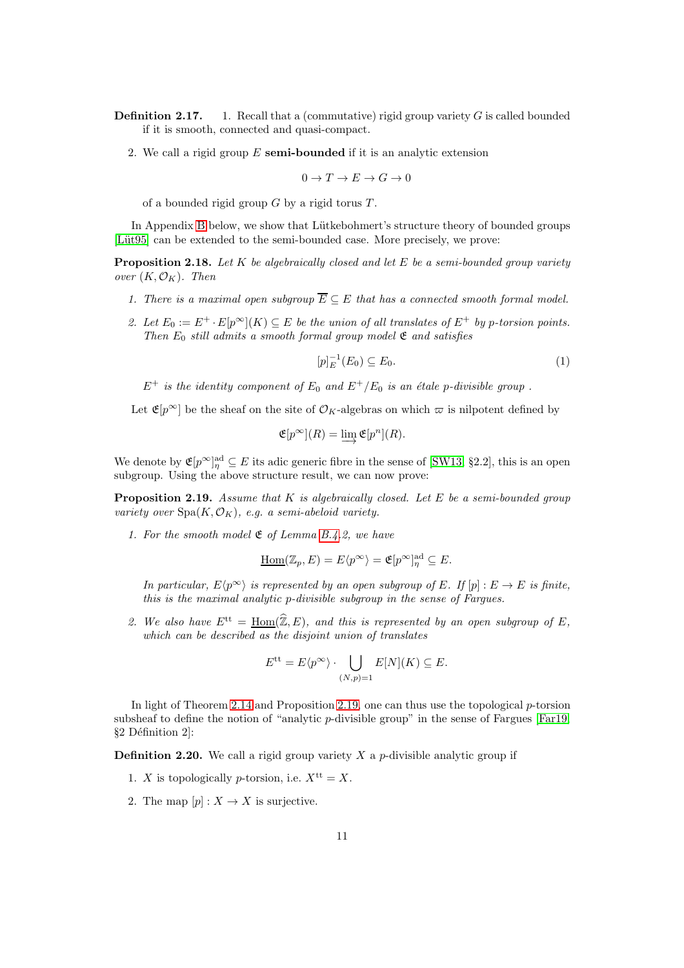**Definition 2.17.** 1. Recall that a (commutative) rigid group variety  $G$  is called bounded if it is smooth, connected and quasi-compact.

2. We call a rigid group  $E$  semi-bounded if it is an analytic extension

$$
0 \to T \to E \to G \to 0
$$

of a bounded rigid group  $G$  by a rigid torus  $T$ .

In Appendix [B](#page-47-0) below, we show that Lütkebohmert's structure theory of bounded groups [Lüt95] can be extended to the semi-bounded case. More precisely, we prove:

**Proposition 2.18.** Let  $K$  be algebraically closed and let  $E$  be a semi-bounded group variety over  $(K, \mathcal{O}_K)$ . Then

- 1. There is a maximal open subgroup  $\overline{E} \subseteq E$  that has a connected smooth formal model.
- 2. Let  $E_0 := E^+ \cdot E[p^\infty](K) \subseteq E$  be the union of all translates of  $E^+$  by p-torsion points. Then  $E_0$  still admits a smooth formal group model  $\mathfrak E$  and satisfies

<span id="page-10-1"></span>
$$
[p]_E^{-1}(E_0) \subseteq E_0.
$$
 (1)

 $E^+$  is the identity component of  $E_0$  and  $E^+/E_0$  is an étale p-divisible group.

Let  $\mathfrak{E}[p^{\infty}]$  be the sheaf on the site of  $\mathcal{O}_K$ -algebras on which  $\varpi$  is nilpotent defined by

$$
\mathfrak{E}[p^{\infty}](R) = \varinjlim \mathfrak{E}[p^n](R).
$$

We denote by  $\mathfrak{E}[p^{\infty}]_{\eta}^{\text{ad}} \subseteq E$  its adic generic fibre in the sense of [\[SW13,](#page-53-4) §2.2], this is an open subgroup. Using the above structure result, we can now prove:

<span id="page-10-0"></span>**Proposition 2.19.** Assume that  $K$  is algebraically closed. Let  $E$  be a semi-bounded group variety over  $Spa(K, \mathcal{O}_K)$ , e.g. a semi-abeloid variety.

1. For the smooth model  $\mathfrak E$  of Lemma [B.4.](#page-49-0)2, we have

$$
\underline{\mathrm{Hom}}(\mathbb{Z}_p, E) = E\langle p^{\infty} \rangle = \mathfrak{E}[p^{\infty}]_{\eta}^{\mathrm{ad}} \subseteq E.
$$

In particular,  $E\langle p^{\infty} \rangle$  is represented by an open subgroup of E. If  $[p] : E \to E$  is finite, this is the maximal analytic p-divisible subgroup in the sense of Fargues.

2. We also have  $E^{\text{tt}} = \text{Hom}(\widehat{\mathbb{Z}}, E)$ , and this is represented by an open subgroup of E, which can be described as the disjoint union of translates

$$
E^{\text{tt}} = E \langle p^{\infty} \rangle \cdot \bigcup_{(N,p)=1} E[N](K) \subseteq E.
$$

In light of Theorem [2.14](#page-9-1) and Proposition [2.19,](#page-10-0) one can thus use the topological  $p$ -torsion subsheaf to define the notion of "analytic p-divisible group" in the sense of Fargues  $[Far19,$  $§2$  Définition 2]:

**Definition 2.20.** We call a rigid group variety  $X$  a  $p$ -divisible analytic group if

- 1. X is topologically p-torsion, i.e.  $X^{\text{tt}} = X$ .
- 2. The map  $[p]: X \to X$  is surjective.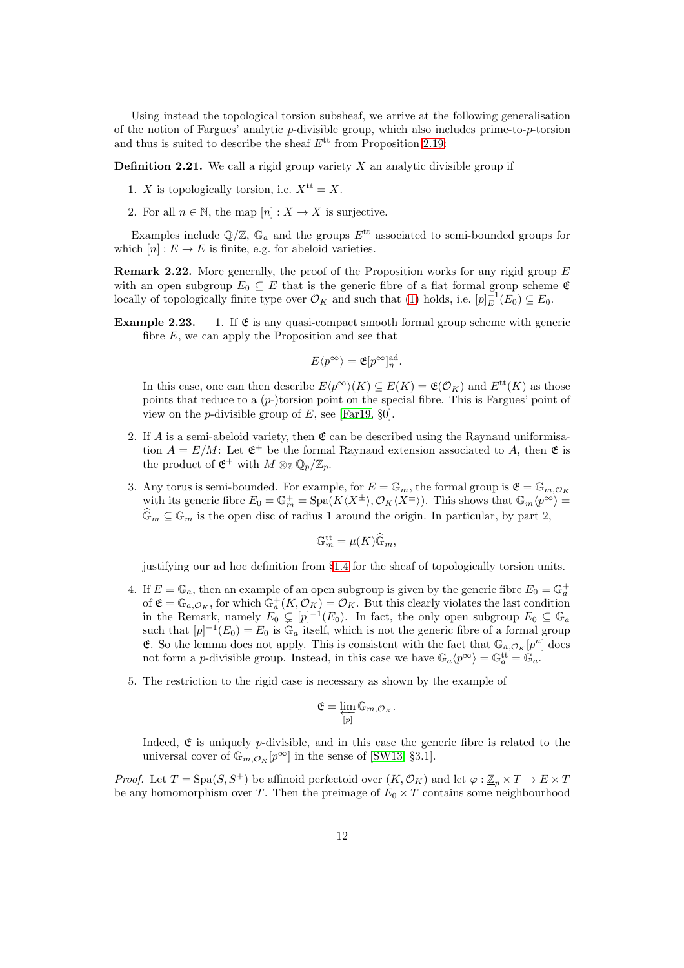Using instead the topological torsion subsheaf, we arrive at the following generalisation of the notion of Fargues' analytic p-divisible group, which also includes prime-to-p-torsion and thus is suited to describe the sheaf  $E^{\text{tt}}$  from Proposition [2.19:](#page-10-0)

**Definition 2.21.** We call a rigid group variety  $X$  an analytic divisible group if

- 1. X is topologically torsion, i.e.  $X^{\text{tt}} = X$ .
- 2. For all  $n \in \mathbb{N}$ , the map  $[n]: X \to X$  is surjective.

Examples include  $\mathbb{Q}/\mathbb{Z}$ ,  $\mathbb{G}_a$  and the groups  $E^{\text{tt}}$  associated to semi-bounded groups for which  $[n]: E \to E$  is finite, e.g. for abeloid varieties.

**Remark 2.22.** More generally, the proof of the Proposition works for any rigid group  $E$ with an open subgroup  $E_0 \subseteq E$  that is the generic fibre of a flat formal group scheme  $\mathfrak{E}$ locally of topologically finite type over  $\mathcal{O}_K$  and such that [\(1\)](#page-10-1) holds, i.e.  $[p]_E^{-1}(E_0) \subseteq E_0$ .

**Example 2.23.** 1. If  $\mathfrak{E}$  is any quasi-compact smooth formal group scheme with generic fibre  $E$ , we can apply the Proposition and see that

$$
E\langle p^{\infty}\rangle = \mathfrak{E}[p^{\infty}]^{\text{ad}}_{\eta}.
$$

In this case, one can then describe  $E(p^{\infty})(K) \subseteq E(K) = \mathfrak{E}(\mathcal{O}_K)$  and  $E^{\text{tt}}(K)$  as those points that reduce to a  $(p-)$ torsion point on the special fibre. This is Fargues' point of view on the *p*-divisible group of  $E$ , see [\[Far19,](#page-51-9) §0].

- 2. If A is a semi-abeloid variety, then  $\mathfrak E$  can be described using the Raynaud uniformisation  $A = E/M$ : Let  $\mathfrak{E}^+$  be the formal Raynaud extension associated to A, then  $\mathfrak{E}$  is the product of  $\mathfrak{E}^+$  with  $M \otimes_{\mathbb{Z}} \mathbb{Q}_p/\mathbb{Z}_p$ .
- 3. Any torus is semi-bounded. For example, for  $E = \mathbb{G}_m$ , the formal group is  $\mathfrak{E} = \mathbb{G}_{m,\mathcal{O}_K}$ with its generic fibre  $E_0 = \mathbb{G}_m^+ = \text{Spa}(K\langle X^{\pm} \rangle, \mathcal{O}_K\langle X^{\pm} \rangle)$ . This shows that  $\mathbb{G}_m\langle p^{\infty} \rangle =$  $\mathbb{G}_m \subseteq \mathbb{G}_m$  is the open disc of radius 1 around the origin. In particular, by part 2,

$$
\mathbb{G}_m^{\mathrm{tt}} = \mu(K)\widehat{\mathbb{G}}_m,
$$

justifying our ad hoc definition from §[1.4](#page-4-0) for the sheaf of topologically torsion units.

- 4. If  $E = \mathbb{G}_a$ , then an example of an open subgroup is given by the generic fibre  $E_0 = \mathbb{G}_a^+$ of  $\mathfrak{E} = \mathbb{G}_{a,\mathcal{O}_K}$ , for which  $\mathbb{G}_a^+(K,\mathcal{O}_K) = \mathcal{O}_K$ . But this clearly violates the last condition in the Remark, namely  $E_0 \subsetneq [p]^{-1}(E_0)$ . In fact, the only open subgroup  $E_0 \subsetneq \mathbb{G}_a$ such that  $[p]^{-1}(E_0) = E_0$  is  $\mathbb{G}_a$  itself, which is not the generic fibre of a formal group **E.** So the lemma does not apply. This is consistent with the fact that  $\mathbb{G}_{a,\mathcal{O}_K}[p^n]$  does not form a *p*-divisible group. Instead, in this case we have  $\mathbb{G}_a \langle p^{\infty} \rangle = \mathbb{G}_a^{\text{tt}} = \mathbb{G}_a$ .
- 5. The restriction to the rigid case is necessary as shown by the example of

$$
\mathfrak{E} = \varprojlim_{[p]} \mathbb{G}_{m,\mathcal{O}_K}.
$$

Indeed,  $\mathfrak E$  is uniquely p-divisible, and in this case the generic fibre is related to the universal cover of  $\mathbb{G}_{m,\mathcal{O}_K}[p^{\infty}]$  in the sense of [\[SW13,](#page-53-4) §3.1].

*Proof.* Let  $T = \text{Spa}(S, S^+)$  be affinoid perfectoid over  $(K, \mathcal{O}_K)$  and let  $\varphi : \underline{\mathbb{Z}}_p \times T \to E \times T$ be any homomorphism over T. Then the preimage of  $E_0 \times T$  contains some neighbourhood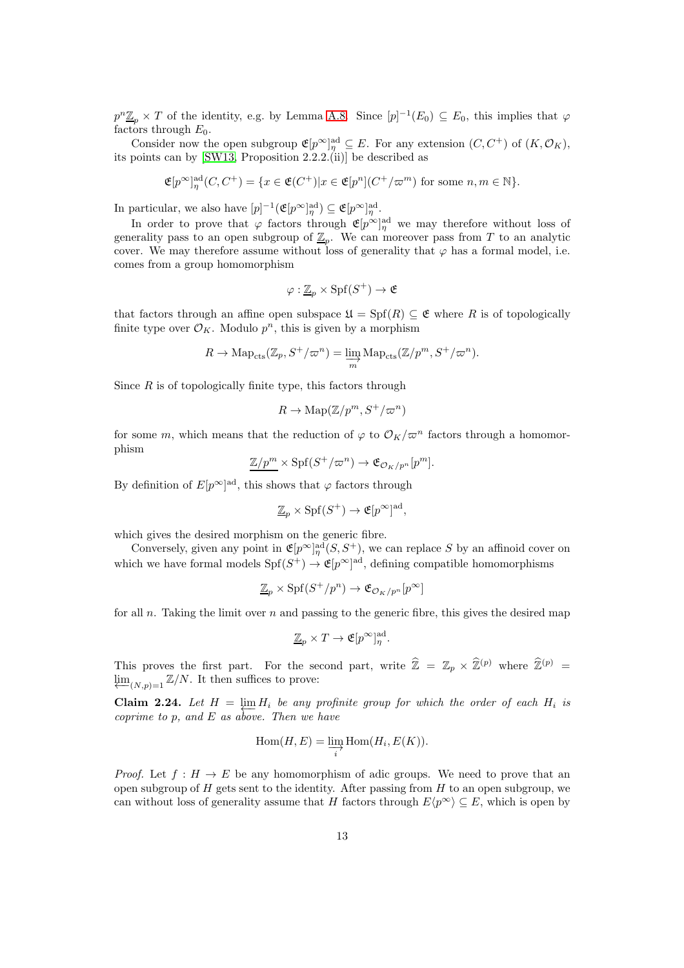$p^n \underline{\mathbb{Z}}_p \times T$  of the identity, e.g. by Lemma [A.8.](#page-46-1) Since  $[p]^{-1}(E_0) \subseteq E_0$ , this implies that  $\varphi$ factors through  $E_0$ .

Consider now the open subgroup  $\mathfrak{E}[p^{\infty}]_{\eta}^{\text{ad}} \subseteq E$ . For any extension  $(C, C^+)$  of  $(K, \mathcal{O}_K)$ , its points can by [\[SW13,](#page-53-4) Proposition 2.2.2.(ii)] be described as

$$
\mathfrak{E}[p^{\infty}]_{\eta}^{\mathrm{ad}}(C, C^{+}) = \{ x \in \mathfrak{E}(C^{+}) | x \in \mathfrak{E}[p^{n}] (C^{+}/\varpi^{m}) \text{ for some } n, m \in \mathbb{N} \}.
$$

In particular, we also have  $[p]^{-1}(\mathfrak{E}[p^{\infty}]^{\text{ad}}_{\eta}) \subseteq \mathfrak{E}[p^{\infty}]^{\text{ad}}_{\eta}$ .

In order to prove that  $\varphi$  factors through  $\mathfrak{E}[p^{\infty}]_{\eta}^{\text{ad}}$  we may therefore without loss of generality pass to an open subgroup of  $\underline{\mathbb{Z}}_p$ . We can moreover pass from T to an analytic cover. We may therefore assume without loss of generality that  $\varphi$  has a formal model, i.e. comes from a group homomorphism

$$
\varphi:\underline{\mathbb{Z}}_p\times\mathrm{Spf}(S^+)\to\mathfrak{E}
$$

that factors through an affine open subspace  $\mathfrak{U} = Spf(R) \subseteq \mathfrak{E}$  where R is of topologically finite type over  $\mathcal{O}_K$ . Modulo  $p^n$ , this is given by a morphism

$$
R \to \mathrm{Map}_{\mathrm{cts}}(\mathbb{Z}_p, S^+/\varpi^n) = \varinjlim_m \mathrm{Map}_{\mathrm{cts}}(\mathbb{Z}/p^m, S^+/\varpi^n).
$$

Since  $R$  is of topologically finite type, this factors through

$$
R \to \mathrm{Map}(\mathbb{Z}/p^m, S^+/\varpi^n)
$$

for some m, which means that the reduction of  $\varphi$  to  $\mathcal{O}_K/\varpi^n$  factors through a homomorphism

$$
\underline{\mathbb{Z}/p^m} \times \mathrm{Spf}(S^+/\varpi^n) \to \mathfrak{E}_{\mathcal{O}_K/p^n}[p^m].
$$

By definition of  $E[p^{\infty}]^{\text{ad}}$ , this shows that  $\varphi$  factors through

$$
\underline{\mathbb{Z}}_p \times \text{Spf}(S^+) \to \mathfrak{E}[p^{\infty}]^{\text{ad}},
$$

which gives the desired morphism on the generic fibre.

Conversely, given any point in  $\mathfrak{E}[p^{\infty}]_{\eta}^{\text{ad}}(S, S^+)$ , we can replace S by an affinoid cover on which we have formal models  $\text{Spf}(S^+) \to \mathfrak{E}[p^{\infty}]^{\text{ad}}$ , defining compatible homomorphisms

$$
\underline{\mathbb{Z}}_p \times \mathrm{Spf}(S^+/p^n) \to \mathfrak{E}_{\mathcal{O}_K/p^n}[p^\infty]
$$

for all n. Taking the limit over n and passing to the generic fibre, this gives the desired map

$$
\underline{\mathbb{Z}}_p \times T \to \mathfrak{E}[p^{\infty}]^{\text{ad}}_{\eta}.
$$

This proves the first part. For the second part, write  $\hat{\mathbb{Z}} = \mathbb{Z}_p \times \hat{\mathbb{Z}}^{(p)}$  where  $\hat{\mathbb{Z}}^{(p)} =$  $\lim_{\leftarrow(N,p)=1} \mathbb{Z}/N$ . It then suffices to prove:

**Claim 2.24.** Let  $H = \lim_{h \to 0} H_i$  be any profinite group for which the order of each  $H_i$  is coprime to p, and E as above. Then we have

$$
\operatorname{Hom}(H, E) = \varinjlim_{i} \operatorname{Hom}(H_i, E(K)).
$$

*Proof.* Let  $f : H \to E$  be any homomorphism of adic groups. We need to prove that an open subgroup of  $H$  gets sent to the identity. After passing from  $H$  to an open subgroup, we can without loss of generality assume that H factors through  $E\langle p^{\infty} \rangle \subseteq E$ , which is open by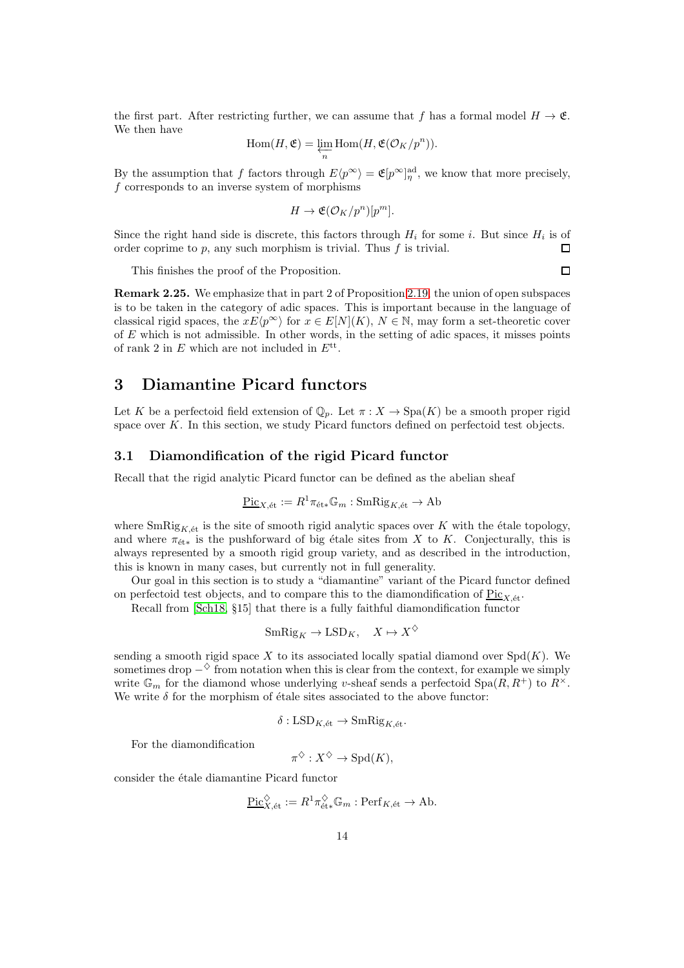the first part. After restricting further, we can assume that f has a formal model  $H \to \mathfrak{E}$ . We then have

$$
\operatorname{Hom}(H,\mathfrak{E})=\varprojlim_{n}\operatorname{Hom}(H,\mathfrak{E}(\mathcal{O}_{K}/p^{n})).
$$

By the assumption that f factors through  $E\langle p^{\infty} \rangle = \mathfrak{E}[p^{\infty}]_{\eta}^{\text{ad}}$ , we know that more precisely, f corresponds to an inverse system of morphisms

$$
H \to \mathfrak{E}(\mathcal{O}_K/p^n)[p^m].
$$

Since the right hand side is discrete, this factors through  $H_i$  for some i. But since  $H_i$  is of order coprime to p, any such morphism is trivial. Thus  $f$  is trivial.  $\Box$ 

 $\Box$ 

This finishes the proof of the Proposition.

Remark 2.25. We emphasize that in part 2 of Proposition [2.19,](#page-10-0) the union of open subspaces is to be taken in the category of adic spaces. This is important because in the language of classical rigid spaces, the  $xE\langle p^{\infty} \rangle$  for  $x \in E[N](K)$ ,  $N \in \mathbb{N}$ , may form a set-theoretic cover of  $E$  which is not admissible. In other words, in the setting of adic spaces, it misses points of rank 2 in  $E$  which are not included in  $E^{\text{tt}}$ .

# 3 Diamantine Picard functors

Let K be a perfectoid field extension of  $\mathbb{Q}_p$ . Let  $\pi : X \to \text{Spa}(K)$  be a smooth proper rigid space over  $K$ . In this section, we study Picard functors defined on perfectoid test objects.

#### 3.1 Diamondification of the rigid Picard functor

Recall that the rigid analytic Picard functor can be defined as the abelian sheaf

$$
\underline{\mathrm{Pic}}_{X,\mathrm{\acute{e}t}} := R^1 \pi_{\mathrm{\acute{e}t}*} \mathbb{G}_m : \mathrm{SmRig}_{K,\mathrm{\acute{e}t}} \to \mathrm{Ab}
$$

where  $\text{SmRig}_{K,\text{\'et}}$  is the site of smooth rigid analytic spaces over K with the étale topology, and where  $\pi_{\text{\'{e}t} *}$  is the pushforward of big étale sites from X to K. Conjecturally, this is always represented by a smooth rigid group variety, and as described in the introduction, this is known in many cases, but currently not in full generality.

Our goal in this section is to study a "diamantine" variant of the Picard functor defined on perfectoid test objects, and to compare this to the diamondification of  $Pic_{X,\acute{e}t}$ .

Recall from [\[Sch18,](#page-52-5) §15] that there is a fully faithful diamondification functor

$$
SmRig_K \to LSD_K, \quad X \mapsto X^{\diamondsuit}
$$

sending a smooth rigid space X to its associated locally spatial diamond over  $Spd(K)$ . We sometimes drop  $-\diamond$  from notation when this is clear from the context, for example we simply write  $\mathbb{G}_m$  for the diamond whose underlying v-sheaf sends a perfectoid  $Spa(R, R^+)$  to  $R^{\times}$ . We write  $\delta$  for the morphism of étale sites associated to the above functor:

$$
\delta: \mathrm{LSD}_{K,\mathrm{\acute{e}t}} \to \mathrm{SmRig}_{K,\mathrm{\acute{e}t}}.
$$

For the diamondification

$$
\pi^{\diamondsuit}: X^{\diamondsuit} \to \mathrm{Spd}(K),
$$

consider the étale diamantine Picard functor

$$
\underline{\mathrm{Pic}}_{X,\mathrm{\acute{e}t}}^{\diamondsuit} := R^1 \pi_{\mathrm{\acute{e}t}*}^{\diamondsuit} \mathbb{G}_m : \mathrm{Perf}_{K,\mathrm{\acute{e}t}} \to \mathrm{Ab}.
$$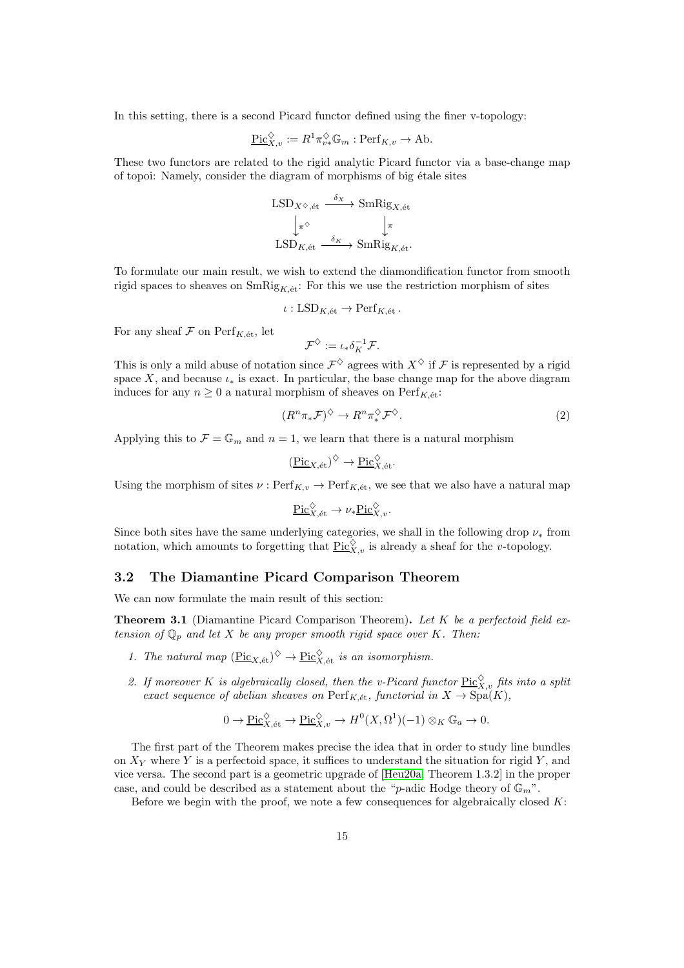In this setting, there is a second Picard functor defined using the finer v-topology:

$$
\underline{\mathrm{Pic}}_{X,v}^{\diamondsuit} := R^1 \pi_{v*}^{\diamondsuit} \mathbb{G}_m : \mathrm{Perf}_{K,v} \to \mathrm{Ab}.
$$

These two functors are related to the rigid analytic Picard functor via a base-change map of topoi: Namely, consider the diagram of morphisms of big étale sites

$$
\begin{array}{ccc}\n\text{LSD}_{X^{\diamondsuit},\text{\'et}} & \xrightarrow{\delta_X} \text{SmRig}_{X,\text{\'et}} \\
\downarrow_{\pi^{\diamondsuit}} & \downarrow_{\pi} \\
\text{LSD}_{K,\text{\'et}} & \xrightarrow{\delta_K} \text{SmRig}_{K,\text{\'et}}.\n\end{array}
$$

To formulate our main result, we wish to extend the diamondification functor from smooth rigid spaces to sheaves on  $\text{SmRig}_{K,\'et}$ : For this we use the restriction morphism of sites

$$
\iota: \mathrm{LSD}_{K, \text{\'et}} \to \mathrm{Perf}_{K, \text{\'et}}.
$$

For any sheaf  $\mathcal F$  on  $\operatorname{Perf}_{K,\text{\'et}}$ , let

$$
\mathcal{F}^{\diamondsuit} := \iota_* \delta_K^{-1} \mathcal{F}.
$$

This is only a mild abuse of notation since  $\mathcal{F}^{\diamondsuit}$  agrees with  $X^{\diamondsuit}$  if  $\mathcal F$  is represented by a rigid space X, and because  $\iota_*$  is exact. In particular, the base change map for the above diagram induces for any  $n \geq 0$  a natural morphism of sheaves on  $\text{Perf}_{K,\text{\'et}}$ :

<span id="page-14-1"></span>
$$
(R^n \pi_* \mathcal{F})^{\diamondsuit} \to R^n \pi_*^{\diamondsuit} \mathcal{F}^{\diamondsuit}.
$$
 (2)

Applying this to  $\mathcal{F} = \mathbb{G}_m$  and  $n = 1$ , we learn that there is a natural morphism

$$
(\underline{\mathrm{Pic}}_{X,\mathrm{\acute{e}t}})^\diamondsuit \to \underline{\mathrm{Pic}}_{X,\mathrm{\acute{e}t}}^\diamondsuit.
$$

Using the morphism of sites  $\nu$ :  $\text{Perf}_{K,v} \to \text{Perf}_{K,\text{\'et}}$ , we see that we also have a natural map

$$
\underline{\operatorname{Pic}}_{X,{\operatorname{\acute{e}t}} }^{\Diamond} \to \nu_* \underline{\operatorname{Pic}}_{X,v}^{\Diamond}.
$$

Since both sites have the same underlying categories, we shall in the following drop  $\nu_*$  from notation, which amounts to forgetting that  $\underline{\mathrm{Pic}}_{X,v}^{\diamondsuit}$  is already a sheaf for the *v*-topology.

#### 3.2 The Diamantine Picard Comparison Theorem

We can now formulate the main result of this section:

<span id="page-14-0"></span>**Theorem 3.1** (Diamantine Picard Comparison Theorem). Let K be a perfectoid field extension of  $\mathbb{Q}_p$  and let X be any proper smooth rigid space over K. Then:

- 1. The natural map  $(\underline{\text{Pic}}_{X,\text{\'et}})^\diamondsuit \to \underline{\text{Pic}}_{X,\text{\'et}}^\diamondsuit$  is an isomorphism.
- 2. If moreover K is algebraically closed, then the v-Picard functor  $\underline{\mathrm{Pic}}_{X,v}^{\diamondsuit}$  fits into a split exact sequence of abelian sheaves on  $\text{Perf}_{K, \text{\'et}}$ , functorial in  $X \to \text{Spa}(K)$ ,

$$
0 \to \underline{\mathrm{Pic}}_{X,\mathrm{\acute{e}t}}^{\diamondsuit} \to \underline{\mathrm{Pic}}_{X,v}^{\diamondsuit} \to H^0(X,\Omega^1)(-1) \otimes_K \mathbb{G}_a \to 0.
$$

The first part of the Theorem makes precise the idea that in order to study line bundles on  $X<sub>Y</sub>$  where Y is a perfectoid space, it suffices to understand the situation for rigid Y, and vice versa. The second part is a geometric upgrade of [\[Heu20a,](#page-51-4) Theorem 1.3.2] in the proper case, and could be described as a statement about the "p-adic Hodge theory of  $\mathbb{G}_m$ ".

Before we begin with the proof, we note a few consequences for algebraically closed  $K$ :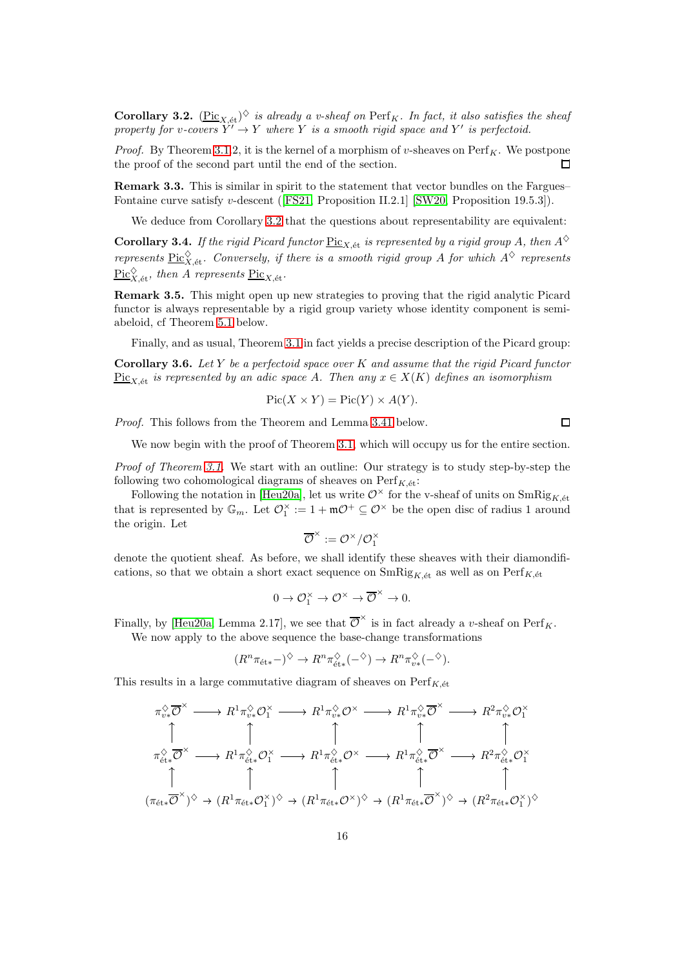<span id="page-15-0"></span>**Corollary 3.2.**  $(\underline{\text{Pic}}_{X,\text{\'et}})^\diamondsuit$  is already a v-sheaf on  $\text{Perf}_K$ . In fact, it also satisfies the sheaf property for v-covers  $Y' \to Y$  where Y is a smooth rigid space and Y' is perfectoid.

*Proof.* By Theorem [3.1.](#page-14-0)2, it is the kernel of a morphism of v-sheaves on  $\text{Perf}_K$ . We postpone the proof of the second part until the end of the section. П

Remark 3.3. This is similar in spirit to the statement that vector bundles on the Fargues– Fontaine curve satisfy v-descent([\[FS21,](#page-51-11) Proposition II.2.1] [\[SW20,](#page-53-5) Proposition 19.5.3]).

We deduce from Corollary [3.2](#page-15-0) that the questions about representability are equivalent:

**Corollary 3.4.** If the rigid Picard functor  $Pic_{X, \text{\'et}}$  is represented by a rigid group A, then  $A^{\diamondsuit}$ represents  $\underline{\text{Pic}}_{X,\text{\'et}}^{\diamondsuit}$ . Conversely, if there is a smooth rigid group A for which  $A^{\diamondsuit}$  represents  $\frac{\operatorname{Pic}^\diamondsuit_{X,\text{\'et}}}{\operatorname{Pic}_X,\text{\'et}}$ , then A represents  $\frac{\operatorname{Pic}_{X,\text{\'et}}}{\operatorname{Pic}_X,\text{\'et}}$ .

Remark 3.5. This might open up new strategies to proving that the rigid analytic Picard functor is always representable by a rigid group variety whose identity component is semiabeloid, cf Theorem [5.1](#page-42-0) below.

Finally, and as usual, Theorem [3.1](#page-14-0) in fact yields a precise description of the Picard group:

**Corollary 3.6.** Let Y be a perfectoid space over K and assume that the rigid Picard functor  $Pic_{X \atop K}$  is represented by an adic space A. Then any  $x \in X(K)$  defines an isomorphism

$$
Pic(X \times Y) = Pic(Y) \times A(Y).
$$

Proof. This follows from the Theorem and Lemma [3.41](#page-32-0) below.

We now begin with the proof of Theorem [3.1,](#page-14-0) which will occupy us for the entire section.

Proof of Theorem [3.1.](#page-14-0) We start with an outline: Our strategy is to study step-by-step the following two cohomological diagrams of sheaves on  $\text{Perf}_{K, \text{\'et}}$ :

Following the notation in [\[Heu20a\]](#page-51-4), let us write  $\mathcal{O}^\times$  for the v-sheaf of units on  $SmRig_{K\; \text{\'et}}$ that is represented by  $\mathbb{G}_m$ . Let  $\mathcal{O}_1^{\times} := 1 + \mathfrak{m} \mathcal{O}^+ \subseteq \mathcal{O}^{\times}$  be the open disc of radius 1 around the origin. Let

$$
\overline{\mathcal{O}}^{\times}:=\mathcal{O}^{\times}/\mathcal{O}_{1}^{\times}
$$

denote the quotient sheaf. As before, we shall identify these sheaves with their diamondifications, so that we obtain a short exact sequence on  $\text{SmRig}_{K,\'{e}t}$  as well as on  $\text{Perf}_{K,\'{e}t}$ 

$$
0 \to \mathcal{O}_1^{\times} \to \mathcal{O}^{\times} \to \overline{\mathcal{O}}^{\times} \to 0.
$$

Finally, by [\[Heu20a,](#page-51-4) Lemma 2.17], we see that  $\overline{\mathcal{O}}^{\times}$  is in fact already a v-sheaf on Perf<sub>K</sub>. We now apply to the above sequence the base-change transformations

$$
(R^n \pi_{\text{\'et}*} -)^{\diamondsuit} \to R^n \pi_{\text{\'et}*}^{\diamondsuit} (-^{\diamondsuit}) \to R^n \pi_{v*}^{\diamondsuit} (-^{\diamondsuit}).
$$

This results in a large commutative diagram of sheaves on  $\text{Perf}_{K, \text{\'et}}$ 

$$
\pi_{v*}^{\diamondsuit}\overline{\mathcal{O}}^{\times} \longrightarrow R^{1}\pi_{v*}^{\diamondsuit}\mathcal{O}_{1}^{\times} \longrightarrow R^{1}\pi_{v*}^{\diamondsuit}\mathcal{O}^{\times} \longrightarrow R^{1}\pi_{v*}^{\diamondsuit}\overline{\mathcal{O}}^{\times} \longrightarrow R^{2}\pi_{v*}^{\diamondsuit}\mathcal{O}_{1}^{\times}
$$
\n
$$
\uparrow \qquad \qquad \uparrow \qquad \qquad \uparrow \qquad \qquad \uparrow \qquad \qquad \uparrow
$$
\n
$$
\pi_{\text{\'et}*}^{\diamondsuit}\overline{\mathcal{O}}^{\times} \longrightarrow R^{1}\pi_{\text{\'et}*}^{\diamondsuit}\mathcal{O}_{1}^{\times} \longrightarrow R^{1}\pi_{\text{\'et}*}^{\diamondsuit}\mathcal{O}^{\times} \longrightarrow R^{1}\pi_{\text{\'et}*}^{\diamondsuit}\overline{\mathcal{O}}^{\times} \longrightarrow R^{2}\pi_{\text{\'et}*}^{\diamondsuit}\mathcal{O}_{1}^{\times}
$$
\n
$$
\uparrow \qquad \qquad \uparrow \qquad \qquad \uparrow \qquad \qquad \uparrow \qquad \qquad \uparrow \qquad \qquad \uparrow \qquad \qquad \uparrow \qquad \qquad \uparrow
$$
\n
$$
(\pi_{\text{\'et}*}\overline{\mathcal{O}}^{\times})^{\diamondsuit} \rightarrow (R^{1}\pi_{\text{\'et}*}\mathcal{O}_{1}^{\times})^{\diamondsuit} \rightarrow (R^{1}\pi_{\text{\'et}*}\mathcal{O}^{\times})^{\diamondsuit} \rightarrow (R^{2}\pi_{\text{\'et}*}\mathcal{O}_{1}^{\times})^{\diamondsuit}
$$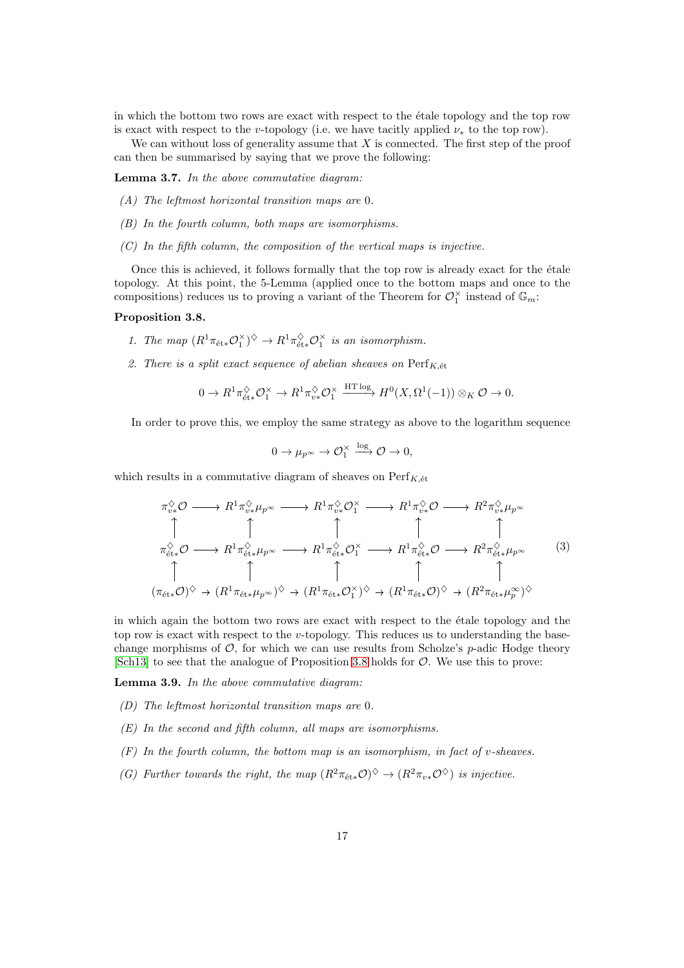in which the bottom two rows are exact with respect to the étale topology and the top row is exact with respect to the v-topology (i.e. we have tacitly applied  $\nu_*$  to the top row).

We can without loss of generality assume that  $X$  is connected. The first step of the proof can then be summarised by saying that we prove the following:

<span id="page-16-2"></span>Lemma 3.7. In the above commutative diagram:

- (A) The leftmost horizontal transition maps are 0.
- (B) In the fourth column, both maps are isomorphisms.
- $(C)$  In the fifth column, the composition of the vertical maps is injective.

Once this is achieved, it follows formally that the top row is already exact for the étale topology. At this point, the 5-Lemma (applied once to the bottom maps and once to the compositions) reduces us to proving a variant of the Theorem for  $\mathcal{O}_1^{\times}$  instead of  $\mathbb{G}_m$ :

#### <span id="page-16-0"></span>Proposition 3.8.

- 1. The map  $(R^1 \pi_{\text{\'{e}t}*} \mathcal{O}_1^{\times})^{\diamondsuit} \to R^1 \pi_{\text{\'{e}t}*}^{\diamondsuit} \mathcal{O}_1^{\times}$  is an isomorphism.
- 2. There is a split exact sequence of abelian sheaves on  $\mathrm{Perf}_{K, \text{\'et}}$

$$
0 \to R^1 \pi_{\text{\'et}*}^\diamondsuit \mathcal{O}_1^\times \to R^1 \pi_{v*}^\diamondsuit \mathcal{O}_1^\times \xrightarrow{\text{HT log}} H^0(X, \Omega^1(-1)) \otimes_K \mathcal{O} \to 0.
$$

In order to prove this, we employ the same strategy as above to the logarithm sequence

$$
0 \to \mu_{p^{\infty}} \to \mathcal{O}_1^{\times} \xrightarrow{\log} \mathcal{O} \to 0,
$$

which results in a commutative diagram of sheaves on  $\text{Perf}_{K,\'{e}t}$ 

<span id="page-16-1"></span>
$$
\pi_{v*}^{\diamond}\mathcal{O} \longrightarrow R^{1}\pi_{v*}^{\diamond}\mu_{p^{\infty}} \longrightarrow R^{1}\pi_{v*}^{\diamond}\mathcal{O}_{1}^{\times} \longrightarrow R^{1}\pi_{v*}^{\diamond}\mathcal{O} \longrightarrow R^{2}\pi_{v*}^{\diamond}\mu_{p^{\infty}}
$$
\n
$$
\uparrow \qquad \qquad \uparrow \qquad \qquad \uparrow \qquad \qquad \uparrow \qquad \qquad \uparrow
$$
\n
$$
\pi_{\text{\'et}*}^{\diamond}\mathcal{O} \longrightarrow R^{1}\pi_{\text{\'et}*}^{\diamond}\mu_{p^{\infty}} \longrightarrow R^{1}\pi_{\text{\'et}*}^{\diamond}\mathcal{O}_{1}^{\times} \longrightarrow R^{1}\pi_{\text{\'et}*}^{\diamond}\mathcal{O} \longrightarrow R^{2}\pi_{\text{\'et}*}^{\diamond}\mu_{p^{\infty}}
$$
\n
$$
\uparrow \qquad \qquad \uparrow \qquad \qquad \uparrow \qquad \qquad \uparrow \qquad \uparrow \qquad \uparrow
$$
\n
$$
(\pi_{\text{\'et}*}\mathcal{O})^{\diamondsuit} \rightarrow (R^{1}\pi_{\text{\'et}*}\mu_{p^{\infty}})^{\diamondsuit} \rightarrow (R^{1}\pi_{\text{\'et}*}\mathcal{O}_{1}^{\times})^{\diamondsuit} \rightarrow (R^{1}\pi_{\text{\'et}*}\mathcal{O})^{\diamondsuit} \rightarrow (R^{2}\pi_{\text{\'et}*}\mu_{p^{\infty}})^{\diamondsuit}
$$
\n
$$
(3)
$$

in which again the bottom two rows are exact with respect to the étale topology and the top row is exact with respect to the  $v$ -topology. This reduces us to understanding the basechange morphisms of  $\mathcal{O}$ , for which we can use results from Scholze's *p*-adic Hodge theory [\[Sch13\]](#page-52-4) to see that the analogue of Proposition [3.8](#page-16-0) holds for  $\mathcal{O}$ . We use this to prove:

<span id="page-16-3"></span>Lemma 3.9. In the above commutative diagram:

- (D) The leftmost horizontal transition maps are 0.
- (E) In the second and fifth column, all maps are isomorphisms.
- $(F)$  In the fourth column, the bottom map is an isomorphism, in fact of v-sheaves.
- (G) Further towards the right, the map  $(R^2 \pi_{\text{\'{e}t}*} \mathcal{O})^{\diamondsuit} \to (R^2 \pi_{v*} \mathcal{O}^{\diamondsuit})$  is injective.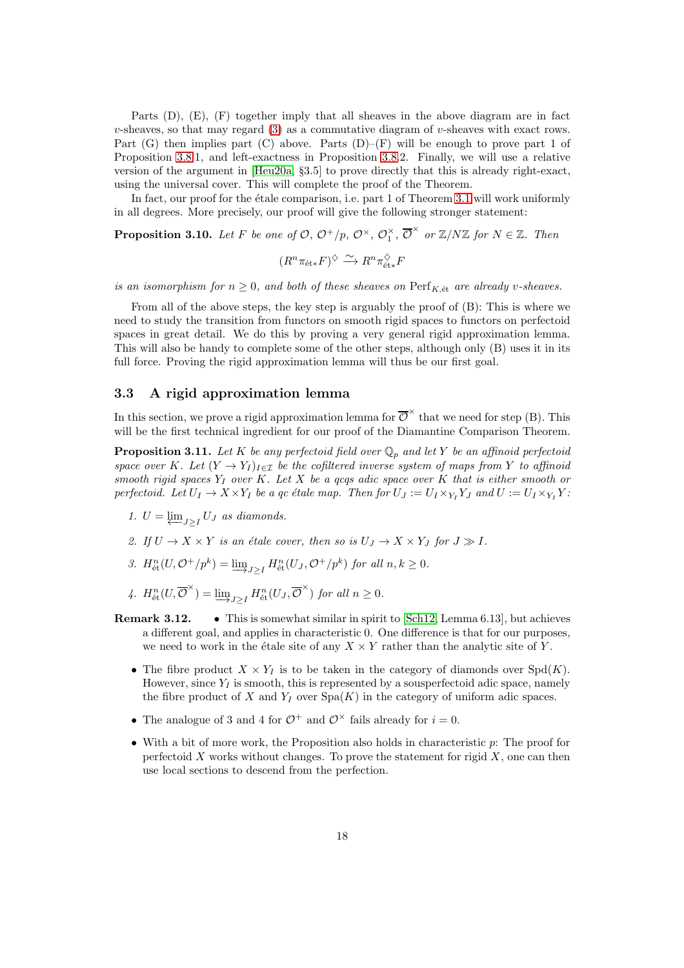Parts (D), (E), (F) together imply that all sheaves in the above diagram are in fact v-sheaves, so that may regard [\(3\)](#page-16-1) as a commutative diagram of v-sheaves with exact rows. Part  $(G)$  then implies part  $(C)$  above. Parts  $(D)$ – $(F)$  will be enough to prove part 1 of Proposition [3.8.](#page-16-0)1, and left-exactness in Proposition [3.8.](#page-16-0)2. Finally, we will use a relative version of the argument in [\[Heu20a,](#page-51-4) §3.5] to prove directly that this is already right-exact, using the universal cover. This will complete the proof of the Theorem.

In fact, our proof for the étale comparison, i.e. part 1 of Theorem [3.1](#page-14-0) will work uniformly in all degrees. More precisely, our proof will give the following stronger statement:

**Proposition 3.10.** Let F be one of  $\mathcal{O}, \mathcal{O}^+/p, \mathcal{O}^{\times}, \mathcal{O}_1^{\times}, \overline{\mathcal{O}}^{\times}$  or  $\mathbb{Z}/N\mathbb{Z}$  for  $N \in \mathbb{Z}$ . Then

$$
(R^n \pi_{\text{\'et}*} F)^\diamondsuit \xrightarrow{\sim} R^n \pi_{\text{\'et}*}^\diamondsuit F
$$

is an isomorphism for  $n \geq 0$ , and both of these sheaves on  $\text{Perf}_{K, \text{\'et}}$  are already v-sheaves.

From all of the above steps, the key step is arguably the proof of (B): This is where we need to study the transition from functors on smooth rigid spaces to functors on perfectoid spaces in great detail. We do this by proving a very general rigid approximation lemma. This will also be handy to complete some of the other steps, although only (B) uses it in its full force. Proving the rigid approximation lemma will thus be our first goal.

### 3.3 A rigid approximation lemma

In this section, we prove a rigid approximation lemma for  $\overline{\mathcal{O}}^{\times}$  that we need for step (B). This will be the first technical ingredient for our proof of the Diamantine Comparison Theorem.

<span id="page-17-0"></span>**Proposition 3.11.** Let K be any perfectoid field over  $\mathbb{Q}_p$  and let Y be an affinoid perfectoid space over K. Let  $(Y \to Y_I)_{I \in \mathcal{I}}$  be the cofiltered inverse system of maps from Y to affinoid smooth rigid spaces  $Y_I$  over K. Let X be a qcqs adic space over K that is either smooth or perfectoid. Let  $U_I \to X \times Y_I$  be a qc étale map. Then for  $U_J := U_I \times_{Y_I} Y_J$  and  $U := U_I \times_{Y_I} Y_J$ .

- 1.  $U = \underleftarrow{\lim}_{J \geq I} U_J$  as diamonds.
- 2. If  $U \to X \times Y$  is an étale cover, then so is  $U_J \to X \times Y_J$  for  $J \gg I$ .
- 3.  $H_{\text{\'et}}^n(U, \mathcal{O}^+/p^k) = \underline{\lim}_{J \geq I} H_{\text{\'et}}^n(U_J, \mathcal{O}^+/p^k)$  for all  $n, k \geq 0$ .
- 4.  $H_{\text{\'et}}^n(U, \overline{\mathcal{O}}^{\times}) = \underline{\lim}_{J \geq I} H_{\text{\'et}}^n(U_J, \overline{\mathcal{O}}^{\times})$  for all  $n \geq 0$ .
- Remark 3.12. This is somewhat similar in spirit to [\[Sch12,](#page-52-9) Lemma 6.13], but achieves a different goal, and applies in characteristic 0. One difference is that for our purposes, we need to work in the étale site of any  $X \times Y$  rather than the analytic site of Y.
	- The fibre product  $X \times Y_I$  is to be taken in the category of diamonds over  $Spd(K)$ . However, since  $Y_I$  is smooth, this is represented by a sousperfectoid adic space, namely the fibre product of  $X$  and  $Y_I$  over  $Spa(K)$  in the category of uniform adic spaces.
	- The analogue of 3 and 4 for  $\mathcal{O}^+$  and  $\mathcal{O}^{\times}$  fails already for  $i = 0$ .
	- With a bit of more work, the Proposition also holds in characteristic p: The proof for perfectoid  $X$  works without changes. To prove the statement for rigid  $X$ , one can then use local sections to descend from the perfection.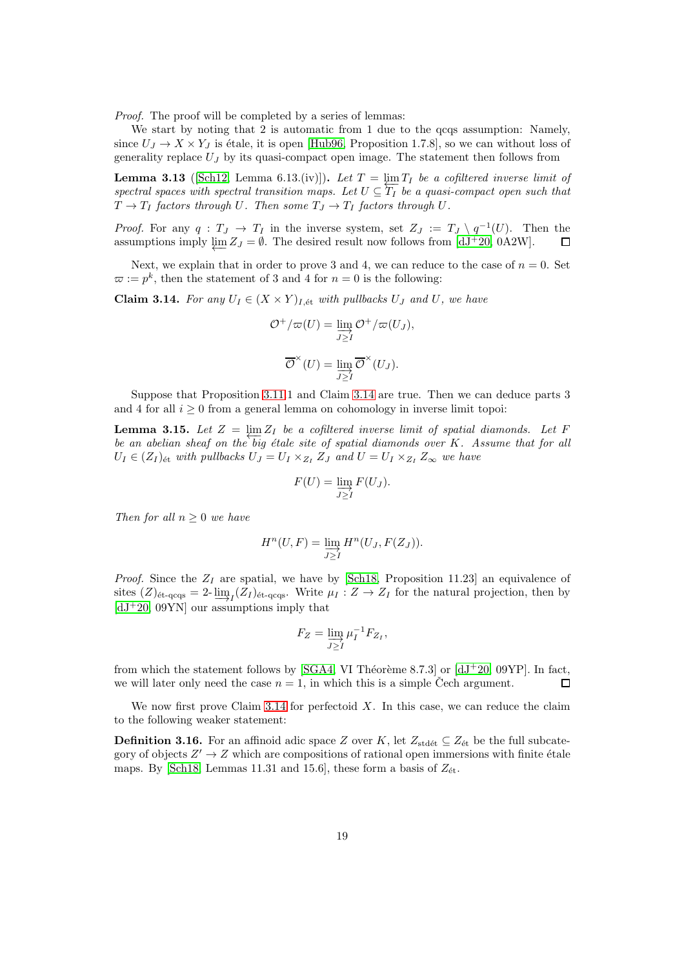Proof. The proof will be completed by a series of lemmas:

We start by noting that 2 is automatic from 1 due to the qcqs assumption: Namely, since  $U_J \to X \times Y_J$  is étale, it is open [\[Hub96,](#page-52-10) Proposition 1.7.8], so we can without loss of generality replace  $U_J$  by its quasi-compact open image. The statement then follows from

<span id="page-18-1"></span>**Lemma 3.13** ([\[Sch12,](#page-52-9) Lemma 6.13.(iv)]). Let  $T = \underline{\lim} T_I$  be a cofiltered inverse limit of **Definite 3.13** (period, neutral transition maps. Let  $U \subseteq T_I$  be a quasi-compact open such that spaces with spectral transition maps. Let  $U \subseteq T_I$  be a quasi-compact open such that  $T \to T_I$  factors through U. Then some  $T_J \to T_I$  factors through U.

*Proof.* For any  $q: T_J \to T_I$  in the inverse system, set  $Z_J := T_J \setminus q^{-1}(U)$ . Then the assumptions imply  $\lim Z_J = \emptyset$ . The desired result now follows from [\[dJ](#page-51-12)<sup>+</sup>20, 0A2W].  $\Box$ 

Next, we explain that in order to prove 3 and 4, we can reduce to the case of  $n = 0$ . Set  $\varpi := p^k$ , then the statement of 3 and 4 for  $n = 0$  is the following:

<span id="page-18-0"></span>**Claim 3.14.** For any  $U_I \in (X \times Y)_{I, \text{\'et}}$  with pullbacks  $U_J$  and  $U$ , we have

$$
\mathcal{O}^+/\varpi(U) = \varinjlim_{J \geq I} \mathcal{O}^+/\varpi(U_J),
$$

$$
\overline{\mathcal{O}}^\times(U) = \varinjlim_{J \geq I} \overline{\mathcal{O}}^\times(U_J).
$$

Suppose that Proposition [3.11.](#page-17-0)1 and Claim [3.14](#page-18-0) are true. Then we can deduce parts 3 and 4 for all  $i \geq 0$  from a general lemma on cohomology in inverse limit topoi:

<span id="page-18-2"></span>**Lemma 3.15.** Let  $Z = \varprojlim Z_I$  be a cofiltered inverse limit of spatial diamonds. Let F  $\lim_{b \to b} \frac{3.15}{2}$ . Let  $Z = \lim_{b \to b} Z_I$  be a cofatered inverse time by spatial diamonds. Let  $I$  be an abelian sheaf on the big étale site of spatial diamonds over K. Assume that for all  $U_I \in (Z_I)_{\text{\'et}}$  with pullbacks  $U_J = U_I \times_{Z_I} Z_J$  and  $U = U_I \times_{Z_I} Z_\infty$  we have

$$
F(U) = \varinjlim_{J \geq I} F(U_J).
$$

Then for all  $n > 0$  we have

$$
H^n(U, F) = \varinjlim_{J \geq I} H^n(U_J, F(Z_J)).
$$

*Proof.* Since the  $Z_I$  are spatial, we have by [\[Sch18,](#page-52-5) Proposition 11.23] an equivalence of sites  $(Z)_{\text{\'et-qqqs}} = 2-\varinjlim_{I} (Z_I)_{\text{\'et-qqqs}}$ . Write  $\mu_I : Z \to Z_I$  for the natural projection, then by  $[dJ^+20, 09YN]$  $[dJ^+20, 09YN]$  our assumptions imply that

$$
F_Z = \varinjlim_{J \geq I} \mu_I^{-1} F_{Z_I},
$$

from which the statement follows by [\[SGA4,](#page-52-11) VI Théorème 8.7.3] or  $[dJ+20, 09YP]$ . In fact, we will later only need the case  $n = 1$ , in which this is a simple Čech argument.  $\Box$ 

We now first prove Claim [3.14](#page-18-0) for perfectoid  $X$ . In this case, we can reduce the claim to the following weaker statement:

**Definition 3.16.** For an affinoid adic space Z over K, let  $Z_{\text{stdét}} \subseteq Z_{\text{ét}}$  be the full subcategory of objects  $Z' \to Z$  which are compositions of rational open immersions with finite étale maps. By [\[Sch18,](#page-52-5) Lemmas 11.31 and 15.6], these form a basis of  $Z_{\text{\'et}}$ .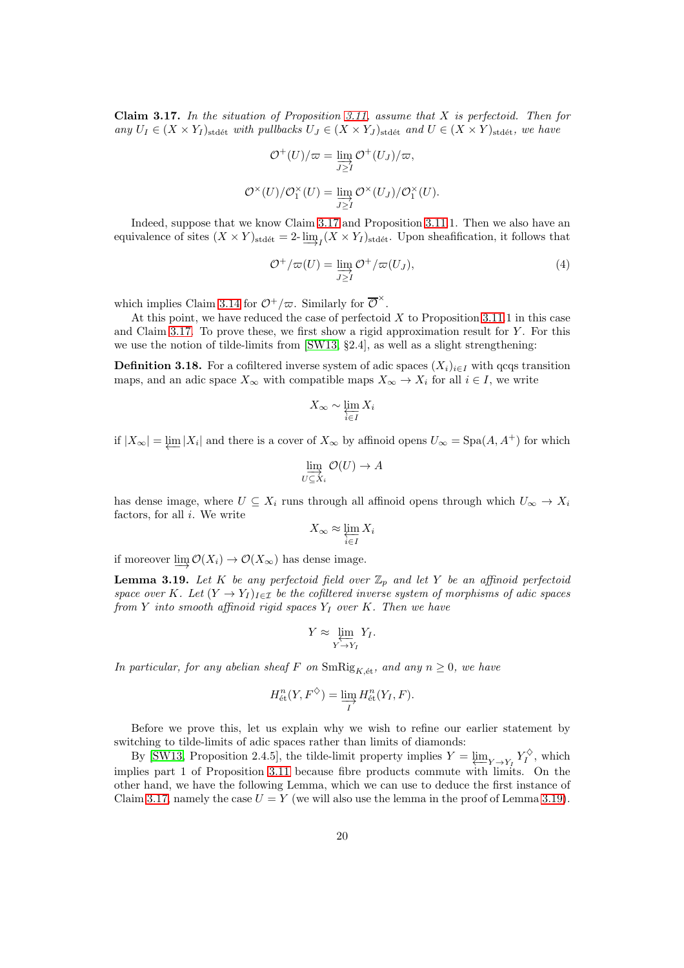<span id="page-19-0"></span>Claim 3.17. In the situation of Proposition [3.11,](#page-17-0) assume that  $X$  is perfectoid. Then for any  $U_I \in (X \times Y_I)_{\text{stdét}}$  with pullbacks  $U_J \in (X \times Y_J)_{\text{stdét}}$  and  $U \in (X \times Y)_{\text{stdét}}$ , we have

$$
\mathcal{O}^+(U)/\varpi = \varinjlim_{J \geq I} \mathcal{O}^+(U_J)/\varpi,
$$

$$
\mathcal{O}^\times(U)/\mathcal{O}_1^\times(U) = \varinjlim_{J \geq I} \mathcal{O}^\times(U_J)/\mathcal{O}_1^\times(U).
$$

Indeed, suppose that we know Claim [3.17](#page-19-0) and Proposition [3.11.](#page-17-0)1. Then we also have an equivalence of sites  $(X \times Y)_{\text{stdét}} = 2-\varinjlim_I (X \times Y_I)_{\text{stdét}}$ . Upon sheafification, it follows that

$$
\mathcal{O}^+/\varpi(U) = \varinjlim_{J \geq I} \mathcal{O}^+/\varpi(U_J),\tag{4}
$$

which implies Claim [3.14](#page-18-0) for  $\mathcal{O}^+/\varpi$ . Similarly for  $\overline{\mathcal{O}}^{\times}$ .

At this point, we have reduced the case of perfectoid  $X$  to Proposition [3.11.](#page-17-0)1 in this case and Claim [3.17.](#page-19-0) To prove these, we first show a rigid approximation result for  $Y$ . For this we use the notion of tilde-limits from [\[SW13,](#page-53-4) §2.4], as well as a slight strengthening:

**Definition 3.18.** For a cofiltered inverse system of adic spaces  $(X_i)_{i\in I}$  with qcqs transition maps, and an adic space  $X_{\infty}$  with compatible maps  $X_{\infty} \to X_i$  for all  $i \in I$ , we write

$$
X_{\infty} \sim \varprojlim_{i \in I} X_i
$$

if  $|X_\infty| = \varprojlim |X_i|$  and there is a cover of  $X_\infty$  by affinoid opens  $U_\infty = \text{Spa}(A, A^+)$  for which

$$
\varinjlim_{U\subseteq X_i}\mathcal{O}(U)\to A
$$

has dense image, where  $U \subseteq X_i$  runs through all affinoid opens through which  $U_{\infty} \to X_i$ factors, for all  $i$ . We write

$$
X_{\infty} \approx \varprojlim_{i \in I} X_i
$$

if moreover  $\underline{\lim} \mathcal{O}(X_i) \to \mathcal{O}(X_\infty)$  has dense image.

<span id="page-19-1"></span>**Lemma 3.19.** Let K be any perfectoid field over  $\mathbb{Z}_p$  and let Y be an affinoid perfectoid space over K. Let  $(Y \to Y_I)_{I \in \mathcal{I}}$  be the cofiltered inverse system of morphisms of adic spaces from Y into smooth affinoid rigid spaces  $Y_I$  over K. Then we have

$$
Y \approx \varprojlim_{Y \to Y_I} Y_I.
$$

In particular, for any abelian sheaf F on  $\text{SmRig}_{K,\text{\'et}}$ , and any  $n \geq 0$ , we have

$$
H_{\text{\'et}}^n(Y, F^{\diamondsuit}) = \varinjlim_I H_{\text{\'et}}^n(Y_I, F).
$$

Before we prove this, let us explain why we wish to refine our earlier statement by switching to tilde-limits of adic spaces rather than limits of diamonds:

By [\[SW13,](#page-53-4) Proposition 2.4.5], the tilde-limit property implies  $Y = \varprojlim_{Y \to Y_I} Y_I^{\diamondsuit}$ , which implies part 1 of Proposition [3.11](#page-17-0) because fibre products commute with limits. On the other hand, we have the following Lemma, which we can use to deduce the first instance of Claim [3.17,](#page-19-0) namely the case  $U = Y$  (we will also use the lemma in the proof of Lemma [3.19\)](#page-19-1).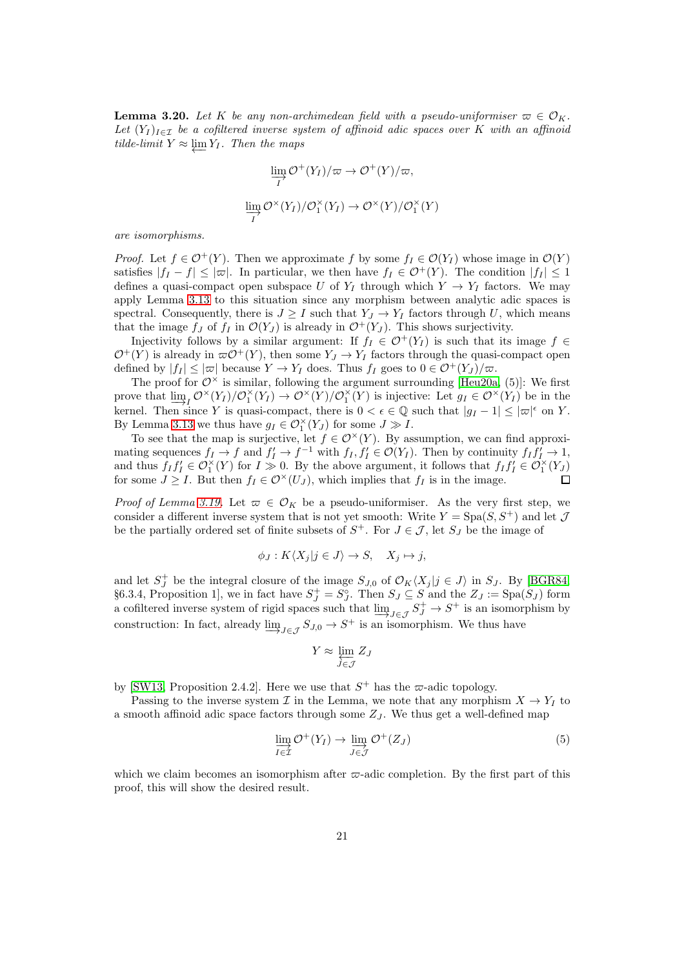<span id="page-20-0"></span>**Lemma 3.20.** Let K be any non-archimedean field with a pseudo-uniformiser  $\varpi \in \mathcal{O}_K$ . Let  $(Y_I)_{I \in \mathcal{I}}$  be a cofiltered inverse system of affinoid adic spaces over K with an affinoid *tilde-limit*  $Y \approx \lim Y_I$ . Then the maps

$$
\varinjlim_{I} \mathcal{O}^{+}(Y_{I})/\varpi \to \mathcal{O}^{+}(Y)/\varpi,
$$
  

$$
\varinjlim_{I} \mathcal{O}^{\times}(Y_{I})/\mathcal{O}_{I}^{\times}(Y_{I}) \to \mathcal{O}^{\times}(Y)/\mathcal{O}_{I}^{\times}(Y)
$$

are isomorphisms.

*Proof.* Let  $f \in \mathcal{O}^+(Y)$ . Then we approximate f by some  $f_I \in \mathcal{O}(Y_I)$  whose image in  $\mathcal{O}(Y)$ satisfies  $|f_I - f| \leq |\varpi|$ . In particular, we then have  $f_I \in \mathcal{O}^+(Y)$ . The condition  $|f_I| \leq 1$ defines a quasi-compact open subspace U of  $Y_I$  through which  $Y \to Y_I$  factors. We may apply Lemma [3.13](#page-18-1) to this situation since any morphism between analytic adic spaces is spectral. Consequently, there is  $J \geq I$  such that  $Y_J \to Y_I$  factors through U, which means that the image  $f_J$  of  $f_I$  in  $\mathcal{O}(Y_J)$  is already in  $\mathcal{O}^+(Y_J)$ . This shows surjectivity.

Injectivity follows by a similar argument: If  $f_I \in \mathcal{O}^+(Y_I)$  is such that its image  $f \in$  $\mathcal{O}^+(Y)$  is already in  $\varpi \mathcal{O}^+(Y)$ , then some  $Y_J \to Y_I$  factors through the quasi-compact open defined by  $|f_I| \leq |\varpi|$  because  $Y \to Y_I$  does. Thus  $f_I$  goes to  $0 \in \mathcal{O}^+(Y_J)/\varpi$ .

The proof for  $\mathcal{O}^\times$  is similar, following the argument surrounding [\[Heu20a,](#page-51-4) (5)]: We first prove that  $\underline{\lim}_{I} \mathcal{O}^{\times}(Y_I)/\mathcal{O}_1^{\times}(Y_I) \to \mathcal{O}^{\times}(Y)/\mathcal{O}_1^{\times}(Y)$  is injective: Let  $g_I \in \mathcal{O}^{\times}(Y_I)$  be in the kernel. Then since Y is quasi-compact, there is  $0 < \epsilon \in \mathbb{Q}$  such that  $|g_I - 1| \leq |\varpi|^{\epsilon}$  on Y. By Lemma [3.13](#page-18-1) we thus have  $g_I \in \mathcal{O}_1^{\times}(Y_J)$  for some  $J \gg I$ .

To see that the map is surjective, let  $f \in \mathcal{O}^{\times}(Y)$ . By assumption, we can find approximating sequences  $f_I \to f$  and  $f'_I \to f^{-1}$  with  $f_I, f'_I \in \mathcal{O}(Y_I)$ . Then by continuity  $f_I f'_I \to 1$ , and thus  $f_I f'_I \in \mathcal{O}_1^{\times}(Y)$  for  $I \gg 0$ . By the above argument, it follows that  $f_I f'_I \in \mathcal{O}_1^{\times}(Y_J)$ for some  $J \geq I$ . But then  $f_I \in \mathcal{O}^{\times}(U_J)$ , which implies that  $f_I$  is in the image.

*Proof of Lemma [3.19.](#page-19-1)* Let  $\varpi \in \mathcal{O}_K$  be a pseudo-uniformiser. As the very first step, we consider a different inverse system that is not yet smooth: Write  $Y = \text{Spa}(S, S^+)$  and let J be the partially ordered set of finite subsets of  $S^+$ . For  $J \in \mathcal{J}$ , let  $S_J$  be the image of

$$
\phi_J: K\langle X_j|j\in J\rangle \to S, \quad X_j \mapsto j,
$$

and let  $S_J^+$  be the integral closure of the image  $S_{J,0}$  of  $\mathcal{O}_K\langle X_j|j\in J\rangle$  in  $S_J$ . By [\[BGR84,](#page-51-13) §6.3.4, Proposition 1, we in fact have  $S_J^+ = S_J^{\circ}$ . Then  $S_J \subseteq S$  and the  $Z_J := \text{Spa}(S_J)$  form a cofiltered inverse system of rigid spaces such that  $\varinjlim_{J \in \mathcal{J}} S_J^+ \to S^+$  is an isomorphism by construction: In fact, already  $\underline{\lim}_{J\in\mathcal{J}} S_{J,0} \to S^+$  is an isomorphism. We thus have

$$
Y \approx \varprojlim_{J \in \mathcal{J}} Z_J
$$

by [\[SW13,](#page-53-4) Proposition 2.4.2]. Here we use that  $S^+$  has the  $\varpi$ -adic topology.

Passing to the inverse system I in the Lemma, we note that any morphism  $X \to Y_I$  to a smooth affinoid adic space factors through some  $Z_J$ . We thus get a well-defined map

<span id="page-20-1"></span>
$$
\varinjlim_{I \in \mathcal{I}} \mathcal{O}^+(Y_I) \to \varinjlim_{J \in \mathcal{J}} \mathcal{O}^+(Z_J) \tag{5}
$$

which we claim becomes an isomorphism after  $\varpi$ -adic completion. By the first part of this proof, this will show the desired result.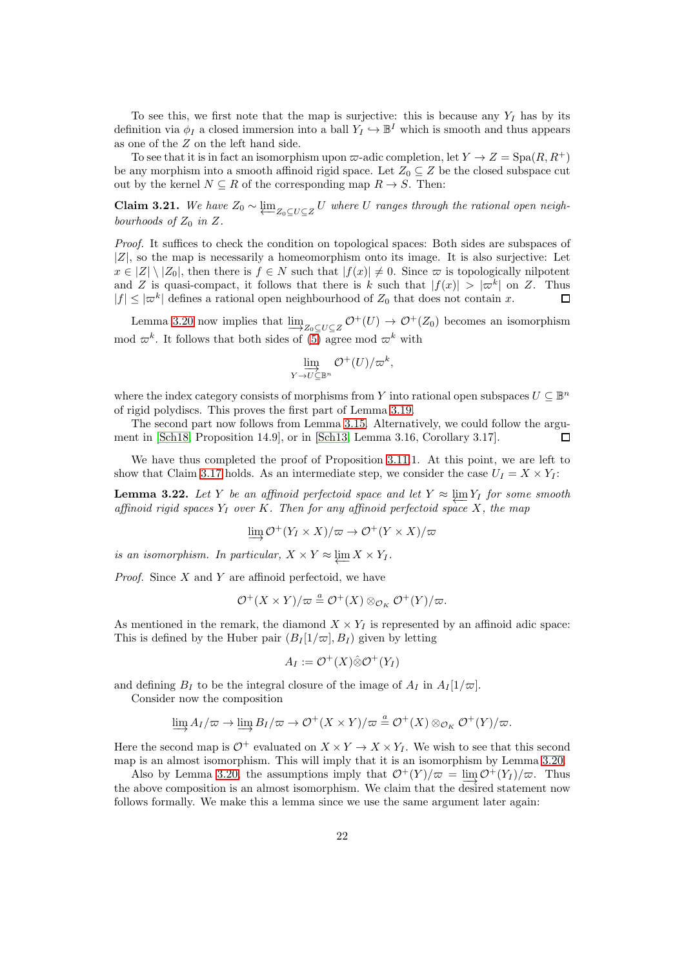To see this, we first note that the map is surjective: this is because any  $Y_I$  has by its definition via  $\phi_I$  a closed immersion into a ball  $Y_I \hookrightarrow \mathbb{B}^I$  which is smooth and thus appears as one of the Z on the left hand side.

To see that it is in fact an isomorphism upon  $\varpi$ -adic completion, let  $Y \to Z = \text{Spa}(R, R^+)$ be any morphism into a smooth affinoid rigid space. Let  $Z_0 \subseteq Z$  be the closed subspace cut out by the kernel  $N \subseteq R$  of the corresponding map  $R \to S$ . Then:

<span id="page-21-1"></span>Claim 3.21. We have  $Z_0 \sim \underbrace{\lim}_{Z_0 \subseteq U \subseteq Z} U$  where U ranges through the rational open neighbourhoods of  $Z_0$  in  $Z$ .

Proof. It suffices to check the condition on topological spaces: Both sides are subspaces of  $|Z|$ , so the map is necessarily a homeomorphism onto its image. It is also surjective: Let  $x \in |Z| \setminus |Z_0|$ , then there is  $f \in N$  such that  $|f(x)| \neq 0$ . Since  $\varpi$  is topologically nilpotent and Z is quasi-compact, it follows that there is k such that  $|f(x)| > |\varpi^k|$  on Z. Thus  $|f| \leq |\varpi^k|$  defines a rational open neighbourhood of  $Z_0$  that does not contain x. П

Lemma [3.20](#page-20-0) now implies that  $\underline{\lim}_{Z_0 \subseteq U \subseteq Z} \mathcal{O}^+(U) \to \mathcal{O}^+(Z_0)$  becomes an isomorphism mod  $\varpi^k$ . It follows that both sides of [\(5\)](#page-20-1) agree mod  $\varpi^k$  with

$$
\varinjlim_{Y \to U \subseteq \mathbb{B}^n} \mathcal{O}^+(U)/\varpi^k,
$$

where the index category consists of morphisms from Y into rational open subspaces  $U \subseteq \mathbb{B}^n$ of rigid polydiscs. This proves the first part of Lemma [3.19.](#page-19-1)

The second part now follows from Lemma [3.15.](#page-18-2) Alternatively, we could follow the argument in [\[Sch18,](#page-52-5) Proposition 14.9], or in [\[Sch13,](#page-52-4) Lemma 3.16, Corollary 3.17]. П

We have thus completed the proof of Proposition [3.11.](#page-17-0)1. At this point, we are left to show that Claim [3.17](#page-19-0) holds. As an intermediate step, we consider the case  $U_I = X \times Y_I$ :

<span id="page-21-0"></span>**Lemma 3.22.** Let Y be an affinoid perfectoid space and let  $Y \approx \varprojlim Y_I$  for some smooth affinoid rigid spaces  $Y_I$  over K. Then for any affinoid perfectoid space X, the map

$$
\lim_{\longrightarrow} \mathcal{O}^+(Y_I \times X)/\varpi \to \mathcal{O}^+(Y \times X)/\varpi
$$

is an isomorphism. In particular,  $X \times Y \approx \varprojlim X \times Y_I$ .

*Proof.* Since  $X$  and  $Y$  are affinoid perfectoid, we have

$$
\mathcal{O}^+(X \times Y)/\varpi \stackrel{a}{=} \mathcal{O}^+(X) \otimes_{\mathcal{O}_K} \mathcal{O}^+(Y)/\varpi.
$$

As mentioned in the remark, the diamond  $X \times Y_I$  is represented by an affinoid adic space: This is defined by the Huber pair  $(B_I[1/\varpi], B_I)$  given by letting

$$
A_I := \mathcal{O}^+(X) \hat{\otimes} \mathcal{O}^+(Y_I)
$$

and defining  $B_I$  to be the integral closure of the image of  $A_I$  in  $A_I [1/\varpi]$ .

Consider now the composition

$$
\varinjlim A_I/\varpi \to \varinjlim B_I/\varpi \to \mathcal{O}^{+}(X \times Y)/\varpi \stackrel{a}{=} \mathcal{O}^{+}(X) \otimes_{\mathcal{O}_K} \mathcal{O}^{+}(Y)/\varpi.
$$

Here the second map is  $\mathcal{O}^+$  evaluated on  $X \times Y \to X \times Y_I$ . We wish to see that this second map is an almost isomorphism. This will imply that it is an isomorphism by Lemma [3.20.](#page-20-0)

Also by Lemma [3.20,](#page-20-0) the assumptions imply that  $\mathcal{O}^+(Y)/\varpi = \lim_{\longrightarrow} \mathcal{O}^+(Y_I)/\varpi$ . Thus the above composition is an almost isomorphism. We claim that the desired statement now follows formally. We make this a lemma since we use the same argument later again: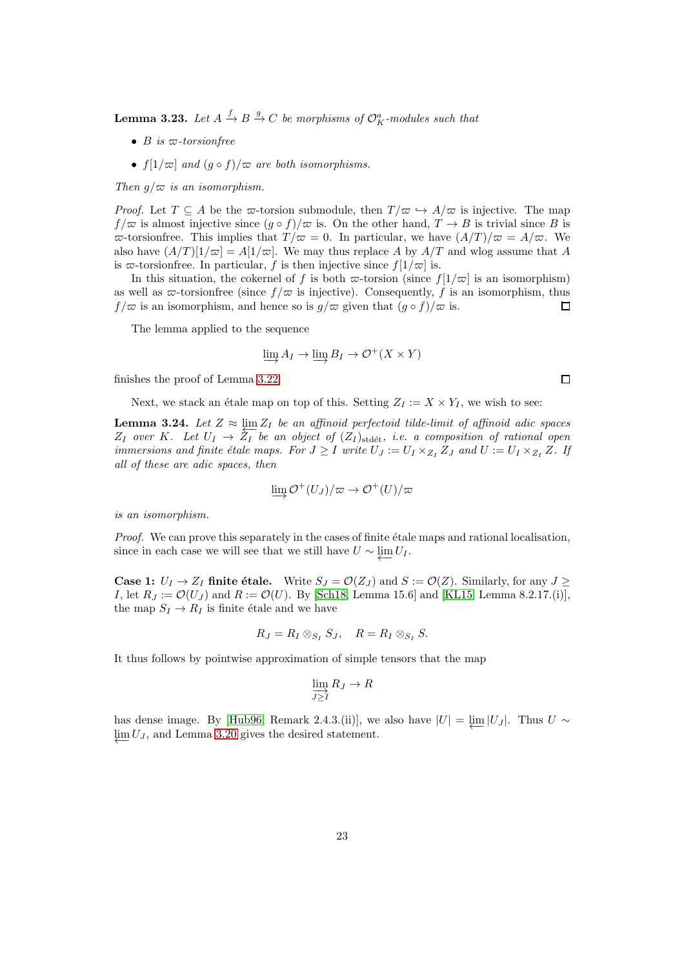<span id="page-22-0"></span>**Lemma 3.23.** Let  $A \xrightarrow{f} B \xrightarrow{g} C$  be morphisms of  $\mathcal{O}_K^a$ -modules such that

- B is  $\varpi$ -torsionfree
- $f[1/\varpi]$  and  $(g \circ f)/\varpi$  are both isomorphisms.

Then  $q/\varpi$  is an isomorphism.

*Proof.* Let  $T \subseteq A$  be the  $\varpi$ -torsion submodule, then  $T/\varpi \hookrightarrow A/\varpi$  is injective. The map  $f/\varpi$  is almost injective since  $(g \circ f)/\varpi$  is. On the other hand,  $T \to B$  is trivial since B is  $\overline{\omega}$ -torsionfree. This implies that  $T/\overline{\omega} = 0$ . In particular, we have  $(A/T)/\overline{\omega} = A/\overline{\omega}$ . We also have  $(A/T)[1/\varpi] = A[1/\varpi]$ . We may thus replace A by  $A/T$  and wlog assume that A is  $\varpi$ -torsionfree. In particular, f is then injective since  $f[1/\varpi]$  is.

In this situation, the cokernel of f is both  $\varpi$ -torsion (since  $f[1/\varpi]$  is an isomorphism) as well as  $\bar{\omega}$ -torsionfree (since  $f/\bar{\omega}$  is injective). Consequently, f is an isomorphism, thus  $f/\varpi$  is an isomorphism, and hence so is  $g/\varpi$  given that  $(g \circ f)/\varpi$  is.  $\Box$ 

The lemma applied to the sequence

$$
\varinjlim A_I \to \varinjlim B_I \to \mathcal{O}^+(X \times Y)
$$

finishes the proof of Lemma [3.22.](#page-21-0)

Next, we stack an étale map on top of this. Setting  $Z_I := X \times Y_I$ , we wish to see:

<span id="page-22-1"></span>**Lemma 3.24.** Let  $Z \approx \lim_{\Delta x \to 0} Z_I$  be an affinoid perfectoid tilde-limit of affinoid adic spaces  $Z_I$  over K. Let  $U_I \to \overline{Z_I}$  be an object of  $(Z_I)_{\text{std\'et}}$ , i.e. a composition of rational open immersions and finite étale maps. For  $J \geq I$  write  $U_J := U_I \times_{Z_I} Z_J$  and  $U := U_I \times_{Z_I} Z$ . If all of these are adic spaces, then

$$
\varinjlim \mathcal{O}^+(U_J)/\varpi \to \mathcal{O}^+(U)/\varpi
$$

is an isomorphism.

Proof. We can prove this separately in the cases of finite étale maps and rational localisation, since in each case we will see that we still have  $U \sim \underleftarrow{\lim} U_I$ .

**Case 1:**  $U_I \rightarrow Z_I$  finite étale. Write  $S_J = \mathcal{O}(Z_J)$  and  $S := \mathcal{O}(Z)$ . Similarly, for any  $J \geq$ *I*, let  $R_J := \mathcal{O}(U_J)$  and  $R := \mathcal{O}(U)$ . By [\[Sch18,](#page-52-5) Lemma 15.6] and [\[KL15,](#page-52-12) Lemma 8.2.17.(i)], the map  $S_I \to R_I$  is finite étale and we have

$$
R_J = R_I \otimes_{S_I} S_J, \quad R = R_I \otimes_{S_I} S.
$$

It thus follows by pointwise approximation of simple tensors that the map

$$
\varinjlim_{J\geq I} R_J\to R
$$

has dense image. By [\[Hub96,](#page-52-10) Remark 2.4.3.(ii)], we also have  $|U| = \varprojlim |U_J|$ . Thus  $U \sim$  $\varprojlim U_J$ , and Lemma [3.20](#page-20-0) gives the desired statement.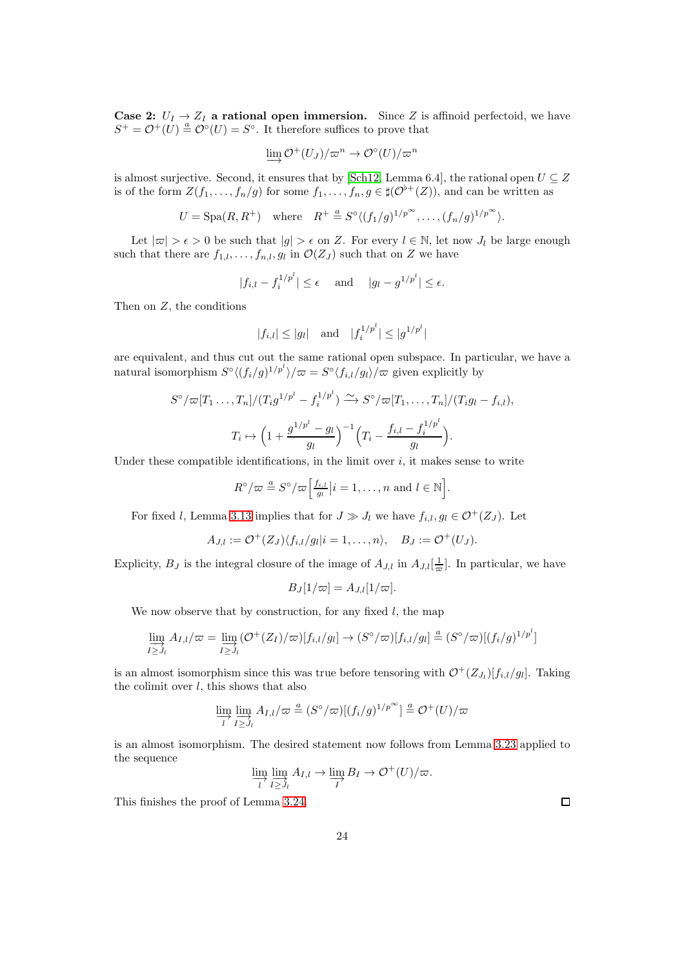**Case 2:**  $U_I \rightarrow Z_I$  a rational open immersion. Since Z is affinoid perfectoid, we have  $S^+ = \mathcal{O}^+(U) \stackrel{a}{=} \mathcal{O}^{\circ}(U) = S^{\circ}$ . It therefore suffices to prove that

$$
\varinjlim \mathcal{O}^+(U_J)/\varpi^n \to \mathcal{O}^\circ(U)/\varpi^n
$$

is almost surjective. Second, it ensures that by [\[Sch12,](#page-52-9) Lemma 6.4], the rational open  $U \subseteq Z$ is of the form  $Z(f_1, \ldots, f_n/g)$  for some  $f_1, \ldots, f_n, g \in \sharp(\mathcal{O}^{\flat+}(Z)),$  and can be written as

$$
U = \mathrm{Spa}(R, R^+) \quad \text{where} \quad R^+ \stackrel{a}{=} S^\circ \langle (f_1/g)^{1/p^\infty}, \dots, (f_n/g)^{1/p^\infty} \rangle.
$$

Let  $|\varpi| > \epsilon > 0$  be such that  $|g| > \epsilon$  on Z. For every  $l \in \mathbb{N}$ , let now  $J_l$  be large enough such that there are  $f_{1,l}, \ldots, f_{n,l}, g_l$  in  $\mathcal{O}(Z_J)$  such that on Z we have

$$
|f_{i,l} - f_i^{1/p^l}| \le \epsilon
$$
 and  $|g_l - g^{1/p^l}| \le \epsilon$ .

Then on  $Z$ , the conditions

$$
|f_{i,l}| \le |g_l|
$$
 and  $|f_i^{1/p^l}| \le |g^{1/p^l}|$ 

are equivalent, and thus cut out the same rational open subspace. In particular, we have a natural isomorphism  $S^{\circ} \langle (f_i/g)^{1/p^l} \rangle / \varpi = S^{\circ} \langle f_{i,l}/g_l \rangle / \varpi$  given explicitly by

$$
S^{\circ}/\varpi[T_1 \dots, T_n]/(T_i g^{1/p^l} - f_i^{1/p^l}) \xrightarrow{\sim} S^{\circ}/\varpi[T_1, \dots, T_n]/(T_i g_l - f_{i,l}),
$$
  

$$
T_i \mapsto \left(1 + \frac{g^{1/p^l} - g_l}{g_l}\right)^{-1} \left(T_i - \frac{f_{i,l} - f_i^{1/p^l}}{g_l}\right).
$$

Under these compatible identifications, in the limit over  $i$ , it makes sense to write

$$
R^{\circ}/\varpi \stackrel{a}{=} S^{\circ}/\varpi \Big[\frac{f_{i,l}}{g_l}|i=1,\ldots,n \text{ and } l \in \mathbb{N}\Big].
$$

For fixed l, Lemma [3.13](#page-18-1) implies that for  $J \gg J_l$  we have  $f_{i,l}$ ,  $g_l \in \mathcal{O}^+(Z_J)$ . Let

$$
A_{J,l} := \mathcal{O}^+(Z_J) \langle f_{i,l}/g_l | i = 1,\ldots,n \rangle, \quad B_J := \mathcal{O}^+(U_J).
$$

Explicity,  $B_J$  is the integral closure of the image of  $A_{J,l}$  in  $A_{J,l}[\frac{1}{\infty}]$ . In particular, we have

$$
B_J[1/\varpi] = A_{J,l}[1/\varpi].
$$

We now observe that by construction, for any fixed  $l$ , the map

$$
\varinjlim_{I \ge J_l} A_{I,l}/\varpi = \varinjlim_{I \ge J_l} (\mathcal{O}^+(Z_I)/\varpi)[f_{i,l}/g_l] \to (S^\circ/\varpi)[f_{i,l}/g_l] \stackrel{a}{=} (S^\circ/\varpi)[(f_i/g)^{1/p^l}]
$$

is an almost isomorphism since this was true before tensoring with  $\mathcal{O}^+(Z_{J_l})[f_{i,l}/g_l]$ . Taking the colimit over  $l$ , this shows that also

$$
\lim_{l} \lim_{I \geq J_l} A_{I,l}/\varpi \stackrel{a}{=} (S^\circ/\varpi)[(f_i/g)^{1/p^\infty}] \stackrel{a}{=} \mathcal{O}^+(U)/\varpi
$$

is an almost isomorphism. The desired statement now follows from Lemma [3.23](#page-22-0) applied to the sequence

$$
\varinjlim_l \varinjlim_{I \ge J_l} A_{I,l} \to \varinjlim_l B_I \to \mathcal{O}^+(U)/\varpi.
$$

This finishes the proof of Lemma [3.24.](#page-22-1)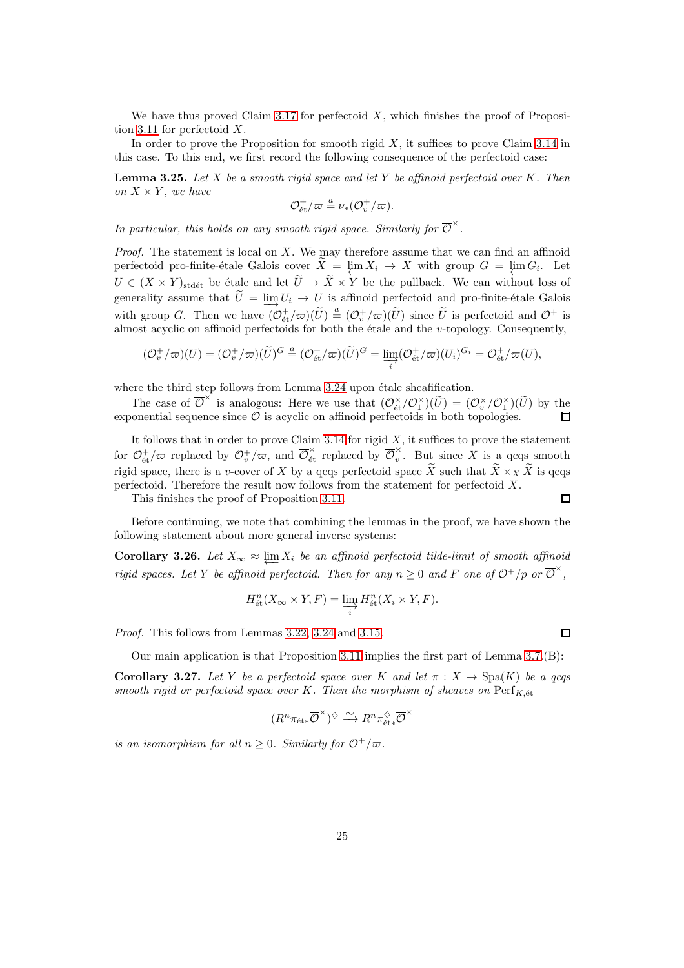We have thus proved Claim [3.17](#page-19-0) for perfectoid  $X$ , which finishes the proof of Proposi-tion [3.11](#page-17-0) for perfectoid  $X$ .

In order to prove the Proposition for smooth rigid  $X$ , it suffices to prove Claim [3.14](#page-18-0) in this case. To this end, we first record the following consequence of the perfectoid case:

**Lemma 3.25.** Let X be a smooth rigid space and let Y be affinoid perfectoid over K. Then on  $X \times Y$ , we have

$$
\mathcal{O}_{\text{\'et}}^+/\varpi \stackrel{a}{=} \nu_*(\mathcal{O}_v^+/\varpi).
$$

In particular, this holds on any smooth rigid space. Similarly for  $\overline{\mathcal{O}}^{\times}$ .

*Proof.* The statement is local on  $X$ . We may therefore assume that we can find an affinoid perfectoid pro-finite-étale Galois cover  $X = \varprojlim X_i \to X$  with group  $G = \varprojlim G_i$ . Let  $U \in (X \times Y)_{\text{stdét}}$  be étale and let  $\widetilde{U} \to \widetilde{X} \times Y$  be the pullback. We can without loss of generality assume that  $U = \varinjlim_{i} U_i \to U$  is affinoid perfectoid and pro-finite-étale Galois with group G. Then we have  $(\mathcal{O}_{\text{\'et}}^+/\varpi)(\tilde{U}) \triangleq (\mathcal{O}_v^+/\varpi)(\tilde{U})$  since  $\tilde{U}$  is perfectoid and  $\mathcal{O}^+$  is almost acyclic on affinoid perfectoids for both the étale and the  $v$ -topology. Consequently,

$$
(\mathcal{O}_v^+/\varpi)(U) = (\mathcal{O}_v^+/\varpi)(\widetilde{U})^G \stackrel{a}{=} (\mathcal{O}_{\text{\'et}}^+/\varpi)(\widetilde{U})^G = \varinjlim_i (\mathcal{O}_{\text{\'et}}^+/\varpi)(U_i)^{G_i} = \mathcal{O}_{\text{\'et}}^+/\varpi(U),
$$

where the third step follows from Lemma  $3.24$  upon étale sheafification.

The case of  $\overline{\mathcal{O}}^{\times}$  is analogous: Here we use that  $(\mathcal{O}_{\text{\'et}}^{\times}/\mathcal{O}_{1}^{\times})(\widetilde{U}) = (\mathcal{O}_{v}^{\times}/\mathcal{O}_{1}^{\times})(\widetilde{U})$  by the exponential sequence since  $\mathcal O$  is acyclic on affinoid perfectoids in both topologies.

It follows that in order to prove Claim [3.14](#page-18-0) for rigid  $X$ , it suffices to prove the statement for  $\mathcal{O}_{\text{\'et}}^+/\varpi$  replaced by  $\mathcal{O}_v^+/\varpi$ , and  $\overline{\mathcal{O}}_{\text{\'et}}^{\times}$  replaced by  $\overline{\mathcal{O}}_v^{\times}$  $\hat{v}$ . But since X is a qcqs smooth rigid space, there is a v-cover of X by a qcqs perfectoid space  $\widetilde{X}$  such that  $\widetilde{X} \times_X \widetilde{X}$  is qcqs perfectoid. Therefore the result now follows from the statement for perfectoid X.  $\Box$ 

This finishes the proof of Proposition [3.11.](#page-17-0)

Before continuing, we note that combining the lemmas in the proof, we have shown the following statement about more general inverse systems:

<span id="page-24-0"></span>**Corollary 3.26.** Let  $X_{\infty} \approx \underleftarrow{\lim_{x \to 0} X_i}$  be an affinoid perfectoid tilde-limit of smooth affinoid rigid spaces. Let Y be affinoid perfectoid. Then for any  $n \geq 0$  and F one of  $\mathcal{O}^+/p$  or  $\overline{\mathcal{O}}^{\times}$ ,

$$
H_{\text{\'et}}^n(X_\infty \times Y, F) = \varinjlim_i H_{\text{\'et}}^n(X_i \times Y, F).
$$

Proof. This follows from Lemmas [3.22,](#page-21-0) [3.24](#page-22-1) and [3.15.](#page-18-2)

Our main application is that Proposition [3.11](#page-17-0) implies the first part of Lemma [3.7.](#page-16-2)(B):

Corollary 3.27. Let Y be a perfectoid space over K and let  $\pi : X \to \text{Spa}(K)$  be a gcqs smooth rigid or perfectoid space over K. Then the morphism of sheaves on  $\mathrm{Perf}_{K, \text{\'et}}$ 

$$
(R^n\pi_{\mathrm{\acute{e}t}*}\overline{\mathcal{O}}^{\times})^{\diamondsuit} \xrightarrow{\sim} R^n\pi_{\mathrm{\acute{e}t}*}^{\diamondsuit}\overline{\mathcal{O}}^{\times}
$$

is an isomorphism for all  $n \geq 0$ . Similarly for  $\mathcal{O}^+/\varpi$ .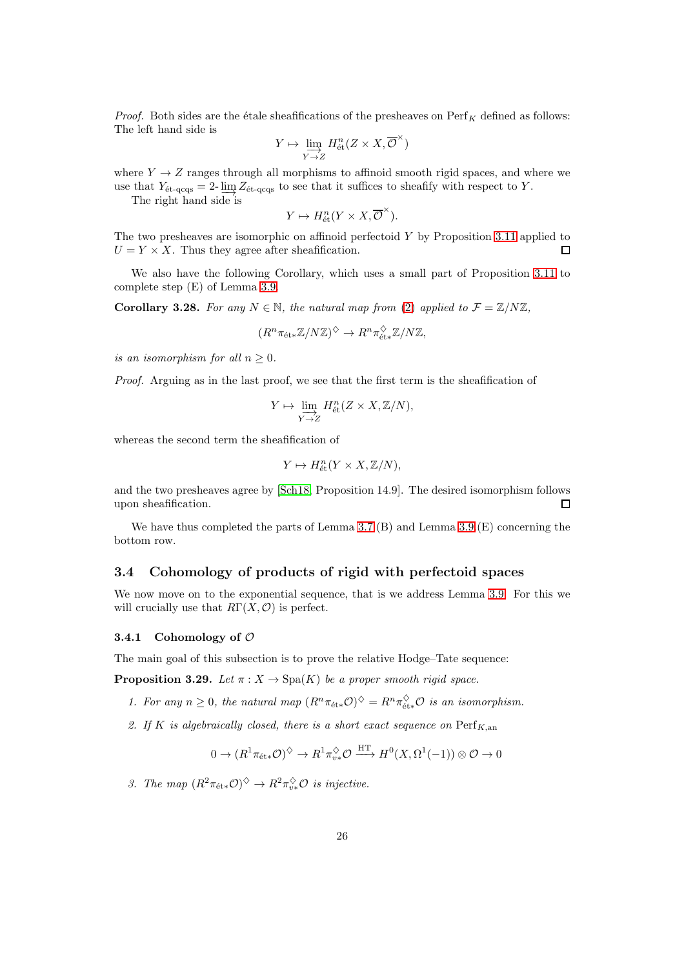*Proof.* Both sides are the étale sheafifications of the presheaves on  $\text{Perf}_K$  defined as follows: The left hand side is

$$
Y\mapsto \varinjlim_{Y\to Z} H^n_{\text{\rm \'et}}(Z\times X,\overline{\mathcal{O}}^{\times})
$$

where  $Y \rightarrow Z$  ranges through all morphisms to affinoid smooth rigid spaces, and where we use that  $Y_{\text{et-qcqs}} = 2 \cdot \lim_{\text{eq}} Z_{\text{et-qcqs}}$  to see that it suffices to sheafify with respect to Y.

The right hand side is

$$
Y \mapsto H_{\text{\'et}}^n(Y \times X, \overline{\mathcal{O}}^{\times}).
$$

The two presheaves are isomorphic on affinoid perfectoid  $Y$  by Proposition [3.11](#page-17-0) applied to  $U = Y \times X$ . Thus they agree after sheafification.

We also have the following Corollary, which uses a small part of Proposition [3.11](#page-17-0) to complete step (E) of Lemma [3.9.](#page-16-3)

<span id="page-25-1"></span>Corollary 3.28. For any  $N \in \mathbb{N}$ , the natural map from [\(2\)](#page-14-1) applied to  $\mathcal{F} = \mathbb{Z}/N\mathbb{Z}$ ,

$$
(R^n \pi_{\text{\'et}*} \mathbb{Z}/N \mathbb{Z})^{\diamondsuit} \to R^n \pi_{\text{\'et}*}^{\diamondsuit} \mathbb{Z}/N \mathbb{Z},
$$

is an isomorphism for all  $n \geq 0$ .

Proof. Arguing as in the last proof, we see that the first term is the sheafification of

$$
Y \mapsto \varinjlim_{Y \to Z} H^n_{\text{\'et}}(Z \times X, \mathbb{Z}/N),
$$

whereas the second term the sheafification of

$$
Y \mapsto H_{\text{\'et}}^n(Y \times X, \mathbb{Z}/N),
$$

and the two presheaves agree by [\[Sch18,](#page-52-5) Proposition 14.9]. The desired isomorphism follows upon sheafification. □

We have thus completed the parts of Lemma [3.7.](#page-16-2)(B) and Lemma [3.9.](#page-16-3)(E) concerning the bottom row.

## 3.4 Cohomology of products of rigid with perfectoid spaces

We now move on to the exponential sequence, that is we address Lemma [3.9.](#page-16-3) For this we will crucially use that  $R\Gamma(X, \mathcal{O})$  is perfect.

#### 3.4.1 Cohomology of  $\mathcal O$

The main goal of this subsection is to prove the relative Hodge–Tate sequence:

<span id="page-25-0"></span>**Proposition 3.29.** Let  $\pi$  :  $X \to \text{Spa}(K)$  be a proper smooth rigid space.

- 1. For any  $n \geq 0$ , the natural map  $(R^n \pi_{\text{\'{e}t}*} \mathcal{O})^{\diamondsuit} = R^n \pi_{\text{\'{e}t}*}^{\diamondsuit} \mathcal{O}$  is an isomorphism.
- 2. If K is algebraically closed, there is a short exact sequence on  $\text{Perf}_{K,\text{an}}$

$$
0 \to (R^1 \pi_{\text{\'et}*} \mathcal{O})^{\diamondsuit} \to R^1 \pi_{v*}^{\diamondsuit} \mathcal{O} \xrightarrow{\text{HT}} H^0(X, \Omega^1(-1)) \otimes \mathcal{O} \to 0
$$

3. The map  $(R^2 \pi_{\text{\textup{\'et}} *} \mathcal{O})^{\diamondsuit} \to R^2 \pi_{v*}^{\diamondsuit} \mathcal{O}$  is injective.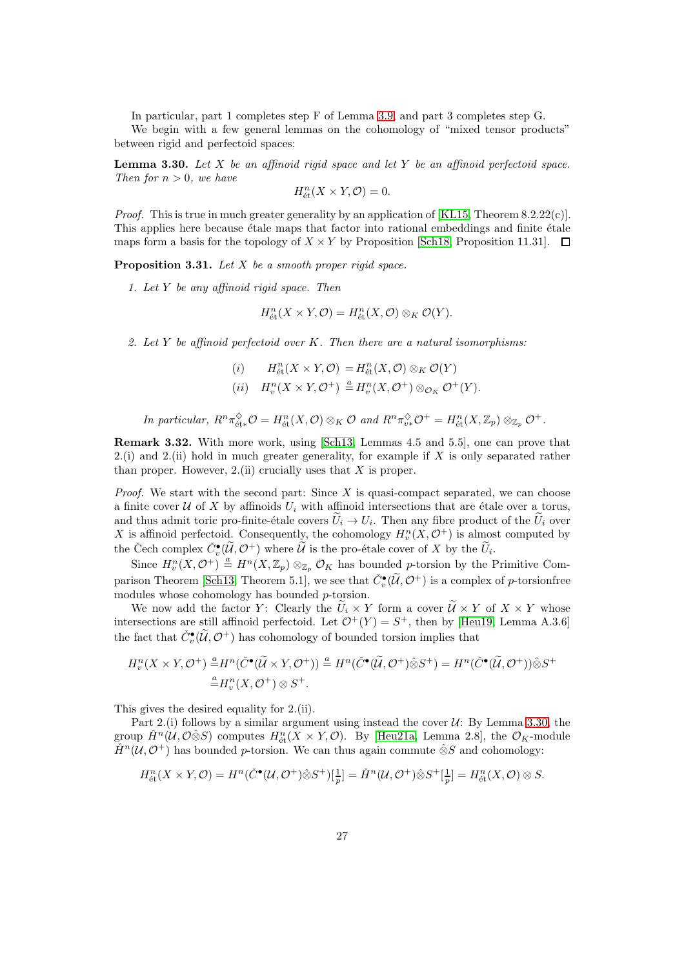In particular, part 1 completes step F of Lemma [3.9,](#page-16-3) and part 3 completes step G.

We begin with a few general lemmas on the cohomology of "mixed tensor products" between rigid and perfectoid spaces:

<span id="page-26-0"></span>**Lemma 3.30.** Let  $X$  be an affinoid rigid space and let  $Y$  be an affinoid perfectoid space. Then for  $n > 0$ , we have

$$
H^n_{\text{\'et}}(X\times Y,\mathcal{O})=0.
$$

*Proof.* This is true in much greater generality by an application of [\[KL15,](#page-52-12) Theorem  $8.2.22(c)$ ]. This applies here because  $\acute{e}$ tale maps that factor into rational embeddings and finite  $\acute{e}$ tale maps form a basis for the topology of  $X \times Y$  by Proposition [\[Sch18,](#page-52-5) Proposition 11.31].  $\Box$ 

<span id="page-26-1"></span>**Proposition 3.31.** Let  $X$  be a smooth proper rigid space.

1. Let  $Y$  be any affinoid rigid space. Then

$$
H^n_{\text{\'et}}(X \times Y, \mathcal{O}) = H^n_{\text{\'et}}(X, \mathcal{O}) \otimes_K \mathcal{O}(Y).
$$

2. Let Y be affinoid perfectoid over K. Then there are a natural isomorphisms:

(i)  $H_{\text{\'et}}^n(X \times Y, \mathcal{O}) = H_{\text{\'et}}^n(X, \mathcal{O}) \otimes_K \mathcal{O}(Y)$ (ii)  $H_v^n(X \times Y, \mathcal{O}^+) \stackrel{a}{=} H_v^n(X, \mathcal{O}^+) \otimes_{\mathcal{O}_K} \mathcal{O}^+(Y).$ 

In particular,  $R^n \pi_{\text{\'et}*}^\lozenge \mathcal{O} = H^n_{\text{\'et}}(X, \mathcal{O}) \otimes_K \mathcal{O}$  and  $R^n \pi_{v*}^\lozenge \mathcal{O}^+ = H^n_{\text{\'et}}(X, \mathbb{Z}_p) \otimes_{\mathbb{Z}_p} \mathcal{O}^+$ .

Remark 3.32. With more work, using [\[Sch13,](#page-52-4) Lemmas 4.5 and 5.5], one can prove that 2.(i) and 2.(ii) hold in much greater generality, for example if  $X$  is only separated rather than proper. However,  $2$ .(ii) crucially uses that  $X$  is proper.

*Proof.* We start with the second part: Since  $X$  is quasi-compact separated, we can choose a finite cover U of X by affinoids  $U_i$  with affinoid intersections that are étale over a torus, and thus admit toric pro-finite-étale covers  $U_i \to U_i$ . Then any fibre product of the  $U_i$  over X is affinoid perfectoid. Consequently, the cohomology  $H_v^n(X, \mathcal{O}^+)$  is almost computed by the Čech complex  $\check{C}_v^{\bullet}(\widetilde{\mathcal{U}}, \mathcal{O}^+)$  where  $\widetilde{\mathcal{U}}$  is the pro-étale cover of X by the  $\widetilde{U}_i$ .

Since  $H_v^n(X, \mathcal{O}^+) \stackrel{a}{=} H^n(X, \mathbb{Z}_p) \otimes_{\mathbb{Z}_p} \mathcal{O}_K$  has bounded p-torsion by the Primitive Com-parison Theorem [\[Sch13,](#page-52-4) Theorem 5.1], we see that  $\check{C}_v^{\bullet}(\widetilde{\mathcal{U}}, \mathcal{O}^+)$  is a complex of p-torsionfree modules whose cohomology has bounded p-torsion.

We now add the factor Y: Clearly the  $\tilde{U}_i \times Y$  form a cover  $\tilde{\mathcal{U}} \times Y$  of  $X \times Y$  whose intersections are still affinoid perfectoid. Let  $\mathcal{O}^+(Y) = S^+$ , then by [\[Heu19,](#page-51-14) Lemma A.3.6] the fact that  $\check{C}_v^{\bullet}(\widetilde{\mathcal{U}}, \mathcal{O}^+)$  has cohomology of bounded torsion implies that

$$
H_v^n(X \times Y, \mathcal{O}^+) \stackrel{a}{=} H^n(\check{C}^\bullet(\widetilde{U} \times Y, \mathcal{O}^+)) \stackrel{a}{=} H^n(\check{C}^\bullet(\widetilde{U}, \mathcal{O}^+) \hat{\otimes} S^+) = H^n(\check{C}^\bullet(\widetilde{U}, \mathcal{O}^+)) \hat{\otimes} S^+ \stackrel{a}{=} H_v^n(X, \mathcal{O}^+) \otimes S^+.
$$

This gives the desired equality for 2.(ii).

Part 2.(i) follows by a similar argument using instead the cover  $U: By Lemma 3.30$ , the group  $\check{H}^n(\mathcal{U},\mathcal{O}\hat{\otimes}S)$  computes  $H^n_{\text{\'et}}(X\times Y,\mathcal{O})$ . By [\[Heu21a,](#page-51-15) Lemma 2.8], the  $\mathcal{O}_K$ -module  $\check{H}^n(\mathcal{U}, \mathcal{O}^+)$  has bounded p-torsion. We can thus again commute  $\hat{\otimes}S$  and cohomology:

$$
H^n_{\text{\'et}}(X \times Y, \mathcal{O}) = H^n(\check{C}^\bullet(\mathcal{U}, \mathcal{O}^+) \hat{\otimes} S^+)[\tfrac{1}{p}] = \check{H}^n(\mathcal{U}, \mathcal{O}^+) \hat{\otimes} S^+[\tfrac{1}{p}] = H^n_{\text{\'et}}(X, \mathcal{O}) \otimes S.
$$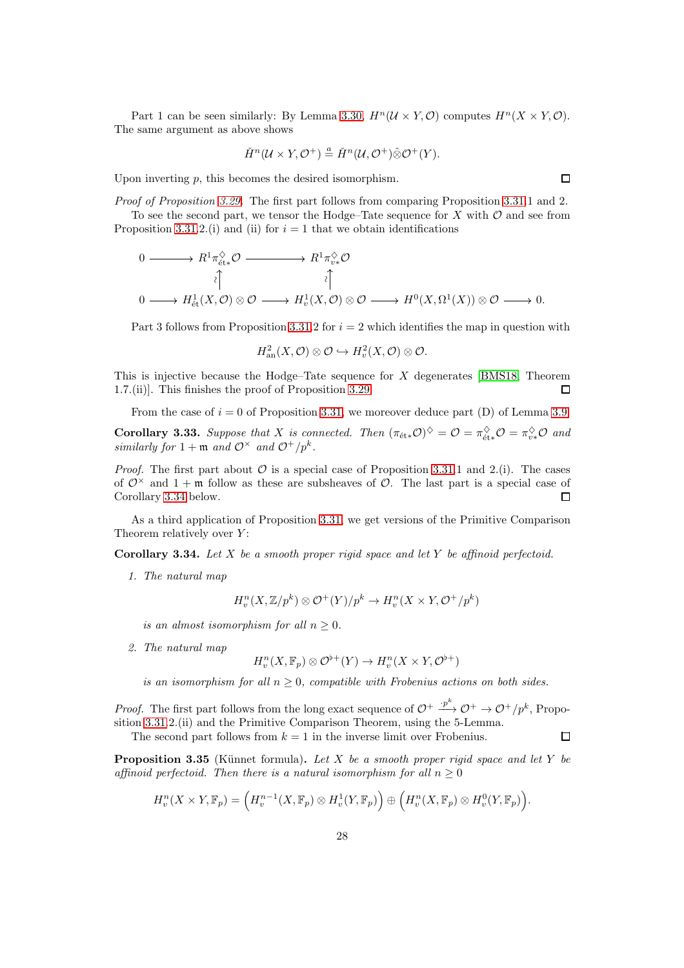Part 1 can be seen similarly: By Lemma [3.30,](#page-26-0)  $H^n(U \times Y, \mathcal{O})$  computes  $H^n(X \times Y, \mathcal{O})$ . The same argument as above shows

$$
\check{H}^n(\mathcal{U}\times Y,\mathcal{O}^+) \stackrel{a}{=} \check{H}^n(\mathcal{U},\mathcal{O}^+) \hat{\otimes} \mathcal{O}^+(Y).
$$

Upon inverting  $p$ , this becomes the desired isomorphism.

Proof of Proposition [3.29.](#page-25-0) The first part follows from comparing Proposition [3.31.](#page-26-1)1 and 2. To see the second part, we tensor the Hodge–Tate sequence for X with  $\mathcal O$  and see from Proposition [3.31.](#page-26-1)2.(i) and (ii) for  $i = 1$  that we obtain identifications

$$
\begin{array}{ccc}\n0 & \longrightarrow & R^1 \pi_{\text{\'{e}t}*}^{\lozenge} \mathcal{O} & & & \\
& & \uparrow & & \uparrow & \\
0 & \longrightarrow & H^1_{\text{\'{e}t}}(X, \mathcal{O}) \otimes \mathcal{O} & \longrightarrow & H^1_{\text{\'{e}t}}(X, \mathcal{O}) \otimes \mathcal{O} & \longrightarrow & H^0(X, \Omega^1(X)) \otimes \mathcal{O} & \longrightarrow & 0.\n\end{array}
$$

Part 3 follows from Proposition [3.31.](#page-26-1)2 for  $i = 2$  which identifies the map in question with

$$
H^2_{\text{an}}(X,\mathcal{O})\otimes\mathcal{O}\hookrightarrow H^2_v(X,\mathcal{O})\otimes\mathcal{O}.
$$

This is injective because the Hodge–Tate sequence for  $X$  degenerates [\[BMS18,](#page-51-16) Theorem 1.7.(ii)]. This finishes the proof of Proposition [3.29.](#page-25-0) П

From the case of  $i = 0$  of Proposition [3.31,](#page-26-1) we moreover deduce part (D) of Lemma [3.9:](#page-16-3)

<span id="page-27-2"></span>**Corollary 3.33.** Suppose that X is connected. Then  $(\pi_{\text{\'{e}t}*}\mathcal{O})^{\diamondsuit} = \mathcal{O} = \pi_{\text{\'{e}t}*}^{\diamondsuit}\mathcal{O} = \pi_{v*}^{\diamondsuit}\mathcal{O}$  and similarly for  $1 + \mathfrak{m}$  and  $\mathcal{O}^{\times}$  and  $\mathcal{O}^+/p^k$ .

*Proof.* The first part about  $\mathcal O$  is a special case of Proposition [3.31.](#page-26-1)1 and 2.(i). The cases of  $\mathcal{O}^{\times}$  and  $1 + \mathfrak{m}$  follow as these are subsheaves of  $\mathcal{O}$ . The last part is a special case of Corollary [3.34](#page-27-0) below.  $\Box$ 

As a third application of Proposition [3.31,](#page-26-1) we get versions of the Primitive Comparison Theorem relatively over  $Y$ :

<span id="page-27-0"></span>**Corollary 3.34.** Let  $X$  be a smooth proper rigid space and let  $Y$  be affinoid perfectoid.

1. The natural map

$$
H_v^n(X, \mathbb{Z}/p^k) \otimes \mathcal{O}^+(Y)/p^k \to H_v^n(X \times Y, \mathcal{O}^+/p^k)
$$

is an almost isomorphism for all  $n \geq 0$ .

2. The natural map

$$
H_v^n(X, \mathbb{F}_p) \otimes \mathcal{O}^{\flat +}(Y) \to H_v^n(X \times Y, \mathcal{O}^{\flat +})
$$

is an isomorphism for all  $n \geq 0$ , compatible with Frobenius actions on both sides.

*Proof.* The first part follows from the long exact sequence of  $\mathcal{O}^+ \xrightarrow{\cdot p^k} \mathcal{O}^+ \to \mathcal{O}^+ / p^k$ , Proposition [3.31.](#page-26-1)2.(ii) and the Primitive Comparison Theorem, using the 5-Lemma.  $\Box$ 

The second part follows from  $k = 1$  in the inverse limit over Frobenius.

<span id="page-27-1"></span>**Proposition 3.35** (Künnet formula). Let  $X$  be a smooth proper rigid space and let  $Y$  be affinoid perfectoid. Then there is a natural isomorphism for all  $n \geq 0$ 

$$
H_v^n(X \times Y, \mathbb{F}_p) = \left(H_v^{n-1}(X, \mathbb{F}_p) \otimes H_v^1(Y, \mathbb{F}_p)\right) \oplus \left(H_v^n(X, \mathbb{F}_p) \otimes H_v^0(Y, \mathbb{F}_p)\right).
$$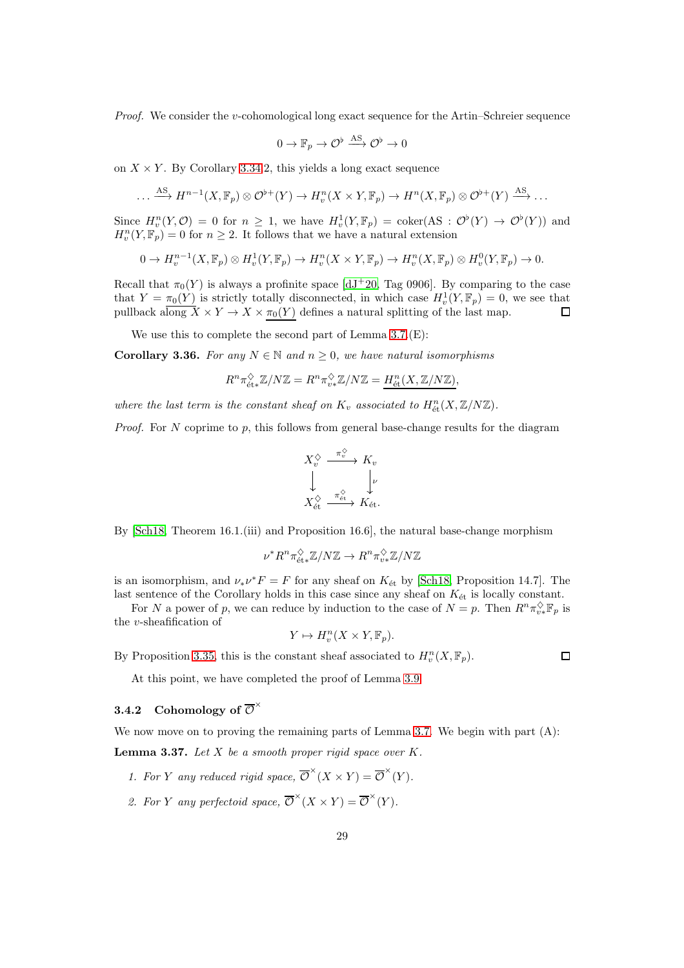*Proof.* We consider the *v*-cohomological long exact sequence for the Artin–Schreier sequence

$$
0 \to \mathbb{F}_p \to \mathcal{O}^{\flat} \xrightarrow{\mathrm{AS}} \mathcal{O}^{\flat} \to 0
$$

on  $X \times Y$ . By Corollary [3.34.](#page-27-0)2, this yields a long exact sequence

$$
\dots \xrightarrow{\text{AS}} H^{n-1}(X, \mathbb{F}_p) \otimes \mathcal{O}^{\flat+}(Y) \to H_v^n(X \times Y, \mathbb{F}_p) \to H^n(X, \mathbb{F}_p) \otimes \mathcal{O}^{\flat+}(Y) \xrightarrow{\text{AS}} \dots
$$

Since  $H_v^n(Y, \mathcal{O}) = 0$  for  $n \geq 1$ , we have  $H_v^1(Y, \mathbb{F}_p) = \text{coker}(\mathbb{A}\mathbb{S} : \mathcal{O}^\flat(Y) \to \mathcal{O}^\flat(Y))$  and  $H_v^n(Y, \mathbb{F}_p) = 0$  for  $n \geq 2$ . It follows that we have a natural extension

$$
0 \to H^{n-1}_v(X,\mathbb{F}_p) \otimes H^1_v(Y,\mathbb{F}_p) \to H^n_v(X \times Y,\mathbb{F}_p) \to H^n_v(X,\mathbb{F}_p) \otimes H^0_v(Y,\mathbb{F}_p) \to 0.
$$

Recall that  $\pi_0(Y)$  is always a profinite space [\[dJ](#page-51-12)+20, Tag 0906]. By comparing to the case that  $Y = \pi_0(Y)$  is strictly totally disconnected, in which case  $H_v^1(Y, \mathbb{F}_p) = 0$ , we see that pullback along  $\overline{X} \times \overline{Y} \to \overline{X} \times \pi_0(Y)$  defines a natural splitting of the last map.  $\Box$ 

We use this to complete the second part of Lemma [3.7.](#page-16-2)(E):

<span id="page-28-1"></span>**Corollary 3.36.** For any  $N \in \mathbb{N}$  and  $n \geq 0$ , we have natural isomorphisms

$$
R^{n} \pi_{\text{\'et}*}^{\Diamond} \mathbb{Z}/N\mathbb{Z} = R^{n} \pi_{v*}^{\Diamond} \mathbb{Z}/N\mathbb{Z} = \underline{H_{\text{\'et}}^{n}(X, \mathbb{Z}/N\mathbb{Z})},
$$

where the last term is the constant sheaf on  $K_v$  associated to  $H^n_{\text{\'et}}(X,\mathbb{Z}/N\mathbb{Z})$ .

*Proof.* For  $N$  coprime to  $p$ , this follows from general base-change results for the diagram

$$
X_v^{\diamondsuit} \xrightarrow{\pi_v^{\diamondsuit}} K_v
$$
  

$$
\downarrow \qquad \qquad \downarrow \qquad \downarrow \qquad \downarrow
$$
  

$$
X_{\text{\'et}}^{\diamondsuit} \xrightarrow{\pi_{\text{\'et}}^{\diamondsuit}} K_{\text{\'et}}.
$$

By [\[Sch18,](#page-52-5) Theorem 16.1.(iii) and Proposition 16.6], the natural base-change morphism

$$
\nu^*R^n\pi_{\mathrm{\acute{e}t}*}^{\Diamond}\mathbb{Z}/N\mathbb{Z}\to R^n\pi_{\upsilon*}^{\Diamond}\mathbb{Z}/N\mathbb{Z}
$$

is an isomorphism, and  $\nu_* \nu^* F = F$  for any sheaf on  $K_{\text{\'et}}$  by [\[Sch18,](#page-52-5) Proposition 14.7]. The last sentence of the Corollary holds in this case since any sheaf on  $K_{\text{\'et}}$  is locally constant.

For N a power of p, we can reduce by induction to the case of  $N = p$ . Then  $R^n \pi_{v*}^{\Diamond} \mathbb{F}_p$  is the v-sheafification of

$$
Y \mapsto H^n_v(X \times Y, \mathbb{F}_p).
$$

By Proposition [3.35,](#page-27-1) this is the constant sheaf associated to  $H_v^n(X,\mathbb{F}_p)$ .

 $\Box$ 

At this point, we have completed the proof of Lemma [3.9.](#page-16-3)

# 3.4.2 Cohomology of  $\overline{\mathcal{O}}^{\times}$

We now move on to proving the remaining parts of Lemma [3.7.](#page-16-2) We begin with part (A):

<span id="page-28-0"></span>**Lemma 3.37.** Let  $X$  be a smooth proper rigid space over  $K$ .

- 1. For Y any reduced rigid space,  $\overline{\mathcal{O}}^{\times}(X \times Y) = \overline{\mathcal{O}}^{\times}(Y)$ .
- 2. For Y any perfectoid space,  $\overline{\mathcal{O}}^{\times}(X \times Y) = \overline{\mathcal{O}}^{\times}(Y)$ .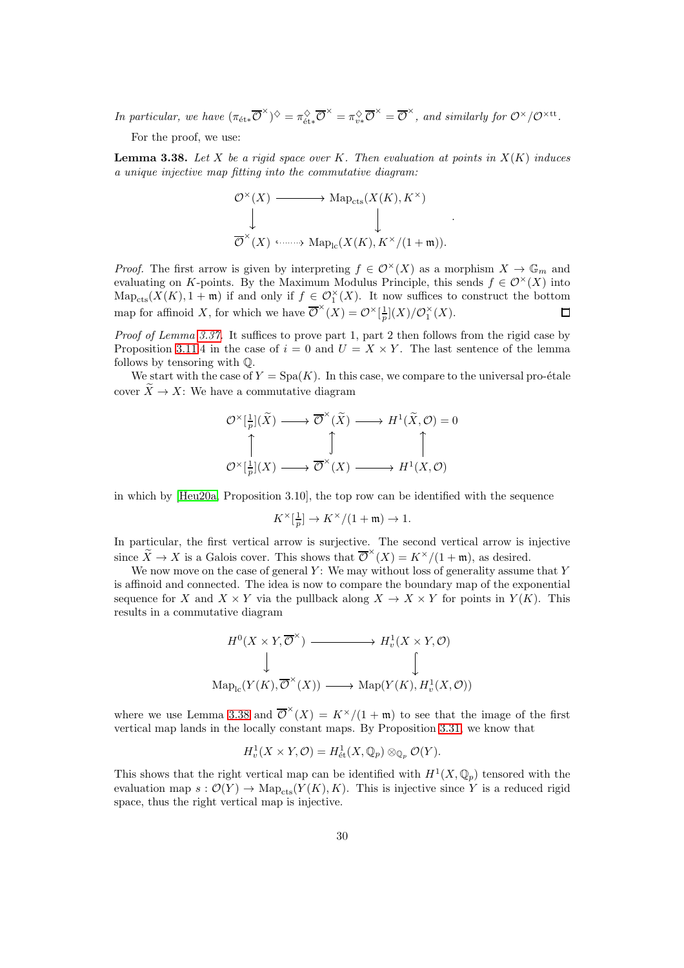In particular, we have  $(\pi_{\text{\'et}*}\overline{\mathcal{O}}^{\times})^{\diamondsuit} = \pi_{\text{\'et}*}^{\diamondsuit}\overline{\mathcal{O}}^{\times} = \pi_{v*}^{\diamondsuit}\overline{\mathcal{O}}^{\times} = \overline{\mathcal{O}}^{\times}$ , and similarly for  $\mathcal{O}^{\times}/\mathcal{O}^{\times \text{tt}}$ .

For the proof, we use:

<span id="page-29-0"></span>**Lemma 3.38.** Let X be a rigid space over K. Then evaluation at points in  $X(K)$  induces a unique injective map fitting into the commutative diagram:

$$
\mathcal{O}^{\times}(X) \longrightarrow \mathrm{Map}_{\mathrm{cts}}(X(K), K^{\times})
$$
  
\n
$$
\downarrow \qquad \qquad \downarrow
$$
  
\n
$$
\overline{\mathcal{O}}^{\times}(X) \longrightarrow \mathrm{Map}_{\mathrm{lc}}(X(K), K^{\times}/(1+\mathfrak{m})).
$$

.

*Proof.* The first arrow is given by interpreting  $f \in \mathcal{O}^{\times}(X)$  as a morphism  $X \to \mathbb{G}_m$  and evaluating on K-points. By the Maximum Modulus Principle, this sends  $f \in \mathcal{O}^{\times}(X)$  into  $\text{Map}_{\text{cts}}(X(K), 1 + \mathfrak{m})$  if and only if  $f \in \mathcal{O}_1^{\times}(X)$ . It now suffices to construct the bottom map for affinoid X, for which we have  $\overline{\mathcal{O}}^{\times}(X) = \mathcal{O}^{\times}[\frac{1}{p}](X)/\mathcal{O}_1^{\times}(X)$ .  $\Box$ 

Proof of Lemma [3.37.](#page-28-0) It suffices to prove part 1, part 2 then follows from the rigid case by Proposition [3.11.](#page-17-0)4 in the case of  $i = 0$  and  $U = X \times Y$ . The last sentence of the lemma follows by tensoring with Q.

We start with the case of  $Y = \text{Spa}(K)$ . In this case, we compare to the universal pro-étale cover  $\overline{X} \to \overline{X}$ : We have a commutative diagram

$$
\mathcal{O}^{\times}[\frac{1}{p}](\widetilde{X}) \longrightarrow \overline{\mathcal{O}}^{\times}(\widetilde{X}) \longrightarrow H^{1}(\widetilde{X}, \mathcal{O}) = 0
$$
  

$$
\uparrow \qquad \qquad \uparrow \qquad \qquad \uparrow \qquad \qquad \uparrow
$$
  

$$
\mathcal{O}^{\times}[\frac{1}{p}](X) \longrightarrow \overline{\mathcal{O}}^{\times}(X) \longrightarrow H^{1}(X, \mathcal{O})
$$

in which by [\[Heu20a,](#page-51-4) Proposition 3.10], the top row can be identified with the sequence

$$
K^\times[\tfrac{1}{p}] \to K^\times/(1+\mathfrak{m}) \to 1.
$$

In particular, the first vertical arrow is surjective. The second vertical arrow is injective since  $\widetilde{X} \to X$  is a Galois cover. This shows that  $\overline{\mathcal{O}}^{\times}(X) = K^{\times}/(1 + \mathfrak{m})$ , as desired.

We now move on the case of general  $Y$ : We may without loss of generality assume that Y is affinoid and connected. The idea is now to compare the boundary map of the exponential sequence for X and  $X \times Y$  via the pullback along  $X \to X \times Y$  for points in  $Y(K)$ . This results in a commutative diagram



where we use Lemma [3.38](#page-29-0) and  $\overline{\mathcal{O}}^{*}(X) = K^{\times}/(1+\mathfrak{m})$  to see that the image of the first vertical map lands in the locally constant maps. By Proposition [3.31,](#page-26-1) we know that

$$
H_v^1(X \times Y, \mathcal{O}) = H^1_{\text{\'et}}(X, \mathbb{Q}_p) \otimes_{\mathbb{Q}_p} \mathcal{O}(Y).
$$

This shows that the right vertical map can be identified with  $H^1(X, \mathbb{Q}_p)$  tensored with the evaluation map  $s: \mathcal{O}(Y) \to \text{Map}_{\text{cts}}(Y(K), K)$ . This is injective since Y is a reduced rigid space, thus the right vertical map is injective.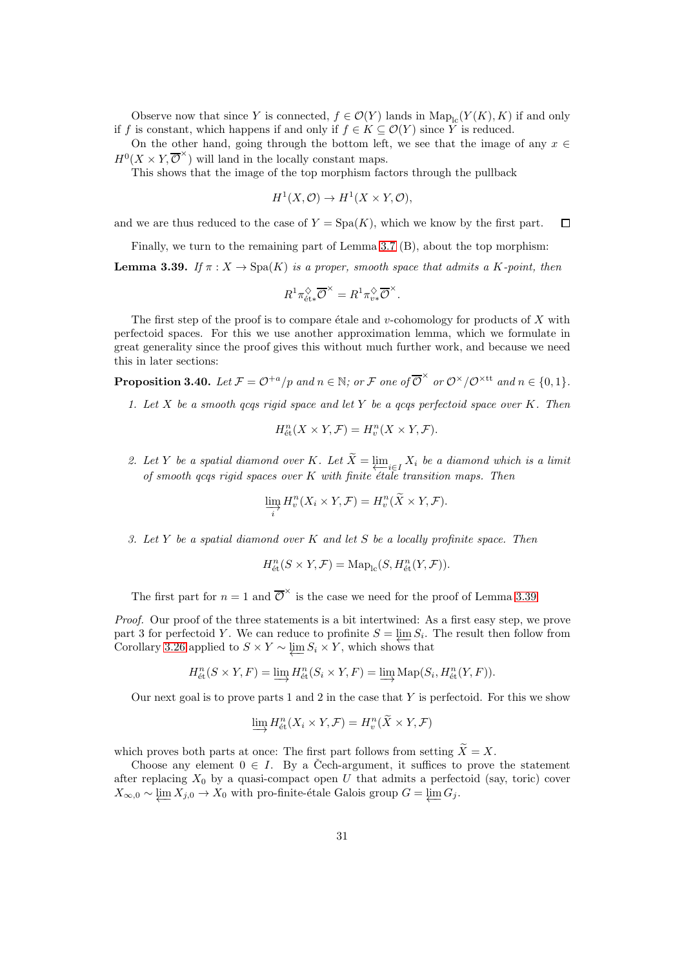Observe now that since Y is connected,  $f \in \mathcal{O}(Y)$  lands in  $\text{Map}_{\text{lc}}(Y(K), K)$  if and only if f is constant, which happens if and only if  $f \in K \subseteq \mathcal{O}(Y)$  since Y is reduced.

On the other hand, going through the bottom left, we see that the image of any  $x \in$  $H^0(X \times Y, \overline{\mathcal{O}}^{\times})$  will land in the locally constant maps.

This shows that the image of the top morphism factors through the pullback

$$
H^1(X, \mathcal{O}) \to H^1(X \times Y, \mathcal{O}),
$$

and we are thus reduced to the case of  $Y = \text{Spa}(K)$ , which we know by the first part.  $\Box$ 

Finally, we turn to the remaining part of Lemma [3.7](#page-16-2) (B), about the top morphism:

<span id="page-30-0"></span>**Lemma 3.39.** If  $\pi: X \to \text{Spa}(K)$  is a proper, smooth space that admits a K-point, then

$$
R^1 \pi_{\mathrm{\acute{e}t}*}^{\Diamond} \overline{\mathcal{O}}^{\times} = R^1 \pi_{v*}^{\Diamond} \overline{\mathcal{O}}^{\times}.
$$

The first step of the proof is to compare étale and v-cohomology for products of X with perfectoid spaces. For this we use another approximation lemma, which we formulate in great generality since the proof gives this without much further work, and because we need this in later sections:

<span id="page-30-1"></span>**Proposition 3.40.** Let  $\mathcal{F} = \mathcal{O}^{+a}/p$  and  $n \in \mathbb{N}$ ; or  $\mathcal{F}$  one of  $\overline{\mathcal{O}}^{\times}$  or  $\mathcal{O}^{\times}/\mathcal{O}^{\times}$ tt and  $n \in \{0,1\}$ .

1. Let  $X$  be a smooth qcqs rigid space and let  $Y$  be a qcqs perfectoid space over  $K$ . Then

$$
H_{\text{\'et}}^n(X \times Y, \mathcal{F}) = H_v^n(X \times Y, \mathcal{F}).
$$

2. Let Y be a spatial diamond over K. Let  $X = \varprojlim_{i \in I} X_i$  be a diamond which is a limit of smooth gcqs rigid spaces over K with finite  $\epsilon t$  and transition maps. Then

$$
\varinjlim_{i} H_{v}^{n}(X_{i} \times Y, \mathcal{F}) = H_{v}^{n}(\widetilde{X} \times Y, \mathcal{F}).
$$

<span id="page-30-2"></span>3. Let Y be a spatial diamond over K and let S be a locally profinite space. Then

$$
H_{\text{\'et}}^n(S \times Y, \mathcal{F}) = \text{Map}_{\text{lc}}(S, H_{\text{\'et}}^n(Y, \mathcal{F})).
$$

The first part for  $n=1$  and  $\overline{\mathcal{O}}^{\times}$  is the case we need for the proof of Lemma [3.39.](#page-30-0)

Proof. Our proof of the three statements is a bit intertwined: As a first easy step, we prove part 3 for perfectoid Y. We can reduce to profinite  $S = \lim S_i$ . The result then follow from Figure 5 for perfection  $\overline{I}$ . We can reduce to promine  $S = \underleftarrow{\lim_{i} S_i}$ .<br>Corollary [3.26](#page-24-0) applied to  $S \times Y \sim \underleftarrow{\lim_{i} S_i} \times Y$ , which shows that

$$
H_{\text{\'et}}^n(S \times Y, F) = \varinjlim H_{\text{\'et}}^n(S_i \times Y, F) = \varinjlim \operatorname{Map}(S_i, H_{\text{\'et}}^n(Y, F)).
$$

Our next goal is to prove parts 1 and 2 in the case that  $Y$  is perfectoid. For this we show

$$
\varinjlim H_{\text{\'et}}^n(X_i \times Y, \mathcal{F}) = H_v^n(\widetilde{X} \times Y, \mathcal{F})
$$

which proves both parts at once: The first part follows from setting  $\widetilde{X} = X$ .

Choose any element  $0 \in I$ . By a Cech-argument, it suffices to prove the statement after replacing  $X_0$  by a quasi-compact open U that admits a perfectoid (say, toric) cover  $X_{\infty,0} \sim \varprojlim X_{j,0} \to X_0$  with pro-finite-étale Galois group  $G = \varprojlim G_j$ .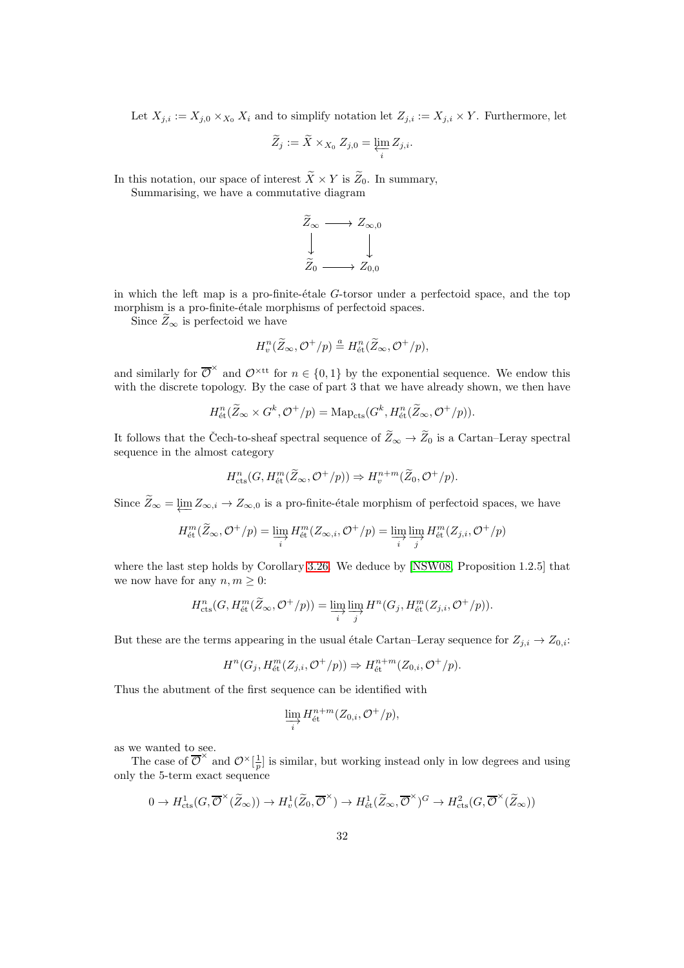Let  $X_{j,i} := X_{j,0} \times_{X_0} X_i$  and to simplify notation let  $Z_{j,i} := X_{j,i} \times Y$ . Furthermore, let

$$
\widetilde{Z}_j := \widetilde{X} \times_{X_0} Z_{j,0} = \varprojlim_i Z_{j,i}.
$$

In this notation, our space of interest  $\widetilde{X} \times Y$  is  $\widetilde{Z}_0$ . In summary, Summarising, we have a commutative diagram

$$
\begin{array}{ccc}\n\bar{Z}_{\infty} & \longrightarrow & Z_{\infty,0} \\
\downarrow & & \downarrow \\
\widetilde{Z}_{0} & \longrightarrow & Z_{0,0}\n\end{array}
$$

in which the left map is a pro-finite-étale  $G$ -torsor under a perfectoid space, and the top morphism is a pro-finite-étale morphisms of perfectoid spaces.

Since  $\widetilde{Z}_{\infty}$  is perfectoid we have

$$
H^n_v(\widetilde{Z}_{\infty}, \mathcal{O}^+/p) \stackrel{a}{=} H^n_{\text{\'et}}(\widetilde{Z}_{\infty}, \mathcal{O}^+/p),
$$

and similarly for  $\overline{\mathcal{O}}^{\times}$  and  $\mathcal{O}^{\times \text{tt}}$  for  $n \in \{0,1\}$  by the exponential sequence. We endow this with the discrete topology. By the case of part 3 that we have already shown, we then have

$$
H^{n}_{\mathrm{\acute{e}t}}(\widetilde{Z}_{\infty} \times G^{k}, \mathcal{O}^{+}/p) = \mathrm{Map}_{\mathrm{cts}}(G^{k}, H^{n}_{\mathrm{\acute{e}t}}(\widetilde{Z}_{\infty}, \mathcal{O}^{+}/p)).
$$

It follows that the Čech-to-sheaf spectral sequence of  $\widetilde{Z}_{\infty} \to \widetilde{Z}_0$  is a Cartan–Leray spectral sequence in the almost category

$$
H^n_{\text{cts}}(G, H^m_{\text{\'et}}(\widetilde{Z}_{\infty}, \mathcal{O}^+/p)) \Rightarrow H^{n+m}_{v}(\widetilde{Z}_0, \mathcal{O}^+/p).
$$

Since  $Z_{\infty} = \varprojlim Z_{\infty,i} \to Z_{\infty,0}$  is a pro-finite-étale morphism of perfectoid spaces, we have

$$
H^{m}_{\text{\'et}}(\widetilde{Z}_{\infty}, \mathcal{O}^{+}/p) = \varinjlim_{i} H^{m}_{\text{\'et}}(Z_{\infty,i}, \mathcal{O}^{+}/p) = \varinjlim_{i} \varinjlim_{j} H^{m}_{\text{\'et}}(Z_{j,i}, \mathcal{O}^{+}/p)
$$

where the last step holds by Corollary [3.26.](#page-24-0) We deduce by [\[NSW08,](#page-52-13) Proposition 1.2.5] that we now have for any  $n, m \geq 0$ :

$$
H^{n}_{\mathrm{cts}}(G, H^{m}_{\mathrm{\acute{e}t}}(\widetilde{Z}_{\infty}, \mathcal{O}^{+}/p)) = \varinjlim_{i} \varinjlim_{j} H^{n}(G_{j}, H^{m}_{\mathrm{\acute{e}t}}(Z_{j,i}, \mathcal{O}^{+}/p)).
$$

But these are the terms appearing in the usual étale Cartan–Leray sequence for  $Z_{j,i} \to Z_{0,i}$ :

$$
H^{n}(G_{j}, H^{m}_{\text{\'et}}(Z_{j,i}, \mathcal O^{+}/p)) \Rightarrow H^{n+m}_{\text{\'et}}(Z_{0,i}, \mathcal O^{+}/p).
$$

Thus the abutment of the first sequence can be identified with

$$
\varinjlim_{i} H^{n+m}_{\text{\'et}}(Z_{0,i}, \mathcal O^+/p),
$$

as we wanted to see.

The case of  $\overline{\mathcal{O}}^{\times}$  and  $\mathcal{O}^{\times}[\frac{1}{p}]$  is similar, but working instead only in low degrees and using only the 5-term exact sequence

$$
0\to H^1_{\mathrm{cts}}(G,\overline{\mathcal{O}}^{\times}(\widetilde{Z}_{\infty}))\to H^1_v(\widetilde{Z}_0,\overline{\mathcal{O}}^{\times})\to H^1_{\mathrm{\acute{e}t}}(\widetilde{Z}_{\infty},\overline{\mathcal{O}}^{\times})^G\to H^2_{\mathrm{cts}}(G,\overline{\mathcal{O}}^{\times}(\widetilde{Z}_{\infty}))
$$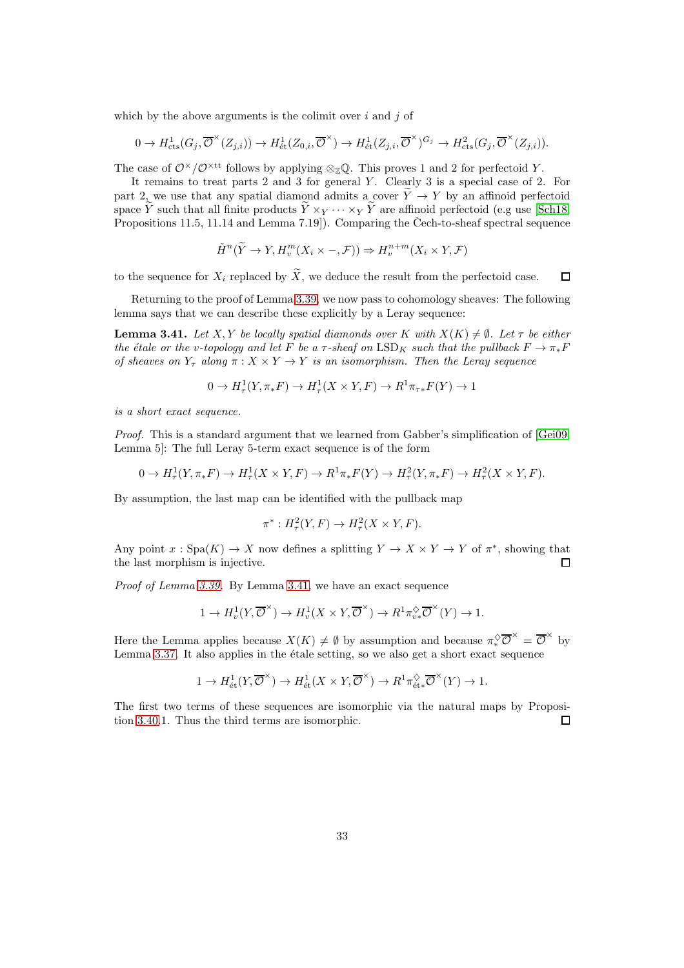which by the above arguments is the colimit over  $i$  and  $j$  of

$$
0 \to H^1_{\text{cts}}(G_j, \overline{\mathcal{O}}^{\times}(Z_{j,i})) \to H^1_{\text{\'et}}(Z_{0,i}, \overline{\mathcal{O}}^{\times}) \to H^1_{\text{\'et}}(Z_{j,i}, \overline{\mathcal{O}}^{\times})^{G_j} \to H^2_{\text{cts}}(G_j, \overline{\mathcal{O}}^{\times}(Z_{j,i})).
$$

The case of  $\mathcal{O}^{\times}/\mathcal{O}^{\times}$ <sup>tt</sup> follows by applying  $\otimes_{\mathbb{Z}} \mathbb{Q}$ . This proves 1 and 2 for perfectoid Y.

It remains to treat parts  $2$  and  $3$  for general  $Y$ . Clearly  $3$  is a special case of  $2$ . For part 2, we use that any spatial diamond admits a cover  $\widetilde{Y} \to Y$  by an affinoid perfectoid space  $\tilde{Y}$  such that all finite products  $\tilde{Y} \times_Y \cdots \times_Y \tilde{Y}$  are affinoid perfectoid (e.g use [\[Sch18,](#page-52-5) Propositions 11.5, 11.14 and Lemma 7.19]). Comparing the Čech-to-sheaf spectral sequence

$$
\check{H}^n(\widetilde{Y} \to Y, H_v^m(X_i \times -, \mathcal{F})) \Rightarrow H_v^{n+m}(X_i \times Y, \mathcal{F})
$$

to the sequence for  $X_i$  replaced by  $\widetilde{X}$ , we deduce the result from the perfectoid case.  $\Box$ 

Returning to the proof of Lemma [3.39,](#page-30-0) we now pass to cohomology sheaves: The following lemma says that we can describe these explicitly by a Leray sequence:

<span id="page-32-0"></span>**Lemma 3.41.** Let X, Y be locally spatial diamonds over K with  $X(K) \neq \emptyset$ . Let  $\tau$  be either the étale or the v-topology and let F be a  $\tau$ -sheaf on LSD<sub>K</sub> such that the pullback  $F \to \pi_*F$ of sheaves on  $Y_{\tau}$  along  $\pi: X \times Y \to Y$  is an isomorphism. Then the Leray sequence

$$
0 \to H^1_\tau(Y, \pi_* F) \to H^1_\tau(X \times Y, F) \to R^1 \pi_{\tau *} F(Y) \to 1
$$

is a short exact sequence.

Proof. This is a standard argument that we learned from Gabber's simplification of [\[Gei09,](#page-51-17) Lemma 5]: The full Leray 5-term exact sequence is of the form

$$
0 \to H^1_\tau(Y, \pi_* F) \to H^1_\tau(X \times Y, F) \to R^1 \pi_* F(Y) \to H^2_\tau(Y, \pi_* F) \to H^2_\tau(X \times Y, F).
$$

By assumption, the last map can be identified with the pullback map

$$
\pi^* : H^2_\tau(Y, F) \to H^2_\tau(X \times Y, F).
$$

Any point  $x: Spa(K) \to X$  now defines a splitting  $Y \to X \times Y \to Y$  of  $\pi^*$ , showing that the last morphism is injective.  $\Box$ 

Proof of Lemma [3.39.](#page-30-0) By Lemma [3.41,](#page-32-0) we have an exact sequence

$$
1\to H^1_v(Y,\overline{\mathcal{O}}^{\times})\to H^1_v(X\times Y,\overline{\mathcal{O}}^{\times})\to R^1\pi^\diamondsuit_{v*}\overline{\mathcal{O}}^{\times}(Y)\to 1.
$$

Here the Lemma applies because  $X(K) \neq \emptyset$  by assumption and because  $\pi_*^{\diamondsuit} \overline{\mathcal{O}}^{\times} = \overline{\mathcal{O}}^{\times}$  by Lemma  $3.37$ . It also applies in the étale setting, so we also get a short exact sequence

$$
1 \to H^1_{\text{\'et}}(Y, \overline{\mathcal{O}}^{\times}) \to H^1_{\text{\'et}}(X \times Y, \overline{\mathcal{O}}^{\times}) \to R^1 \pi_{\text{\'et}*}^{\lozenge} \overline{\mathcal{O}}^{\times}(Y) \to 1.
$$

The first two terms of these sequences are isomorphic via the natural maps by Proposition [3.40.](#page-30-1)1. Thus the third terms are isomorphic. 口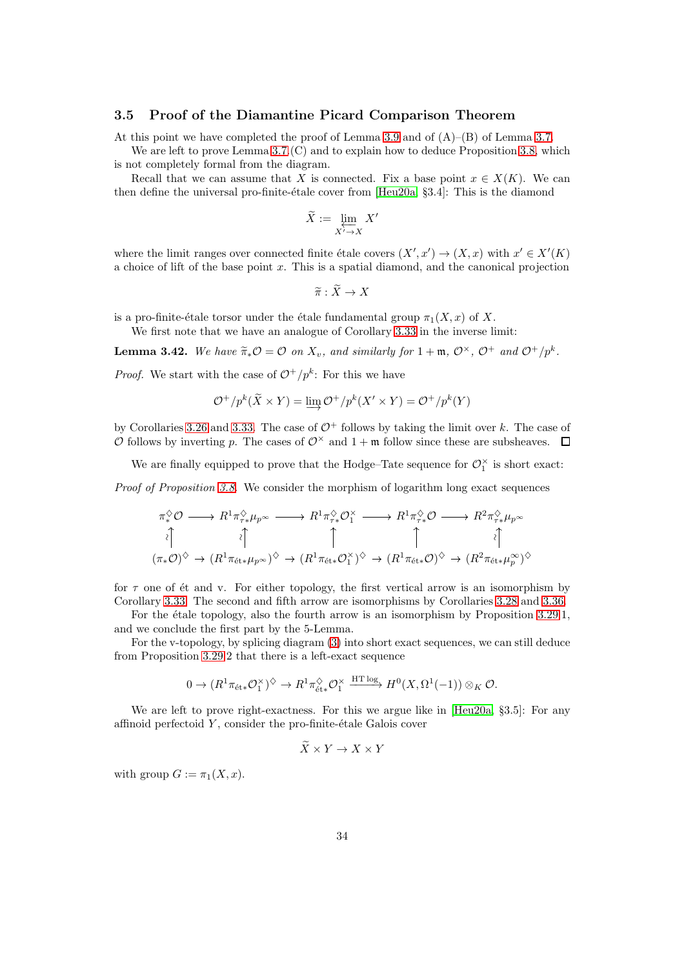#### 3.5 Proof of the Diamantine Picard Comparison Theorem

At this point we have completed the proof of Lemma [3.9](#page-16-3) and of  $(A)$ – $(B)$  of Lemma [3.7.](#page-16-2)

We are left to prove Lemma [3.7.](#page-16-2)(C) and to explain how to deduce Proposition [3.8,](#page-16-0) which is not completely formal from the diagram.

Recall that we can assume that X is connected. Fix a base point  $x \in X(K)$ . We can then define the universal pro-finite-étale cover from  $[Heu20a, §3.4]$ : This is the diamond

$$
\widetilde{X} := \varprojlim_{X' \to X} X'
$$

where the limit ranges over connected finite étale covers  $(X', x') \to (X, x)$  with  $x' \in X'(K)$ a choice of lift of the base point  $x$ . This is a spatial diamond, and the canonical projection

 $\widetilde{\pi} : \widetilde{X} \to X$ 

is a pro-finite-étale torsor under the étale fundamental group  $\pi_1(X, x)$  of X.

We first note that we have an analogue of Corollary [3.33](#page-27-2) in the inverse limit:

<span id="page-33-0"></span>**Lemma 3.42.** We have  $\widetilde{\pi}_*\mathcal{O} = \mathcal{O}$  on  $X_v$ , and similarly for  $1 + \mathfrak{m}$ ,  $\mathcal{O}^{\times}$ ,  $\mathcal{O}^+$  and  $\mathcal{O}^+/p^k$ .

*Proof.* We start with the case of  $\mathcal{O}^+/p^k$ : For this we have

$$
\mathcal{O}^+/p^k(\widetilde{X} \times Y) = \varinjlim \mathcal{O}^+/p^k(X' \times Y) = \mathcal{O}^+/p^k(Y)
$$

by Corollaries [3.26](#page-24-0) and [3.33.](#page-27-2) The case of  $\mathcal{O}^+$  follows by taking the limit over k. The case of O follows by inverting p. The cases of  $\mathcal{O}^{\times}$  and  $1+\mathfrak{m}$  follow since these are subsheaves.  $\Box$ 

We are finally equipped to prove that the Hodge–Tate sequence for  $\mathcal{O}_1^{\times}$  is short exact:

Proof of Proposition [3.8.](#page-16-0) We consider the morphism of logarithm long exact sequences

$$
\pi^{\diamondsuit}_* \mathcal{O} \longrightarrow R^1 \pi^{\diamondsuit}_{\tau \ast} \mu_{p^{\infty}} \longrightarrow R^1 \pi^{\diamondsuit}_{\tau \ast} \mathcal{O}_1^{\times} \longrightarrow R^1 \pi^{\diamondsuit}_{\tau \ast} \mathcal{O} \longrightarrow R^2 \pi^{\diamondsuit}_{\tau \ast} \mu_{p^{\infty}}
$$
\n
$$
\begin{array}{ccc}\n\downarrow & & \uparrow & & \uparrow & & \downarrow \\
(\pi_* \mathcal{O})^{\diamondsuit} \rightarrow (R^1 \pi_{\text{\'{e}t \ast}} \mu_{p^{\infty}})^{\diamondsuit} \rightarrow (R^1 \pi_{\text{\'{e}t \ast}} \mathcal{O}_1^{\times})^{\diamondsuit} \rightarrow (R^1 \pi_{\text{\'{e}t \ast}} \mathcal{O})^{\diamondsuit} \rightarrow (R^2 \pi_{\text{\'{e}t \ast}} \mu^{\infty}_{p})^{\diamondsuit}\n\end{array}
$$

for  $\tau$  one of ét and v. For either topology, the first vertical arrow is an isomorphism by Corollary [3.33.](#page-27-2) The second and fifth arrow are isomorphisms by Corollaries [3.28](#page-25-1) and [3.36.](#page-28-1)

For the étale topology, also the fourth arrow is an isomorphism by Proposition  $3.29.1$ , and we conclude the first part by the 5-Lemma.

For the v-topology, by splicing diagram [\(3\)](#page-16-1) into short exact sequences, we can still deduce from Proposition [3.29.](#page-25-0)2 that there is a left-exact sequence

$$
0 \to (R^1 \pi_{\text{\'et}*} \mathcal{O}_1^\times)^\diamondsuit \to R^1 \pi_{\text{\'et}*}^\diamondsuit \mathcal{O}_1^\times \xrightarrow{\text{HT log}} H^0(X, \Omega^1(-1)) \otimes_K \mathcal{O}.
$$

We are left to prove right-exactness. For this we argue like in [\[Heu20a,](#page-51-4) §3.5]: For any affinoid perfectoid  $Y$ , consider the pro-finite-étale Galois cover

$$
X \times Y \to X \times Y
$$

with group  $G := \pi_1(X, x)$ .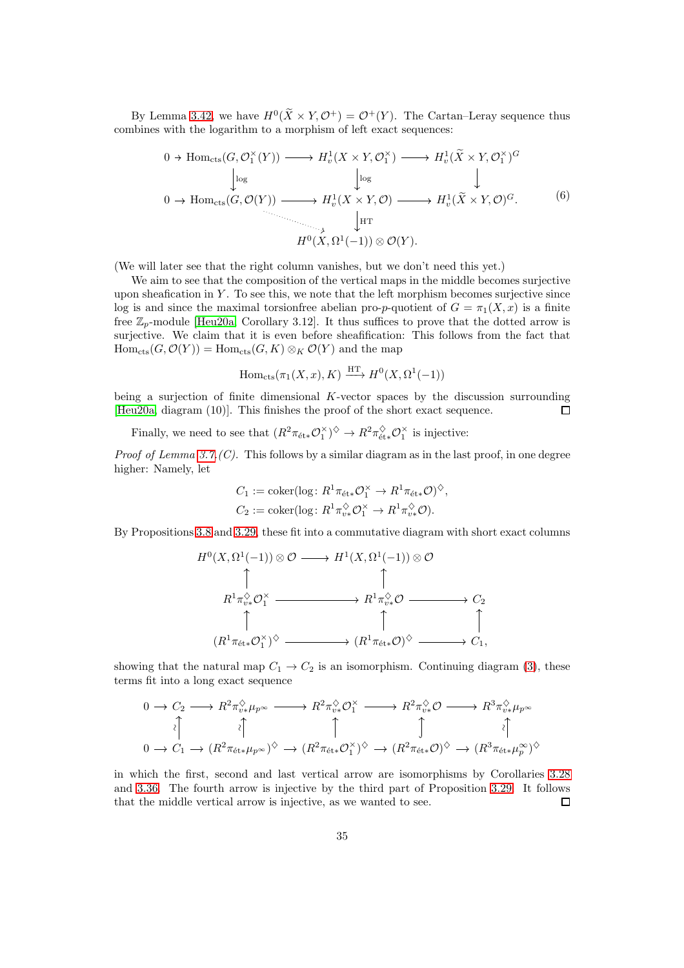By Lemma [3.42,](#page-33-0) we have  $H^0(X \times Y, \mathcal{O}^+) = \mathcal{O}^+(Y)$ . The Cartan–Leray sequence thus combines with the logarithm to a morphism of left exact sequences:

<span id="page-34-0"></span>
$$
0 \to \text{Hom}_{\text{cts}}(G, \mathcal{O}_{1}^{\times}(Y)) \longrightarrow H_{v}^{1}(X \times Y, \mathcal{O}_{1}^{\times}) \longrightarrow H_{v}^{1}(\widetilde{X} \times Y, \mathcal{O}_{1}^{\times})^{G}
$$
\n
$$
\downarrow \text{log}
$$
\n
$$
0 \to \text{Hom}_{\text{cts}}(G, \mathcal{O}(Y)) \longrightarrow H_{v}^{1}(X \times Y, \mathcal{O}) \longrightarrow H_{v}^{1}(\widetilde{X} \times Y, \mathcal{O})^{G}.
$$
\n
$$
\downarrow \text{HT}
$$
\n
$$
H^{0}(X, \Omega^{1}(-1)) \otimes \mathcal{O}(Y).
$$
\n
$$
(6)
$$

(We will later see that the right column vanishes, but we don't need this yet.)

We aim to see that the composition of the vertical maps in the middle becomes surjective upon sheafication in  $Y$ . To see this, we note that the left morphism becomes surjective since log is and since the maximal torsionfree abelian pro-p-quotient of  $G = \pi_1(X, x)$  is a finite free  $\mathbb{Z}_n$ -module [\[Heu20a,](#page-51-4) Corollary 3.12]. It thus suffices to prove that the dotted arrow is surjective. We claim that it is even before sheafification: This follows from the fact that  $\text{Hom}_{\text{cts}}(G, \mathcal{O}(Y)) = \text{Hom}_{\text{cts}}(G, K) \otimes_K \mathcal{O}(Y)$  and the map

$$
\mathrm{Hom}_{\mathrm{cts}}(\pi_1(X, x), K) \xrightarrow{\mathrm{HT}} H^0(X, \Omega^1(-1))
$$

being a surjection of finite dimensional  $K$ -vector spaces by the discussion surrounding [\[Heu20a,](#page-51-4) diagram (10)]. This finishes the proof of the short exact sequence.  $\Box$ 

Finally, we need to see that  $(R^2 \pi_{\text{\'{e}t}*} \mathcal{O}_1^{\times})^{\diamondsuit} \to R^2 \pi_{\text{\'{e}t}*}^{\diamondsuit} \mathcal{O}_1^{\times}$  is injective:

*Proof of Lemma [3.7.](#page-16-2)(C).* This follows by a similar diagram as in the last proof, in one degree higher: Namely, let

$$
C_1 := \operatorname{coker}(\log: R^1 \pi_{\text{\'et}*} \mathcal{O}_1^{\times} \to R^1 \pi_{\text{\'et}*} \mathcal{O})^{\diamondsuit},
$$
  

$$
C_2 := \operatorname{coker}(\log: R^1 \pi_{\nu *}^{\diamondsuit} \mathcal{O}_1^{\times} \to R^1 \pi_{\nu *}^{\diamondsuit} \mathcal{O}).
$$

By Propositions [3.8](#page-16-0) and [3.29,](#page-25-0) these fit into a commutative diagram with short exact columns

$$
H^{0}(X, \Omega^{1}(-1)) \otimes \mathcal{O} \longrightarrow H^{1}(X, \Omega^{1}(-1)) \otimes \mathcal{O}
$$
  
\n
$$
\uparrow \qquad \qquad \uparrow
$$
  
\n
$$
R^{1}\pi_{\upsilon\ast}^{\lozenge} \mathcal{O}_{1}^{\times} \longrightarrow R^{1}\pi_{\upsilon\ast}^{\lozenge} \mathcal{O} \longrightarrow \text{C}_{2}
$$
  
\n
$$
\uparrow \qquad \qquad \uparrow \qquad \qquad \uparrow
$$
  
\n
$$
(R^{1}\pi_{\text{\'et}*}\mathcal{O}_{1}^{\times})^{\lozenge} \longrightarrow (R^{1}\pi_{\text{\'et}*}\mathcal{O})^{\lozenge} \longrightarrow \text{C}_{1},
$$

showing that the natural map  $C_1 \rightarrow C_2$  is an isomorphism. Continuing diagram [\(3\)](#page-16-1), these terms fit into a long exact sequence

$$
\begin{array}{ccc}\n0 \to C_2 \longrightarrow R^2 \pi_{v*}^{\diamondsuit} \mu_{p^{\infty}} & \longrightarrow R^2 \pi_{v*}^{\diamondsuit} \mathcal{O}_1^{\times} & \longrightarrow R^2 \pi_{v*}^{\diamondsuit} \mathcal{O} \longrightarrow R^3 \pi_{v*}^{\diamondsuit} \mu_{p^{\infty}} \\
\downarrow & \downarrow & \uparrow & \uparrow & \uparrow \\
0 \to C_1 \to (R^2 \pi_{\text{\'et}*} \mu_{p^{\infty}})^{\diamondsuit} & \to (R^2 \pi_{\text{\'et}*} \mathcal{O}_1^{\times})^{\diamondsuit} & \to (R^2 \pi_{\text{\'et}*} \mathcal{O})^{\diamondsuit} \to (R^3 \pi_{\text{\'et}*} \mu_{p^{\infty}}^{\infty})^{\diamondsuit}\n\end{array}
$$

in which the first, second and last vertical arrow are isomorphisms by Corollaries [3.28](#page-25-1) and [3.36.](#page-28-1) The fourth arrow is injective by the third part of Proposition [3.29.](#page-25-0) It follows that the middle vertical arrow is injective, as we wanted to see.  $\Box$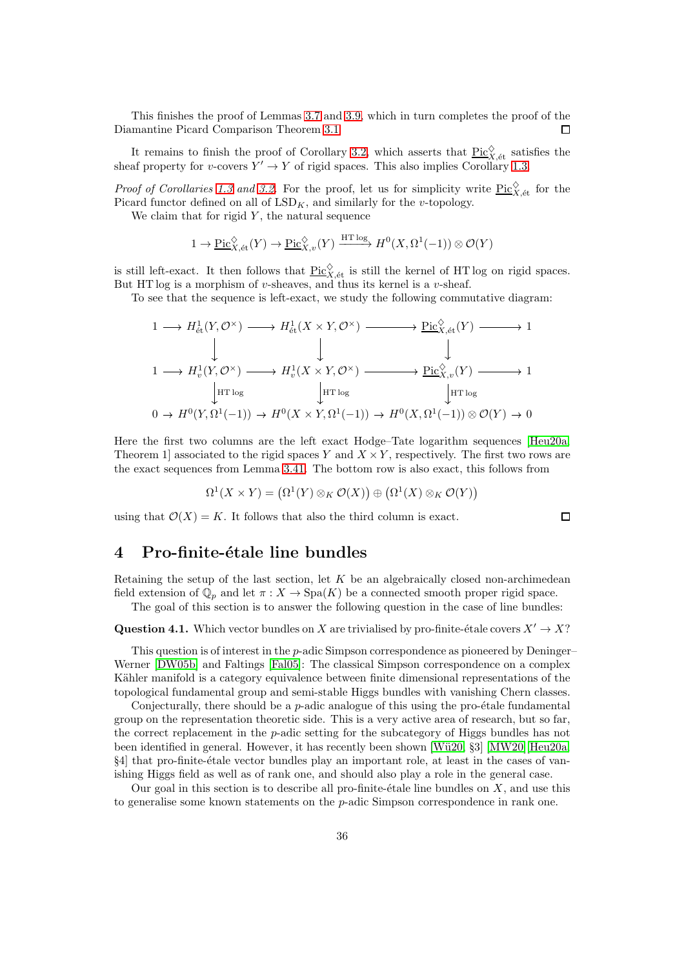This finishes the proof of Lemmas [3.7](#page-16-2) and [3.9,](#page-16-3) which in turn completes the proof of the Diamantine Picard Comparison Theorem [3.1](#page-14-0)  $\Box$ 

It remains to finish the proof of Corollary [3.2,](#page-15-0) which asserts that  $\underline{Pic}^{\diamondsuit}_{X,\text{\'et}}$  satisfies the sheaf property for v-covers  $Y' \to Y$  of rigid spaces. This also implies Corollary [1.3.](#page-2-2)

*Proof of Corollaries [1.3](#page-2-2) and [3.2.](#page-15-0)* For the proof, let us for simplicity write  $\underline{\text{Pic}}_{X,\text{\'et}}^{\diamondsuit}$  for the Picard functor defined on all of  $LSD_K$ , and similarly for the *v*-topology.

We claim that for rigid  $Y$ , the natural sequence

 $1 \to \underline{\mathrm{Pic}}_{X,\text{\'et}}^{\diamondsuit}(Y) \to \underline{\mathrm{Pic}}_{X,v}^{\diamondsuit}(Y) \xrightarrow{\text{HT log}} H^0(X,\Omega^1(-1)) \otimes \mathcal{O}(Y)$ 

is still left-exact. It then follows that  $Pic^{\diamond}_{X,\text{\'et}}$  is still the kernel of HT log on rigid spaces. But HT log is a morphism of v-sheaves, and thus its kernel is a v-sheaf.

To see that the sequence is left-exact, we study the following commutative diagram:

$$
1 \longrightarrow H_{\text{\'et}}^1(Y, \mathcal{O}^\times) \longrightarrow H_{\text{\'et}}^1(X \times Y, \mathcal{O}^\times) \longrightarrow \text{Pic}_{X, \text{\'et}}^{\lozenge}(Y) \longrightarrow 1
$$
\n
$$
1 \longrightarrow H_v^1(Y, \mathcal{O}^\times) \longrightarrow H_v^1(X \times Y, \mathcal{O}^\times) \longrightarrow \text{Pic}_{X, v}^{\lozenge}(Y) \longrightarrow 1
$$
\n
$$
\downarrow \text{HT} \log \qquad \qquad \downarrow \text{HT} \log \qquad \qquad \downarrow \text{HT} \log
$$
\n
$$
0 \longrightarrow H^0(Y, \Omega^1(-1)) \longrightarrow H^0(X \times Y, \Omega^1(-1)) \longrightarrow H^0(X, \Omega^1(-1)) \otimes \mathcal{O}(Y) \longrightarrow 0
$$

Here the first two columns are the left exact Hodge–Tate logarithm sequences [\[Heu20a,](#page-51-4) Theorem 1 associated to the rigid spaces Y and  $X \times Y$ , respectively. The first two rows are the exact sequences from Lemma [3.41.](#page-32-0) The bottom row is also exact, this follows from

$$
\Omega^1(X \times Y) = (\Omega^1(Y) \otimes_K \mathcal{O}(X)) \oplus (\Omega^1(X) \otimes_K \mathcal{O}(Y))
$$

using that  $\mathcal{O}(X) = K$ . It follows that also the third column is exact.

 $\Box$ 

## 4 Pro-finite-étale line bundles

Retaining the setup of the last section, let  $K$  be an algebraically closed non-archimedean field extension of  $\mathbb{Q}_p$  and let  $\pi : X \to \text{Spa}(K)$  be a connected smooth proper rigid space.

The goal of this section is to answer the following question in the case of line bundles:

#### <span id="page-35-0"></span>Question 4.1. Which vector bundles on X are trivialised by pro-finite-étale covers  $X' \to X$ ?

This question is of interest in the  $p$ -adic Simpson correspondence as pioneered by Deninger– Werner [\[DW05b\]](#page-51-8) and Faltings [\[Fal05\]](#page-51-5): The classical Simpson correspondence on a complex Kähler manifold is a category equivalence between finite dimensional representations of the topological fundamental group and semi-stable Higgs bundles with vanishing Chern classes.

Conjecturally, there should be a  $p$ -adic analogue of this using the pro- $\acute{e}$ tale fundamental group on the representation theoretic side. This is a very active area of research, but so far, the correct replacement in the p-adic setting for the subcategory of Higgs bundles has not been identified in general. However, it has recently been shown [Wü20, §3] [\[MW20\]](#page-52-14)[\[Heu20a,](#page-51-4) §4] that pro-finite-étale vector bundles play an important role, at least in the cases of vanishing Higgs field as well as of rank one, and should also play a role in the general case.

Our goal in this section is to describe all pro-finite-étale line bundles on  $X$ , and use this to generalise some known statements on the  $p$ -adic Simpson correspondence in rank one.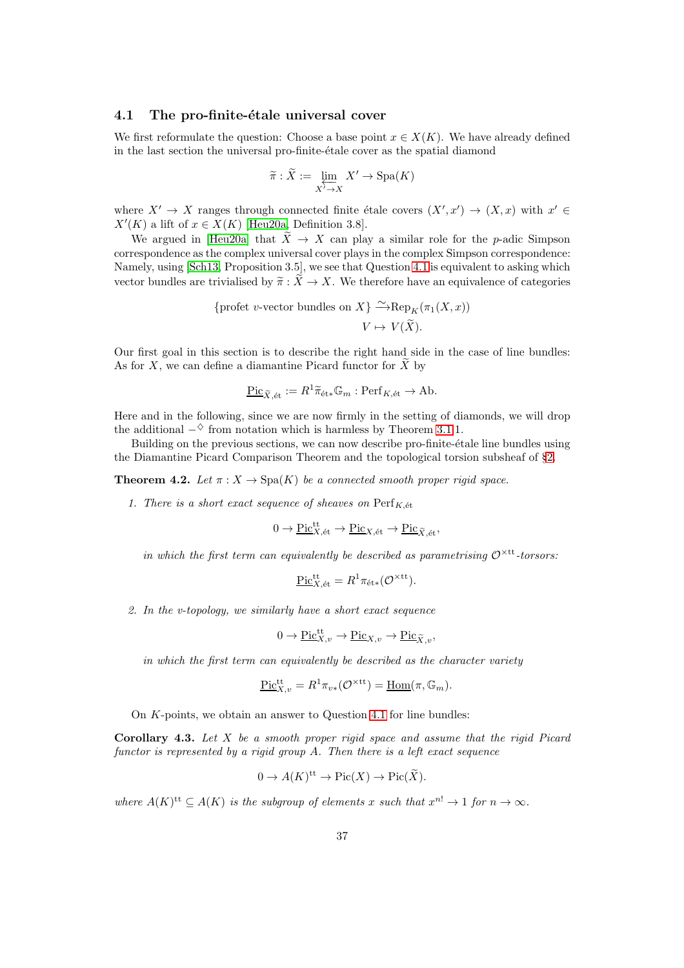### 4.1 The pro-finite-étale universal cover

We first reformulate the question: Choose a base point  $x \in X(K)$ . We have already defined in the last section the universal pro-finite-étale cover as the spatial diamond

$$
\widetilde{\pi}: \widetilde{X} := \varprojlim_{X' \to X} X' \to \mathrm{Spa}(K)
$$

where  $X' \to X$  ranges through connected finite étale covers  $(X', x') \to (X, x)$  with  $x' \in$  $X'(K)$  a lift of  $x \in X(K)$  [\[Heu20a,](#page-51-4) Definition 3.8].

We argued in [\[Heu20a\]](#page-51-4) that  $\widetilde{X} \to X$  can play a similar role for the p-adic Simpson correspondence as the complex universal cover plays in the complex Simpson correspondence: Namely, using [\[Sch13,](#page-52-4) Proposition 3.5], we see that Question [4.1](#page-35-0) is equivalent to asking which vector bundles are trivialised by  $\widetilde{\pi}: \widetilde{X} \to X$ . We therefore have an equivalence of categories

{profet v-vector bundles on 
$$
X
$$
}  $\xrightarrow{\sim} \text{Rep}_K(\pi_1(X, x))$   
 $V \mapsto V(\widetilde{X})$ .

Our first goal in this section is to describe the right hand side in the case of line bundles: As for  $X$ , we can define a diamantine Picard functor for  $\tilde{X}$  by

$$
\underline{\operatorname{Pic}}_{\widetilde{X},\text{\'et}} := R^1 \widetilde{\pi}_{\text{\'et}*} \mathbb{G}_m : \operatorname{Perf}_{K,\text{\'et}} \to \operatorname{Ab}.
$$

Here and in the following, since we are now firmly in the setting of diamonds, we will drop the additional  $-\diamond$  from notation which is harmless by Theorem [3.1.](#page-14-0)1.

Building on the previous sections, we can now describe pro-finite-étale line bundles using the Diamantine Picard Comparison Theorem and the topological torsion subsheaf of §[2.](#page-5-2)

<span id="page-36-0"></span>**Theorem 4.2.** Let  $\pi$  :  $X \to \text{Spa}(K)$  be a connected smooth proper rigid space.

1. There is a short exact sequence of sheaves on  $\mathrm{Perf}_{K, \text{\'et}}$ 

$$
0 \to \underline{\mathrm{Pic}}^{\mathrm{tt}}_{X,\mathrm{\acute{e}t}} \to \underline{\mathrm{Pic}}_{X,\mathrm{\acute{e}t}} \to \underline{\mathrm{Pic}}_{\widetilde{X},\mathrm{\acute{e}t}},
$$

in which the first term can equivalently be described as parametrising  $\mathcal{O}^{\times \text{tt}}$ -torsors:

$$
\underline{\mathrm{Pic}}_{X,\mathrm{\acute{e}t}}^{\mathrm{tt}} = R^1 \pi_{\mathrm{\acute{e}t}*} (\mathcal{O}^{\times \mathrm{tt}}).
$$

2. In the v-topology, we similarly have a short exact sequence

$$
0 \to \underline{\mathrm{Pic}}_{X,v}^{\mathrm{tt}} \to \underline{\mathrm{Pic}}_{X,v} \to \underline{\mathrm{Pic}}_{\widetilde{X},v},
$$

in which the first term can equivalently be described as the character variety

$$
\underline{\mathrm{Pic}}_{X,v}^{\mathrm{tt}} = R^1 \pi_{v*}(\mathcal{O}^{\times \mathrm{tt}}) = \underline{\mathrm{Hom}}(\pi, \mathbb{G}_m).
$$

On K-points, we obtain an answer to Question [4.1](#page-35-0) for line bundles:

**Corollary 4.3.** Let  $X$  be a smooth proper rigid space and assume that the rigid Picard functor is represented by a rigid group  $A$ . Then there is a left exact sequence

$$
0 \to A(K)^{\text{tt}} \to \text{Pic}(X) \to \text{Pic}(\widetilde{X}).
$$

where  $A(K)^{tt} \subseteq A(K)$  is the subgroup of elements x such that  $x^{n!} \to 1$  for  $n \to \infty$ .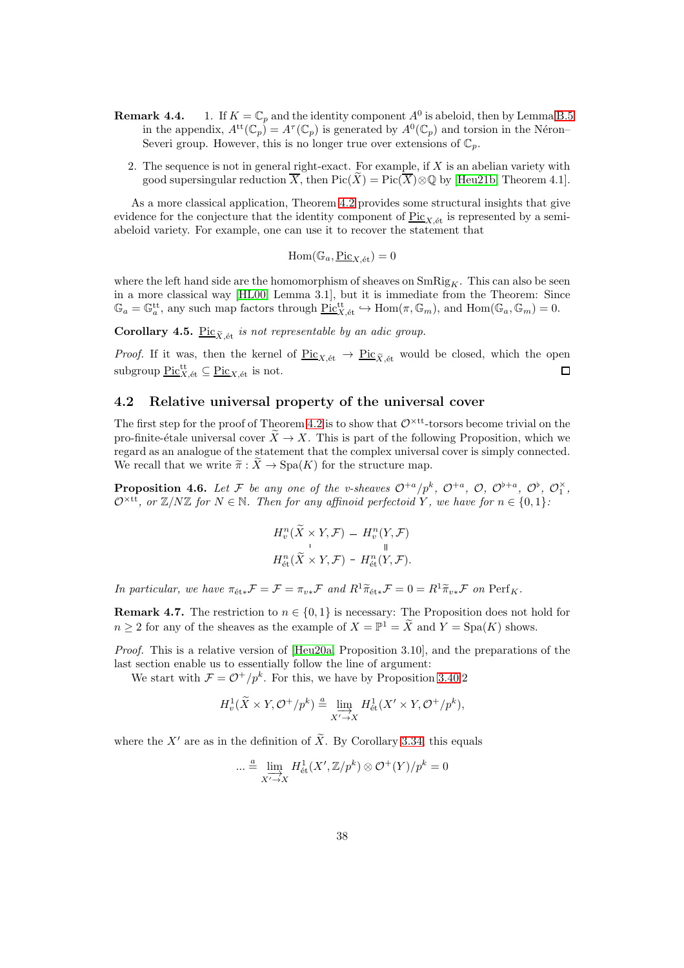- **Remark 4.4.** 1. If  $K = \mathbb{C}_p$  and the identity component  $A^0$  is abeloid, then by Lemma [B.5](#page-50-0) in the appendix,  $A^{tt}(\mathbb{C}_p) = A^{\tau}(\mathbb{C}_p)$  is generated by  $A^0(\mathbb{C}_p)$  and torsion in the Néron-Severi group. However, this is no longer true over extensions of  $\mathbb{C}_p$ .
	- 2. The sequence is not in general right-exact. For example, if  $X$  is an abelian variety with good supersingular reduction  $\overline{X}$ , then  $Pic(X) = Pic(\overline{X}) \otimes \mathbb{Q}$  by [\[Heu21b,](#page-52-15) Theorem 4.1].

As a more classical application, Theorem [4.2](#page-36-0) provides some structural insights that give evidence for the conjecture that the identity component of  $\text{Pic}_{X,\text{\'et}}$  is represented by a semiabeloid variety. For example, one can use it to recover the statement that

 $\text{Hom}(\mathbb{G}_a, \underline{\text{Pic}}_{X, \text{\'et}}) = 0$ 

where the left hand side are the homomorphism of sheaves on  $\text{SmRig}_K$ . This can also be seen in a more classical way [\[HL00,](#page-52-0) Lemma 3.1], but it is immediate from the Theorem: Since  $\mathbb{G}_a = \mathbb{G}_a^{\text{tt}}$ , any such map factors through  $\text{Pic}^{\text{tt}}_{X,\text{\'et}} \hookrightarrow \text{Hom}(\pi,\mathbb{G}_m)$ , and  $\text{Hom}(\mathbb{G}_a,\mathbb{G}_m) = 0$ .

Corollary 4.5. Pic<sub> $\tilde{X}$ , et is not representable by an adic group.</sub>

*Proof.* If it was, then the kernel of  $\underline{Pic}_{X,\text{\'et}} \to \underline{Pic}_{\widetilde{X},\text{\'et}}$  would be closed, which the open subgroup  $\underline{\mathrm{Pic}}_{X,\mathrm{\acute{e}t}}^{\mathrm{tt}} \subseteq \underline{\mathrm{Pic}}_{X,\mathrm{\acute{e}t}}$  is not.  $\Box$ 

## 4.2 Relative universal property of the universal cover

The first step for the proof of Theorem [4.2](#page-36-0) is to show that  $\mathcal{O}^{\times \text{tt}}$ -torsors become trivial on the pro-finite-étale universal cover  $\widetilde{X} \to X$ . This is part of the following Proposition, which we regard as an analogue of the statement that the complex universal cover is simply connected. We recall that we write  $\tilde{\pi}: X \to \text{Spa}(K)$  for the structure map.

<span id="page-37-0"></span>**Proposition 4.6.** Let F be any one of the v-sheaves  $\mathcal{O}^{+a}/p^k$ ,  $\mathcal{O}^{+a}$ ,  $\mathcal{O}$ ,  $\mathcal{O}^{b+a}$ ,  $\mathcal{O}^{\flat}$ ,  $\mathcal{O}_1^{\times}$ ,  $\mathcal{O}^{\times \text{tt}}$ , or  $\mathbb{Z}/N\mathbb{Z}$  for  $N \in \mathbb{N}$ . Then for any affinoid perfectoid Y, we have for  $n \in \{0,1\}$ :

$$
H_v^n(\widetilde{X} \times Y, \mathcal{F}) = H_v^n(Y, \mathcal{F})
$$
  

$$
H_{\text{\'et}}^n(\widetilde{X} \times Y, \mathcal{F}) = H_{\text{\'et}}^n(Y, \mathcal{F}).
$$

In particular, we have  $\pi_{\text{\'et}*}F = \mathcal{F} = \pi_{v*}F$  and  $R^1\widetilde{\pi}_{\text{\'et}*}F = 0 = R^1\widetilde{\pi}_{v*}F$  on  $\text{Perf}_K$ .

**Remark 4.7.** The restriction to  $n \in \{0, 1\}$  is necessary: The Proposition does not hold for  $n \geq 2$  for any of the sheaves as the example of  $X = \mathbb{P}^1 = \tilde{X}$  and  $Y = \text{Spa}(K)$  shows.

Proof. This is a relative version of [\[Heu20a,](#page-51-4) Proposition 3.10], and the preparations of the last section enable us to essentially follow the line of argument:

We start with  $\mathcal{F} = \mathcal{O}^+/p^k$ . For this, we have by Proposition [3.40.](#page-30-1)2

$$
H_v^1(\widetilde{X} \times Y, \mathcal{O}^+/p^k) \stackrel{a}{=} \varinjlim_{X' \to X} H_{\text{\'et}}^1(X' \times Y, \mathcal{O}^+/p^k),
$$

where the X' are as in the definition of  $\widetilde{X}$ . By Corollary [3.34,](#page-27-0) this equals

$$
\dots \stackrel{a}{=} \varinjlim_{X' \to X} H^1_{\text{\'et}}(X', \mathbb{Z}/p^k) \otimes \mathcal{O}^+(Y)/p^k = 0
$$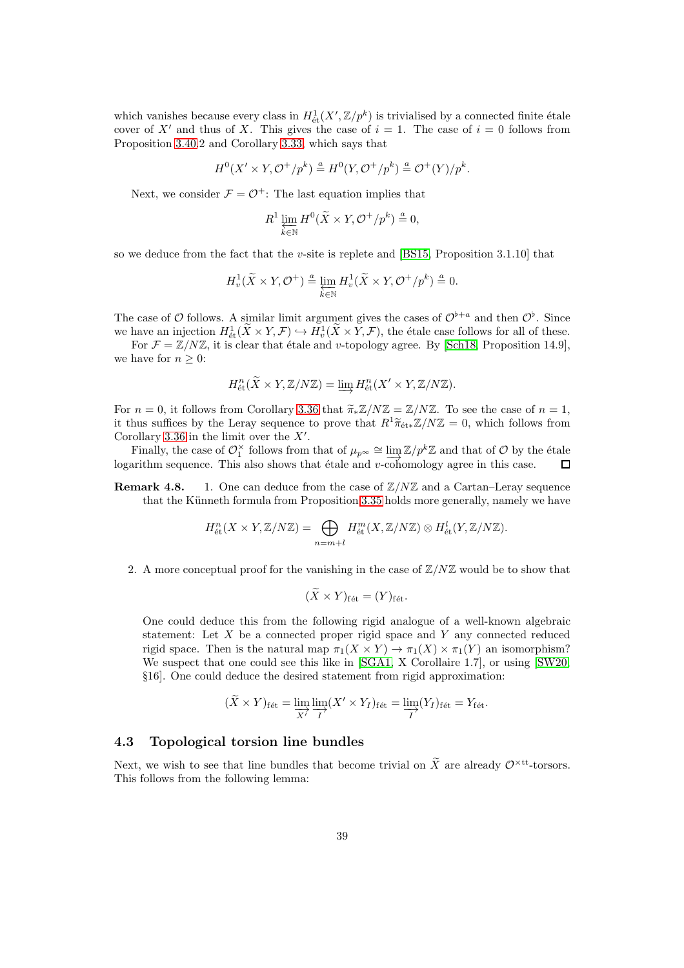which vanishes because every class in  $H^1_{\text{\'et}}(X',\mathbb{Z}/p^k)$  is trivialised by a connected finite étale cover of X' and thus of X. This gives the case of  $i = 1$ . The case of  $i = 0$  follows from Proposition [3.40.](#page-30-1)2 and Corollary [3.33,](#page-27-2) which says that

$$
H^{0}(X' \times Y, \mathcal{O}^{+}/p^{k}) \stackrel{a}{=} H^{0}(Y, \mathcal{O}^{+}/p^{k}) \stackrel{a}{=} \mathcal{O}^{+}(Y)/p^{k}.
$$

Next, we consider  $\mathcal{F} = \mathcal{O}^+$ : The last equation implies that

$$
R^1\varprojlim_{k\in\mathbb{N}}H^0(\widetilde{X}\times Y,\mathcal{O}^+/p^k)\stackrel{a}{=}0,
$$

so we deduce from the fact that the v-site is replete and [\[BS15,](#page-51-18) Proposition 3.1.10] that

$$
H^1_v(\widetilde{X}\times Y,{\mathcal O}^+)\stackrel{a}{=}\varprojlim_{k\in{\mathbb N}}H^1_v(\widetilde{X}\times Y,{\mathcal O}^+/p^k)\stackrel{a}{=}0.
$$

The case of O follows. A similar limit argument gives the cases of  $\mathcal{O}^{b+a}$  and then  $\mathcal{O}^b$ . Since we have an injection  $H^1_{\text{\'et}}(\tilde{X}\times Y, \mathcal{F}) \hookrightarrow H^1_v(\tilde{X}\times Y, \mathcal{F})$ , the étale case follows for all of these.

For  $\mathcal{F} = \mathbb{Z}/N\mathbb{Z}$ , it is clear that étale and v-topology agree. By [\[Sch18,](#page-52-5) Proposition 14.9], we have for  $n \geq 0$ :

$$
H^n_{\text{\'et}}(\widetilde{X} \times Y, \mathbb{Z}/N\mathbb{Z}) = \varinjlim H^n_{\text{\'et}}(X' \times Y, \mathbb{Z}/N\mathbb{Z}).
$$

For  $n = 0$ , it follows from Corollary [3.36](#page-28-1) that  $\widetilde{\pi}_* \mathbb{Z}/N \mathbb{Z} = \mathbb{Z}/N \mathbb{Z}$ . To see the case of  $n = 1$ , it thus suffices by the Leray sequence to prove that  $R^1\widetilde{\pi}_{\text{\'{e}t}*}\mathbb{Z}/N\mathbb{Z}=0$ , which follows from Corollary [3.36](#page-28-1) in the limit over the  $X'$ .

Finally, the case of  $\mathcal{O}_1^{\times}$  follows from that of  $\mu_{p^{\infty}} \cong \varinjlim_{\mathcal{I}} \mathbb{Z}/p^k \mathbb{Z}$  and that of  $\mathcal{O}$  by the étale logarithm sequence. This also shows that étale and  $v$ -cohomology agree in this case.  $\Box$ 

**Remark 4.8.** 1. One can deduce from the case of  $\mathbb{Z}/N\mathbb{Z}$  and a Cartan–Leray sequence that the Künneth formula from Proposition [3.35](#page-27-1) holds more generally, namely we have

$$
H^n_{\text{\'et}}(X \times Y, \mathbb{Z}/N\mathbb{Z}) = \bigoplus_{n=m+l} H^m_{\text{\'et}}(X, \mathbb{Z}/N\mathbb{Z}) \otimes H^l_{\text{\'et}}(Y, \mathbb{Z}/N\mathbb{Z}).
$$

2. A more conceptual proof for the vanishing in the case of  $\mathbb{Z}/N\mathbb{Z}$  would be to show that

$$
(\widetilde{X} \times Y)_{\text{fét}} = (Y)_{\text{fét}}.
$$

One could deduce this from the following rigid analogue of a well-known algebraic statement: Let X be a connected proper rigid space and Y any connected reduced rigid space. Then is the natural map  $\pi_1(X \times Y) \to \pi_1(X) \times \pi_1(Y)$  an isomorphism? We suspect that one could see this like in [\[SGA1,](#page-52-16) X Corollaire 1.7], or using [\[SW20,](#page-53-5) §16]. One could deduce the desired statement from rigid approximation:

$$
(\widetilde{X} \times Y)_{\text{f\'et}} = \varinjlim_{X'} \varinjlim_{I} (X' \times Y_I)_{\text{f\'et}} = \varinjlim_{I} (Y_I)_{\text{f\'et}} = Y_{\text{f\'et}}.
$$

#### 4.3 Topological torsion line bundles

Next, we wish to see that line bundles that become trivial on  $\widetilde{X}$  are already  $\mathcal{O}^{\times \text{tt}}$ -torsors. This follows from the following lemma: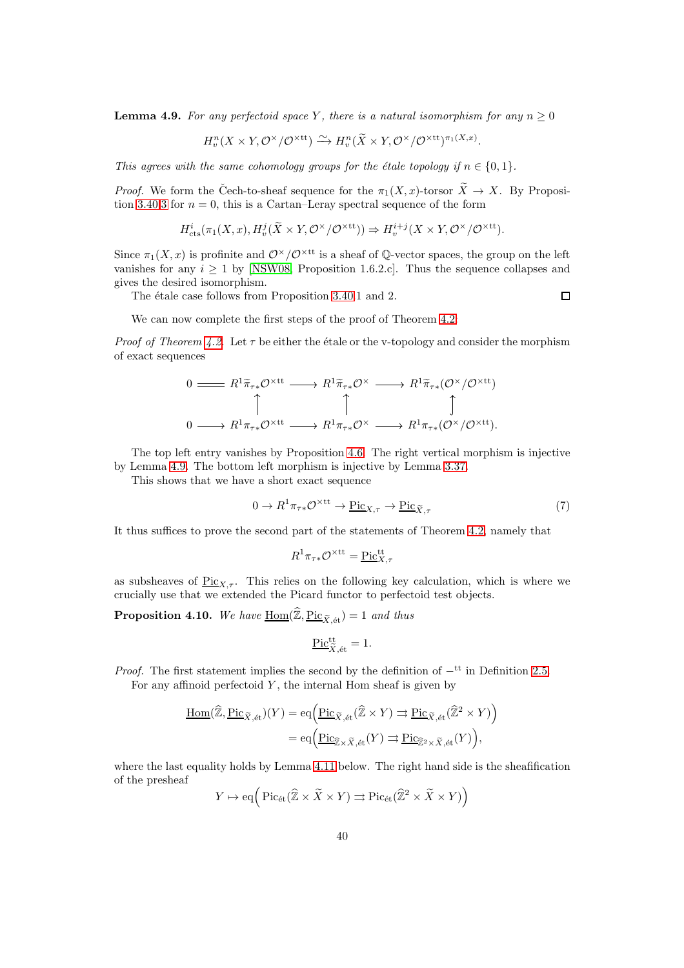<span id="page-39-0"></span>**Lemma 4.9.** For any perfectoid space Y, there is a natural isomorphism for any  $n \geq 0$ 

$$
H_v^n(X \times Y, \mathcal{O}^\times/\mathcal{O}^{\times \text{tt}}) \xrightarrow{\sim} H_v^n(\widetilde{X} \times Y, \mathcal{O}^\times/\mathcal{O}^{\times \text{tt}})^{\pi_1(X, x)}
$$

This agrees with the same cohomology groups for the étale topology if  $n \in \{0, 1\}$ .

*Proof.* We form the Čech-to-sheaf sequence for the  $\pi_1(X, x)$ -torsor  $\widetilde{X} \to X$ . By Proposi-tion [3.40](#page-30-1)[.3](#page-30-2) for  $n = 0$ , this is a Cartan–Leray spectral sequence of the form

$$
H^i_{\text{cts}}(\pi_1(X, x), H^j_v(\widetilde{X} \times Y, \mathcal{O}^\times/\mathcal{O}^{\times \text{tt}})) \Rightarrow H^{i+j}_v(X \times Y, \mathcal{O}^\times/\mathcal{O}^{\times \text{tt}}).
$$

Since  $\pi_1(X, x)$  is profinite and  $\mathcal{O}^{\times}/\mathcal{O}^{\times}$  is a sheaf of Q-vector spaces, the group on the left vanishes for any  $i \geq 1$  by [\[NSW08,](#page-52-13) Proposition 1.6.2.c]. Thus the sequence collapses and gives the desired isomorphism.

The étale case follows from Proposition [3.40.](#page-30-1)1 and 2.

$$
\Box
$$

.

We can now complete the first steps of the proof of Theorem [4.2:](#page-36-0)

*Proof of Theorem [4.2.](#page-36-0)* Let  $\tau$  be either the étale or the v-topology and consider the morphism of exact sequences

$$
\begin{array}{ccc}\n0 \longrightarrow & R^{1} \widetilde{\pi}_{\tau*} \mathcal{O}^{\times \text{tt}} \longrightarrow & R^{1} \widetilde{\pi}_{\tau*} \mathcal{O}^{\times} \longrightarrow & R^{1} \widetilde{\pi}_{\tau*} (\mathcal{O}^{\times}/\mathcal{O}^{\times \text{tt}}) \\
 & \uparrow & \uparrow & \uparrow \\
0 \longrightarrow & R^{1} \pi_{\tau*} \mathcal{O}^{\times \text{tt}} \longrightarrow & R^{1} \pi_{\tau*} \mathcal{O}^{\times} \longrightarrow & R^{1} \pi_{\tau*} (\mathcal{O}^{\times}/\mathcal{O}^{\times \text{tt}}).\n\end{array}
$$

The top left entry vanishes by Proposition [4.6.](#page-37-0) The right vertical morphism is injective by Lemma [4.9.](#page-39-0) The bottom left morphism is injective by Lemma [3.37.](#page-28-0)

This shows that we have a short exact sequence

<span id="page-39-1"></span>
$$
0 \to R^1 \pi_{\tau *} \mathcal{O}^{\times \text{tt}} \to \underline{\text{Pic}}_{X,\tau} \to \underline{\text{Pic}}_{\widetilde{X},\tau}
$$
 (7)

It thus suffices to prove the second part of the statements of Theorem [4.2,](#page-36-0) namely that

$$
R^1\pi_{\tau*}\mathcal{O}^{\times \text{tt}} = \underline{\text{Pic}}_{X,\tau}^{\text{tt}}
$$

as subsheaves of  $Pic_{X,\tau}$ . This relies on the following key calculation, which is where we crucially use that we extended the Picard functor to perfectoid test objects.

<span id="page-39-2"></span>**Proposition 4.10.** We have  $\underline{\text{Hom}}(\widehat{\mathbb{Z}}, \underline{\text{Pic}}_{\widetilde{X}, \text{\'et}}) = 1$  and thus

$$
\underline{\mathrm{Pic}}^{\mathrm{tt}}_{\widetilde{X},\mathrm{\acute{e}t}}=1.
$$

*Proof.* The first statement implies the second by the definition of  $-$ <sup>tt</sup> in Definition [2.5.](#page-6-0) For any affinoid perfectoid  $Y$ , the internal Hom sheaf is given by

$$
\underline{\underline{\mathrm{Hom}}}(\widehat{\mathbb{Z}}, \underline{\mathrm{Pic}}_{\widetilde{X},\text{\'et}})(Y) = \mathrm{eq}(\underline{\underline{\mathrm{Pic}}}_{\widetilde{X},\text{\'et}}(\widehat{\mathbb{Z}} \times Y) \rightrightarrows \underline{\mathrm{Pic}}_{\widetilde{X},\text{\'et}}(\widehat{\mathbb{Z}}^2 \times Y))
$$
\n
$$
= \mathrm{eq}(\underline{\mathrm{Pic}}_{\widehat{\mathbb{Z}} \times \widetilde{X},\text{\'et}}(Y) \rightrightarrows \underline{\mathrm{Pic}}_{\widehat{\mathbb{Z}}^2 \times \widetilde{X},\text{\'et}}(Y)),
$$

where the last equality holds by Lemma [4.11](#page-40-0) below. The right hand side is the sheafification of the presheaf

$$
Y \mapsto \operatorname{eq} \left( \operatorname{Pic}_{\text{\'et}}(\widehat{\mathbb{Z}} \times \widetilde{X} \times Y) \rightrightarrows \operatorname{Pic}_{\text{\'et}}(\widehat{\mathbb{Z}}^2 \times \widetilde{X} \times Y) \right)
$$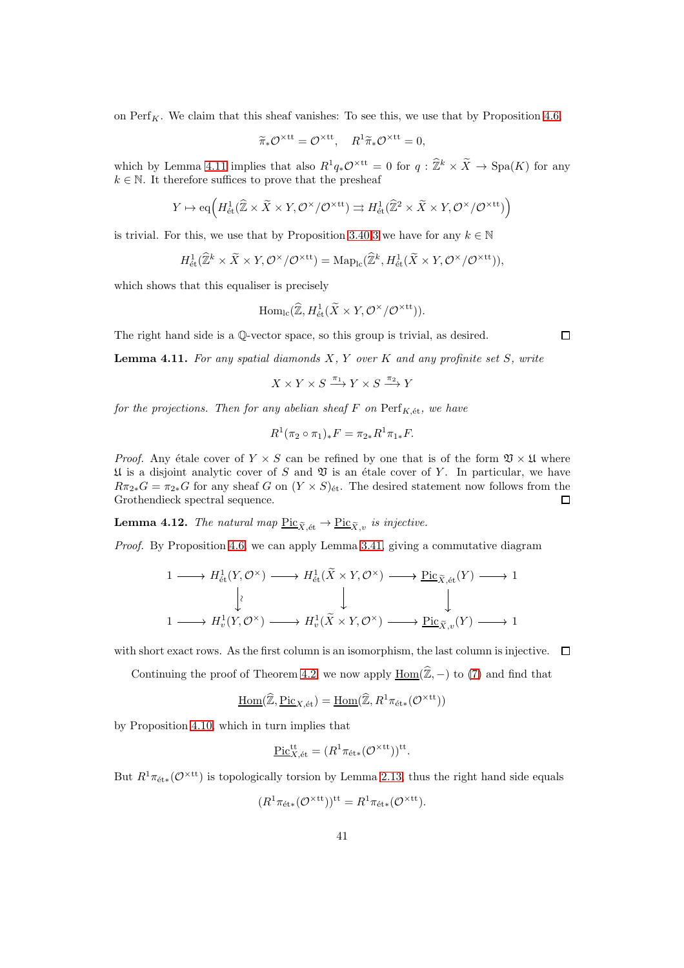on  $\text{Perf}_K$ . We claim that this sheaf vanishes: To see this, we use that by Proposition [4.6,](#page-37-0)

$$
\widetilde{\pi}_* \mathcal{O}^{\times \text{tt}} = \mathcal{O}^{\times \text{tt}}, \quad R^1 \widetilde{\pi}_* \mathcal{O}^{\times \text{tt}} = 0,
$$

which by Lemma [4.11](#page-40-0) implies that also  $R^1q_*\mathcal{O}^{\times \text{tt}} = 0$  for  $q : \hat{\mathbb{Z}}^k \times \tilde{X} \to \text{Spa}(K)$  for any  $k \in \mathbb{N}$ . It therefore suffices to prove that the presheaf

$$
Y\mapsto \mathrm{eq}\Big(H^1_{\mathrm{\acute{e}t}}(\widehat{{\mathbb Z}}\times\widetilde{X}\times Y,{\mathcal O}^\times/{\mathcal O}^{\times\mathrm{tt}})\rightrightarrows H^1_{\mathrm{\acute{e}t}}(\widehat{{\mathbb Z}}^2\times\widetilde{X}\times Y,{\mathcal O}^\times/{\mathcal O}^{\times\mathrm{tt}})\Big)
$$

is trivial. For this, we use that by Proposition [3.40](#page-30-1)[.3](#page-30-2) we have for any  $k \in \mathbb{N}$ 

$$
H^1_{\text{\'et}}(\widehat{\mathbb{Z}}^k \times \widetilde{X} \times Y, \mathcal{O}^\times/\mathcal{O}^{\times \text{tt}}) = \text{Map}_{\text{lc}}(\widehat{\mathbb{Z}}^k, H^1_{\text{\'et}}(\widetilde{X} \times Y, \mathcal{O}^\times/\mathcal{O}^{\times \text{tt}})),
$$

which shows that this equaliser is precisely

$$
\mathrm{Hom}_{\mathrm{lc}}(\widehat{\mathbb{Z}},H^1_{\text{\'et}}(\widetilde{X}\times Y, \mathcal{O}^\times/\mathcal{O}^{\times\mathrm{tt}})).
$$

The right hand side is a Q-vector space, so this group is trivial, as desired.

<span id="page-40-0"></span>**Lemma 4.11.** For any spatial diamonds  $X, Y$  over  $K$  and any profinite set  $S$ , write

$$
X\times Y\times S\stackrel{\pi_1}{\longrightarrow} Y\times S\stackrel{\pi_2}{\longrightarrow} Y
$$

for the projections. Then for any abelian sheaf  $F$  on  $\text{Perf}_{K, \text{\'et}}$ , we have

$$
R^1(\pi_2 \circ \pi_1)_* F = \pi_{2*} R^1 \pi_{1*} F.
$$

*Proof.* Any étale cover of  $Y \times S$  can be refined by one that is of the form  $\mathfrak{V} \times \mathfrak{U}$  where  $\mathfrak U$  is a disjoint analytic cover of S and  $\mathfrak V$  is an étale cover of Y. In particular, we have  $R\pi_{2*}G = \pi_{2*}G$  for any sheaf G on  $(Y \times S)_{\text{\'et}}$ . The desired statement now follows from the Grothendieck spectral sequence. □

<span id="page-40-1"></span>**Lemma 4.12.** The natural map  $\underline{\text{Pic}}_{\widetilde{X}} \underset{\text{\'et}}{\sim} \rightarrow \underline{\text{Pic}}_{\widetilde{X}} v$  is injective.

Proof. By Proposition [4.6,](#page-37-0) we can apply Lemma [3.41,](#page-32-0) giving a commutative diagram

$$
\begin{array}{ccccccc}\n1 & \longrightarrow & H^1_{\text{\'et}}(Y, \mathcal{O}^\times) & \longrightarrow & H^1_{\text{\'et}}(\widetilde{X} \times Y, \mathcal{O}^\times) & \longrightarrow & \underline{\operatorname{Pic}}_{\widetilde{X}, \text{\'et}}(Y) & \longrightarrow & 1 \\
& & & & & & & \\
1 & \longrightarrow & H^1_v(Y, \mathcal{O}^\times) & \longrightarrow & H^1_v(\widetilde{X} \times Y, \mathcal{O}^\times) & \longrightarrow & \underline{\operatorname{Pic}}_{\widetilde{X}, v}(Y) & \longrightarrow & 1\n\end{array}
$$

with short exact rows. As the first column is an isomorphism, the last column is injective.  $\Box$ 

Continuing the proof of Theorem [4.2,](#page-36-0) we now apply  $\underline{Hom}(\widehat{\mathbb{Z}}, -)$  to [\(7\)](#page-39-1) and find that

$$
\underline{\mathrm{Hom}}(\widehat{\mathbb{Z}}, \underline{\mathrm{Pic}}_{X,\mathrm{\acute{e}t}}) = \underline{\mathrm{Hom}}(\widehat{\mathbb{Z}}, R^1 \pi_{\mathrm{\acute{e}t}*}(\mathcal{O}^{\times \mathrm{tt}}))
$$

by Proposition [4.10,](#page-39-2) which in turn implies that

$$
\underline{\mathrm{Pic}}_{X,\mathrm{\acute{e}t}}^{\mathrm{tt}} = (R^1 \pi_{\mathrm{\acute{e}t}*} (\mathcal{O}^{\times \mathrm{tt}}))^\mathrm{tt}.
$$

But  $R^1\pi_{\text{\'et}*}(\mathcal{O}^{\times \text{tt}})$  is topologically torsion by Lemma [2.13,](#page-8-0) thus the right hand side equals

$$
(R^1 \pi_{\text{\'et}*}(\mathcal{O}^{\times \text{tt}}))^\text{tt} = R^1 \pi_{\text{\'et}*}(\mathcal{O}^{\times \text{tt}}).
$$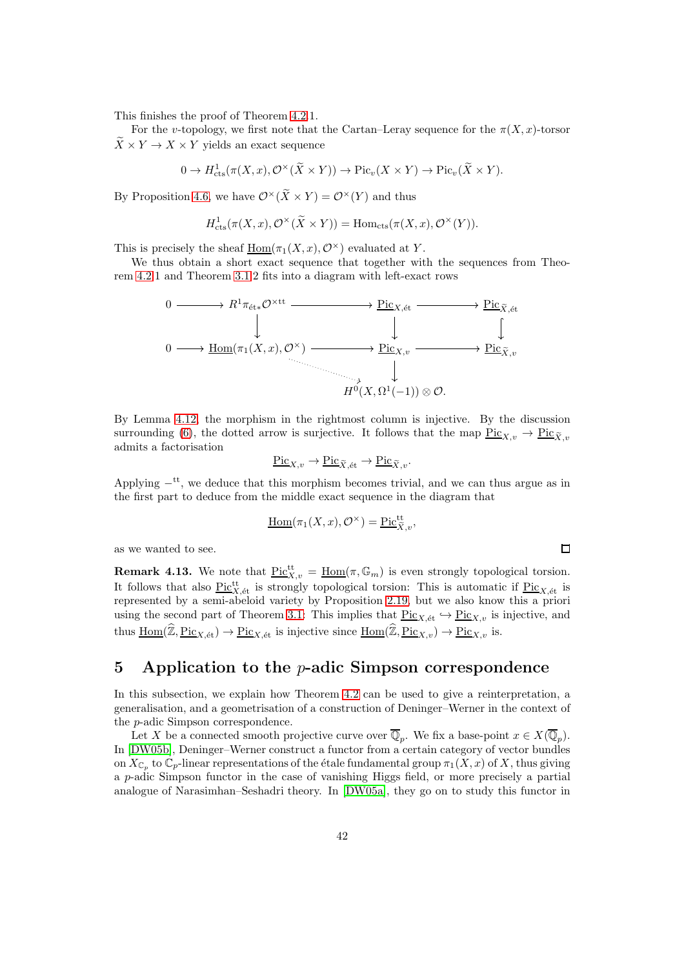This finishes the proof of Theorem [4.2.](#page-36-0)1.

For the v-topology, we first note that the Cartan–Leray sequence for the  $\pi(X, x)$ -torsor  $\widetilde{X} \times Y \to X \times Y$  yields an exact sequence

$$
0 \to H^1_{\mathrm{cts}}(\pi(X, x), \mathcal{O}^\times(\widetilde{X} \times Y)) \to \mathrm{Pic}_v(X \times Y) \to \mathrm{Pic}_v(\widetilde{X} \times Y).
$$

By Proposition [4.6,](#page-37-0) we have  $\mathcal{O}^{\times}(\widetilde{X}\times Y) = \mathcal{O}^{\times}(Y)$  and thus

$$
H^1_{\text{cts}}(\pi(X, x), \mathcal{O}^\times(\widetilde{X} \times Y)) = \text{Hom}_{\text{cts}}(\pi(X, x), \mathcal{O}^\times(Y)).
$$

This is precisely the sheaf  $\underline{Hom}(\pi_1(X, x), \mathcal{O}^\times)$  evaluated at Y.

We thus obtain a short exact sequence that together with the sequences from Theorem [4.2.](#page-36-0)1 and Theorem [3.1.](#page-14-0)2 fits into a diagram with left-exact rows



By Lemma [4.12,](#page-40-1) the morphism in the rightmost column is injective. By the discussion surrounding [\(6\)](#page-34-0), the dotted arrow is surjective. It follows that the map  $\frac{\text{Pic}_{X,y}}{\text{Pic}_{\tilde{X},y}} \to \frac{\text{Pic}_{\tilde{Y},y}}{\text{Pic}_{\tilde{Y},y}}$ admits a factorisation

$$
\underline{\mathrm{Pic}}_{X,v} \to \underline{\mathrm{Pic}}_{\widetilde{X},\text{\'et}} \to \underline{\mathrm{Pic}}_{\widetilde{X},v}.
$$

Applying  $-t$ , we deduce that this morphism becomes trivial, and we can thus argue as in the first part to deduce from the middle exact sequence in the diagram that

$$
\underline{\mathrm{Hom}}(\pi_1(X, x), \mathcal{O}^\times) = \underline{\mathrm{Pic}}_{\widetilde{X}, v}^{\mathrm{tt}},
$$

 $\Box$ 

as we wanted to see.

**Remark 4.13.** We note that  $\underline{Pic}^{\text{tt}}_{X,v} = \underline{Hom}(\pi,\mathbb{G}_m)$  is even strongly topological torsion. It follows that also  $\frac{\text{Pic}^{\text{tt}}_{X,\text{\'et}}}{\text{Set}}$  is strongly topological torsion: This is automatic if  $\frac{\text{Pic}_{X,\text{\'et}}}{\text{Set}}$  is represented by a semi-abeloid variety by Proposition [2.19,](#page-10-0) but we also know this a priori using the second part of Theorem [3.1:](#page-14-0) This implies that  $Pic_{X,\text{\'et}} \hookrightarrow Pic_{X,v}$  is injective, and thus  $\underline{\text{Hom}}(\widehat{\mathbb{Z}}, \underline{\text{Pic}}_{X,\text{\'et}}) \to \underline{\text{Pic}}_{X,\text{\'et}}$  is injective since  $\underline{\text{Hom}}(\widehat{\mathbb{Z}}, \underline{\text{Pic}}_{X,v}) \to \underline{\text{Pic}}_{X,v}$  is.

# 5 Application to the  $p$ -adic Simpson correspondence

In this subsection, we explain how Theorem [4.2](#page-36-0) can be used to give a reinterpretation, a generalisation, and a geometrisation of a construction of Deninger–Werner in the context of the p-adic Simpson correspondence.

Let X be a connected smooth projective curve over  $\mathbb{Q}_p$ . We fix a base-point  $x \in X(\mathbb{Q}_p)$ . In [\[DW05b\]](#page-51-8), Deninger–Werner construct a functor from a certain category of vector bundles on  $X_{\mathbb{C}_p}$  to  $\mathbb{C}_p$ -linear representations of the étale fundamental group  $\pi_1(X, x)$  of X, thus giving a p-adic Simpson functor in the case of vanishing Higgs field, or more precisely a partial analogue of Narasimhan–Seshadri theory. In [\[DW05a\]](#page-51-7), they go on to study this functor in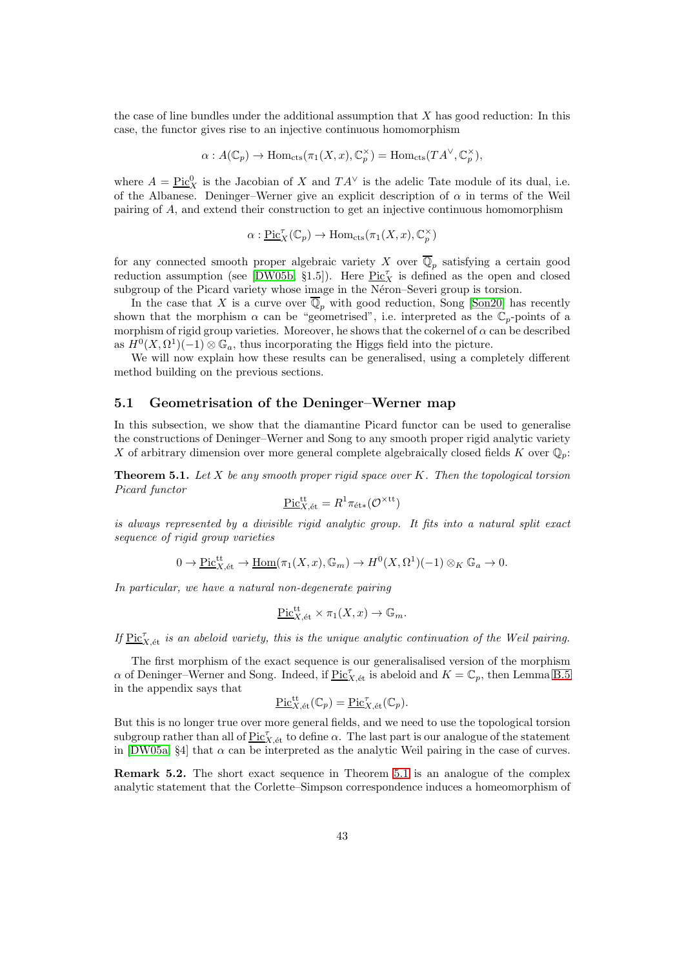the case of line bundles under the additional assumption that  $X$  has good reduction: In this case, the functor gives rise to an injective continuous homomorphism

$$
\alpha: A(\mathbb{C}_p) \to \text{Hom}_{\text{cts}}(\pi_1(X, x), \mathbb{C}_p^{\times}) = \text{Hom}_{\text{cts}}(TA^{\vee}, \mathbb{C}_p^{\times}),
$$

where  $A = \underline{\text{Pic}}_X^0$  is the Jacobian of X and  $TA^{\vee}$  is the adelic Tate module of its dual, i.e. of the Albanese. Deninger–Werner give an explicit description of  $\alpha$  in terms of the Weil pairing of A, and extend their construction to get an injective continuous homomorphism

$$
\alpha: \underline{\mathrm{Pic}}_X^{\tau}(\mathbb{C}_p) \to \mathrm{Hom}_{\mathrm{cts}}(\pi_1(X, x), \mathbb{C}_p^{\times})
$$

for any connected smooth proper algebraic variety X over  $\mathbb{Q}_p$  satisfying a certain good reduction assumption (see [\[DW05b,](#page-51-8) §1.5]). Here  $\text{Pic}^{\tau}_X$  is defined as the open and closed subgroup of the Picard variety whose image in the Néron–Severi group is torsion.

In the case that X is a curve over  $\overline{\mathbb{Q}}_p$  with good reduction, Song [\[Son20\]](#page-53-2) has recently shown that the morphism  $\alpha$  can be "geometrised", i.e. interpreted as the  $\mathbb{C}_p$ -points of a morphism of rigid group varieties. Moreover, he shows that the cokernel of  $\alpha$  can be described as  $H^0(X, \Omega^1)(-1) \otimes \mathbb{G}_a$ , thus incorporating the Higgs field into the picture.

We will now explain how these results can be generalised, using a completely different method building on the previous sections.

#### 5.1 Geometrisation of the Deninger–Werner map

In this subsection, we show that the diamantine Picard functor can be used to generalise the constructions of Deninger–Werner and Song to any smooth proper rigid analytic variety X of arbitrary dimension over more general complete algebraically closed fields K over  $\mathbb{Q}_p$ :

<span id="page-42-0"></span>**Theorem 5.1.** Let X be any smooth proper rigid space over K. Then the topological torsion Picard functor

$$
\underline{\mathrm{Pic}}^{\mathrm{tt}}_{X,\mathrm{\acute{e}t}}=R^1\pi_{\mathrm{\acute{e}t}*}({\mathcal O}^{\times\mathrm{tt}})
$$

is always represented by a divisible rigid analytic group. It fits into a natural split exact sequence of rigid group varieties

$$
0 \to \underline{\mathrm{Pic}}_{X,\mathrm{\acute{e}t}}^{\mathrm{tt}} \to \underline{\mathrm{Hom}}(\pi_1(X,x),\mathbb{G}_m) \to H^0(X,\Omega^1)(-1) \otimes_K \mathbb{G}_a \to 0.
$$

In particular, we have a natural non-degenerate pairing

$$
\underline{\mathrm{Pic}}^{\mathrm{tt}}_{X,\mathrm{\acute{e}t}} \times \pi_1(X,x) \to \mathbb{G}_m.
$$

If  $\underline{\mathrm{Pic}}_{X,\mathrm{\acute{e}t}}^{\tau}$  is an abeloid variety, this is the unique analytic continuation of the Weil pairing.

The first morphism of the exact sequence is our generalisalised version of the morphism  $\alpha$  of Deninger–Werner and Song. Indeed, if  $\underline{\mathrm{Pic}}_{X,\mathrm{\acute{e}t}}^{\tau}$  is abeloid and  $K = \mathbb{C}_p$ , then Lemma [B.5](#page-50-0) in the appendix says that

$$
\underline{\mathrm{Pic}}_{X,\mathrm{\acute{e}t}}^{\mathrm{tt}}(\mathbb{C}_p) = \underline{\mathrm{Pic}}_{X,\mathrm{\acute{e}t}}^{\tau}(\mathbb{C}_p).
$$

But this is no longer true over more general fields, and we need to use the topological torsion subgroup rather than all of  $\underline{\mathrm{Pic}}_{X,\mathrm{\acute{e}t}}^{\tau}$  to define  $\alpha$ . The last part is our analogue of the statement in [\[DW05a,](#page-51-7) §4] that  $\alpha$  can be interpreted as the analytic Weil pairing in the case of curves.

Remark 5.2. The short exact sequence in Theorem [5.1](#page-42-0) is an analogue of the complex analytic statement that the Corlette–Simpson correspondence induces a homeomorphism of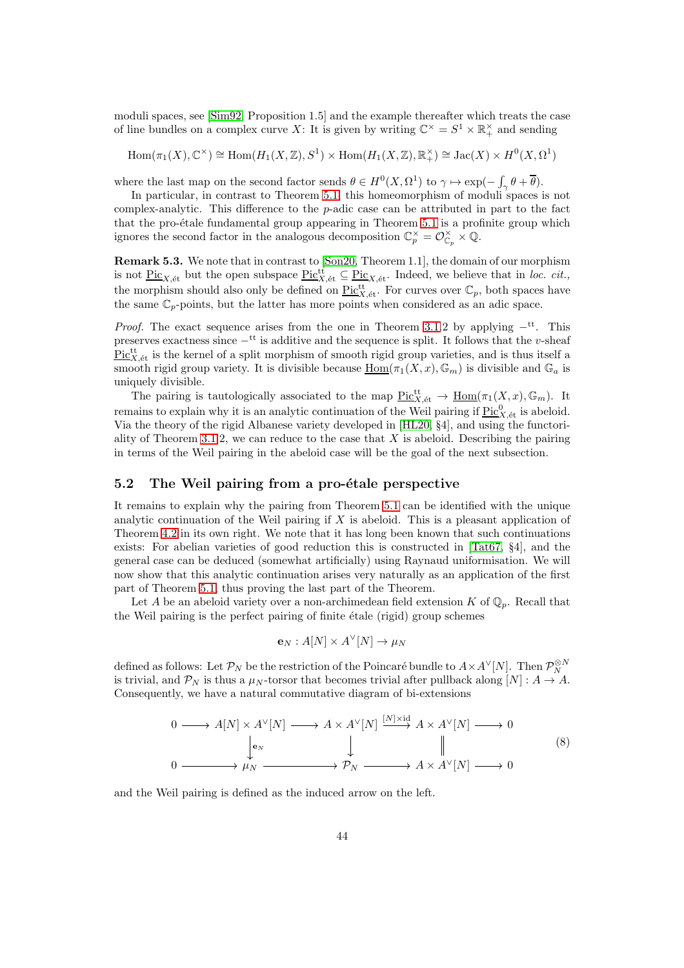moduli spaces, see [\[Sim92,](#page-52-7) Proposition 1.5] and the example thereafter which treats the case of line bundles on a complex curve X: It is given by writing  $\mathbb{C}^{\times} = S^1 \times \mathbb{R}^{\times}$  and sending

$$
\mathrm{Hom}(\pi_1(X),\mathbb{C}^\times)\cong \mathrm{Hom}(H_1(X,\mathbb{Z}),S^1)\times \mathrm{Hom}(H_1(X,\mathbb{Z}),\mathbb{R}_+^\times)\cong \mathrm{Jac}(X)\times H^0(X,\Omega^1)
$$

where the last map on the second factor sends  $\theta \in H^0(X, \Omega^1)$  to  $\gamma \mapsto \exp(-\int_{\gamma} \theta + \overline{\theta})$ .

In particular, in contrast to Theorem [5.1,](#page-42-0) this homeomorphism of moduli spaces is not complex-analytic. This difference to the p-adic case can be attributed in part to the fact that the pro-étale fundamental group appearing in Theorem [5.1](#page-42-0) is a profinite group which ignores the second factor in the analogous decomposition  $\mathbb{C}_p^{\times} = \mathcal{O}_{\mathbb{C}_p}^{\times} \times \mathbb{Q}$ .

Remark 5.3. We note that in contrast to [\[Son20,](#page-53-2) Theorem 1.1], the domain of our morphism is not  $\underline{\text{Pic}}_{X,\text{\'et}}$  but the open subspace  $\underline{\text{Pic}}_{X,\text{\'et}}^{\text{tt}} \subseteq \underline{\text{Pic}}_{X,\text{\'et}}$ . Indeed, we believe that in loc. cit., the morphism should also only be defined on  $\underline{\mathrm{Pic}}_{X,\mathrm{\acute{e}t}}^{\mathrm{tt}}$ . For curves over  $\mathbb{C}_p$ , both spaces have the same  $\mathbb{C}_p$ -points, but the latter has more points when considered as an adic space.

*Proof.* The exact sequence arises from the one in Theorem [3.1.](#page-14-0)2 by applying  $-\text{t}$ <sup>t</sup>. This preserves exactness since  $-$ <sup>tt</sup> is additive and the sequence is split. It follows that the v-sheaf  $\text{Pic}^{\text{tt}}_{X,\text{\'et}}$  is the kernel of a split morphism of smooth rigid group varieties, and is thus itself a smooth rigid group variety. It is divisible because  $\underline{\text{Hom}}(\pi_1(X, x), \mathbb{G}_m)$  is divisible and  $\mathbb{G}_a$  is uniquely divisible.

The pairing is tautologically associated to the map  $\underline{\mathrm{Pic}}_{X,\mathrm{\acute{e}t}}^{\mathrm{tt}} \to \underline{\mathrm{Hom}}(\pi_1(X, x), \mathbb{G}_m)$ . It remains to explain why it is an analytic continuation of the Weil pairing if  $\underline{\mathrm{Pic}}_{X,\mathrm{\acute{e}t}}^0$  is abeloid. Via the theory of the rigid Albanese variety developed in [\[HL20,](#page-52-17) §4], and using the functori-ality of Theorem [3.1.](#page-14-0)2, we can reduce to the case that  $X$  is abeloid. Describing the pairing in terms of the Weil pairing in the abeloid case will be the goal of the next subsection.

## 5.2 The Weil pairing from a pro-étale perspective

It remains to explain why the pairing from Theorem [5.1](#page-42-0) can be identified with the unique analytic continuation of the Weil pairing if  $X$  is abeloid. This is a pleasant application of Theorem [4.2](#page-36-0) in its own right. We note that it has long been known that such continuations exists: For abelian varieties of good reduction this is constructed in [\[Tat67,](#page-53-6) §4], and the general case can be deduced (somewhat artificially) using Raynaud uniformisation. We will now show that this analytic continuation arises very naturally as an application of the first part of Theorem [5.1,](#page-42-0) thus proving the last part of the Theorem.

Let A be an abeloid variety over a non-archimedean field extension K of  $\mathbb{Q}_p$ . Recall that the Weil pairing is the perfect pairing of finite etale (rigid) group schemes

$$
\mathbf{e}_N: A[N] \times A^{\vee}[N] \to \mu_N
$$

defined as follows: Let  $\mathcal{P}_N$  be the restriction of the Poincaré bundle to  $A\times A^\vee[N]$ . Then  $\mathcal{P}_N^{\otimes N}$ is trivial, and  $\mathcal{P}_N$  is thus a  $\mu_N$ -torsor that becomes trivial after pullback along  $[N]: A \to A$ . Consequently, we have a natural commutative diagram of bi-extensions

<span id="page-43-0"></span>
$$
0 \longrightarrow A[N] \times A^{\vee}[N] \longrightarrow A \times A^{\vee}[N] \xrightarrow{[N] \times id} A \times A^{\vee}[N] \longrightarrow 0
$$
  
\n
$$
\downarrow \qquad \qquad \downarrow \qquad \qquad \downarrow
$$
  
\n
$$
0 \longrightarrow \mu_{N} \longrightarrow \rho_{N} \longrightarrow A \times A^{\vee}[N] \longrightarrow 0
$$
  
\n(8)

and the Weil pairing is defined as the induced arrow on the left.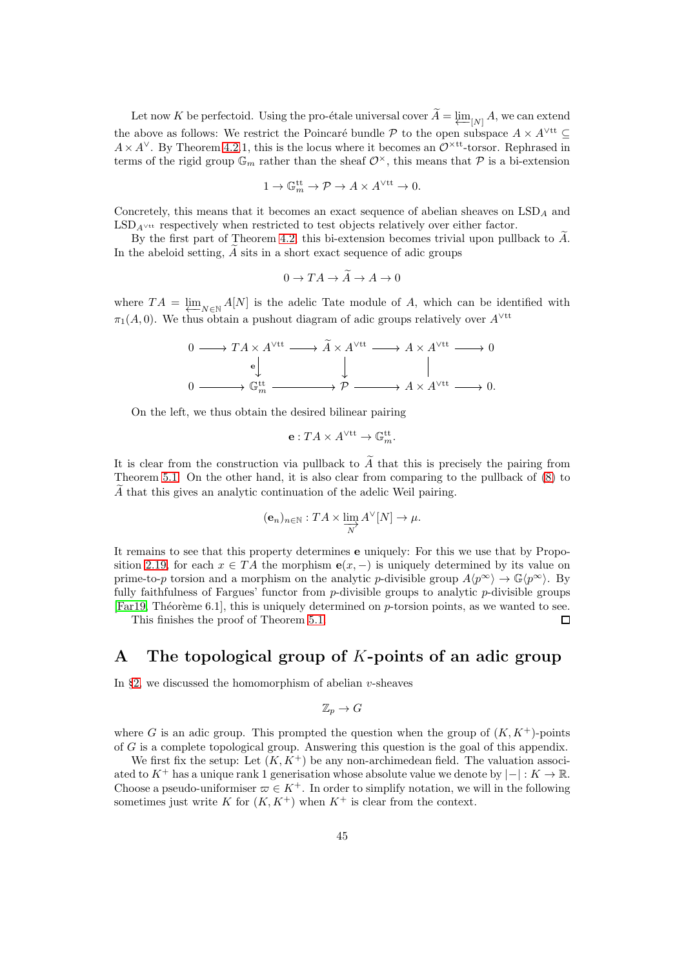Let now K be perfectoid. Using the pro-étale universal cover  $A = \varprojlim_{[N]} A$ , we can extend the above as follows: We restrict the Poincaré bundle P to the open subspace  $A \times A^{\vee \text{tt}} \subseteq$  $A \times A^{\vee}$ . By Theorem [4.2.](#page-36-0)1, this is the locus where it becomes an  $\mathcal{O}^{\times \text{tt}}$ -torsor. Rephrased in terms of the rigid group  $\mathbb{G}_m$  rather than the sheaf  $\mathcal{O}^{\times}$ , this means that  $\mathcal P$  is a bi-extension

$$
1 \to \mathbb{G}_m^{\mathrm{tt}} \to \mathcal{P} \to A \times A^{\vee \mathrm{tt}} \to 0.
$$

Concretely, this means that it becomes an exact sequence of abelian sheaves on  $\text{LSD}_A$  and  $\text{LSD}_{A}$ <sup>vtt</sup> respectively when restricted to test objects relatively over either factor.

By the first part of Theorem [4.2,](#page-36-0) this bi-extension becomes trivial upon pullback to  $\tilde{A}$ . In the abeloid setting,  $A$  sits in a short exact sequence of adic groups

$$
0 \to TA \to \widetilde{A} \to A \to 0
$$

where  $TA = \varprojlim_{N \in \mathbb{N}} A[N]$  is the adelic Tate module of A, which can be identified with  $\pi_1(A, 0)$ . We thus obtain a pushout diagram of adic groups relatively over  $A^{\vee \text{tt}}$ 

$$
\begin{array}{ccc}\n0 & \longrightarrow TA \times A^{\vee \text{tt}} \longrightarrow \widetilde{A} \times A^{\vee \text{tt}} \longrightarrow A \times A^{\vee \text{tt}} \longrightarrow 0 \\
\downarrow & & \parallel \\
0 & \longrightarrow \mathbb{G}_m^{\text{tt}} \longrightarrow \mathcal{P} \longrightarrow A \times A^{\vee \text{tt}} \longrightarrow 0.\n\end{array}
$$

On the left, we thus obtain the desired bilinear pairing

$$
\mathbf{e}:TA\times A^{\vee\mathrm{tt}}\to \mathbb{G}_m^{\mathrm{tt}}.
$$

It is clear from the construction via pullback to  $\widetilde{A}$  that this is precisely the pairing from Theorem [5.1.](#page-42-0) On the other hand, it is also clear from comparing to the pullback of [\(8\)](#page-43-0) to  $A$  that this gives an analytic continuation of the adelic Weil pairing.

$$
(\mathbf{e}_n)_{n \in \mathbb{N}} : TA \times \varinjlim_{N} A^{\vee}[N] \to \mu.
$$

It remains to see that this property determines e uniquely: For this we use that by Propo-sition [2.19,](#page-10-0) for each  $x \in TA$  the morphism  $e(x, -)$  is uniquely determined by its value on prime-to-p torsion and a morphism on the analytic p-divisible group  $A\langle p^{\infty} \rangle \to \mathbb{G}\langle p^{\infty} \rangle$ . By fully faithfulness of Fargues' functor from  $p$ -divisible groups to analytic  $p$ -divisible groups [\[Far19,](#page-51-9) Théorème 6.1], this is uniquely determined on  $p$ -torsion points, as we wanted to see.

 $\Box$ 

This finishes the proof of Theorem [5.1.](#page-42-0)

# <span id="page-44-0"></span>A The topological group of K-points of an adic group

In §[2,](#page-5-2) we discussed the homomorphism of abelian  $v$ -sheaves

$$
\mathbb{Z}_p \to G
$$

where G is an adic group. This prompted the question when the group of  $(K, K<sup>+</sup>)$ -points of G is a complete topological group. Answering this question is the goal of this appendix.

We first fix the setup: Let  $(K, K^+)$  be any non-archimedean field. The valuation associated to K<sup>+</sup> has a unique rank 1 generisation whose absolute value we denote by  $|-|: K \to \mathbb{R}$ . Choose a pseudo-uniformiser  $\varpi \in K^+$ . In order to simplify notation, we will in the following sometimes just write K for  $(K, K^+)$  when  $K^+$  is clear from the context.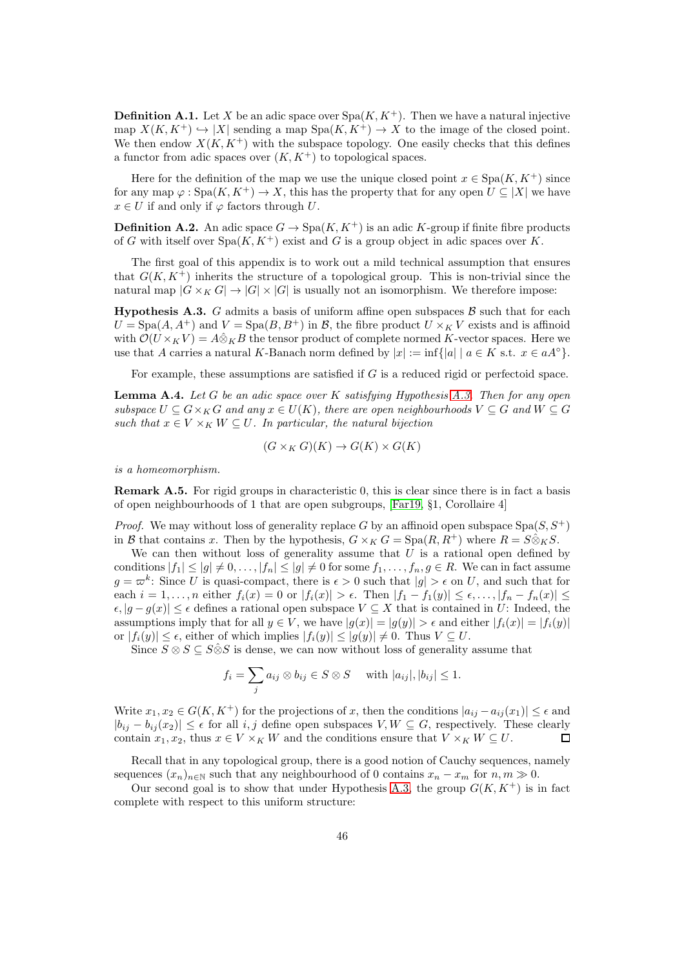**Definition A.1.** Let X be an adic space over  $Spa(K, K^+)$ . Then we have a natural injective map  $X(K, K^+) \hookrightarrow |X|$  sending a map  $Spa(K, K^+) \to X$  to the image of the closed point. We then endow  $X(K, K^+)$  with the subspace topology. One easily checks that this defines a functor from adic spaces over  $(K, K<sup>+</sup>)$  to topological spaces.

Here for the definition of the map we use the unique closed point  $x \in \text{Spa}(K, K^+)$  since for any map  $\varphi : \text{Spa}(K, K^+) \to X$ , this has the property that for any open  $U \subseteq |X|$  we have  $x \in U$  if and only if  $\varphi$  factors through U.

**Definition A.2.** An adic space  $G \to \text{Spa}(K, K^+)$  is an adic K-group if finite fibre products of G with itself over  $Spa(K, K^+)$  exist and G is a group object in adic spaces over K.

The first goal of this appendix is to work out a mild technical assumption that ensures that  $G(K, K^+)$  inherits the structure of a topological group. This is non-trivial since the natural map  $|G \times_K G| \to |G| \times |G|$  is usually not an isomorphism. We therefore impose:

<span id="page-45-0"></span>**Hypothesis A.3.** G admits a basis of uniform affine open subspaces  $\beta$  such that for each  $U = \text{Spa}(A, A^+)$  and  $V = \text{Spa}(B, B^+)$  in B, the fibre product  $U \times_K V$  exists and is affinoid with  $\mathcal{O}(U \times_K V) = A \hat{\otimes}_K B$  the tensor product of complete normed K-vector spaces. Here we use that A carries a natural K-Banach norm defined by  $|x| := \inf\{|a| \mid a \in K \text{ s.t. } x \in aA^{\circ}\}.$ 

For example, these assumptions are satisfied if G is a reduced rigid or perfectoid space.

<span id="page-45-1"></span>**Lemma A.4.** Let G be an adic space over K satisfying Hypothesis [A.3.](#page-45-0) Then for any open subspace  $U \subseteq G \times_K G$  and any  $x \in U(K)$ , there are open neighbourhoods  $V \subseteq G$  and  $W \subseteq G$ such that  $x \in V \times_K W \subseteq U$ . In particular, the natural bijection

$$
(G \times_K G)(K) \to G(K) \times G(K)
$$

is a homeomorphism.

**Remark A.5.** For rigid groups in characteristic 0, this is clear since there is in fact a basis of open neighbourhoods of 1 that are open subgroups, [\[Far19,](#page-51-9) §1, Corollaire 4]

*Proof.* We may without loss of generality replace G by an affinoid open subspace  $Spa(S, S^+)$ in B that contains x. Then by the hypothesis,  $G \times_K G = \text{Spa}(R, R^+)$  where  $R = S \hat{\otimes}_K S$ .

We can then without loss of generality assume that  $U$  is a rational open defined by conditions  $|f_1| \le |g| \ne 0, \ldots, |f_n| \le |g| \ne 0$  for some  $f_1, \ldots, f_n, g \in R$ . We can in fact assume  $g = \varpi^k$ : Since U is quasi-compact, there is  $\epsilon > 0$  such that  $|g| > \epsilon$  on U, and such that for each  $i = 1, ..., n$  either  $f_i(x) = 0$  or  $|f_i(x)| > \epsilon$ . Then  $|f_1 - f_1(y)| \leq \epsilon, ..., |f_n - f_n(x)| \leq$  $\epsilon, |g - g(x)| \leq \epsilon$  defines a rational open subspace  $V \subseteq X$  that is contained in U: Indeed, the assumptions imply that for all  $y \in V$ , we have  $|g(x)| = |g(y)| > \epsilon$  and either  $|f_i(x)| = |f_i(y)|$ or  $|f_i(y)| \leq \epsilon$ , either of which implies  $|f_i(y)| \leq |g(y)| \neq 0$ . Thus  $V \subseteq U$ .

Since  $S \otimes S \subseteq S \hat{\otimes} S$  is dense, we can now without loss of generality assume that

$$
f_i = \sum_j a_{ij} \otimes b_{ij} \in S \otimes S \quad \text{ with } |a_{ij}|, |b_{ij}| \leq 1.
$$

Write  $x_1, x_2 \in G(K, K^+)$  for the projections of x, then the conditions  $|a_{ij} - a_{ij}(x_1)| \leq \epsilon$  and  $|b_{ij} - b_{ij}(x_2)| \leq \epsilon$  for all i, j define open subspaces  $V, W \subseteq G$ , respectively. These clearly contain  $x_1, x_2$ , thus  $x \in V \times_K W$  and the conditions ensure that  $V \times_K W \subseteq U$ . П

Recall that in any topological group, there is a good notion of Cauchy sequences, namely sequences  $(x_n)_{n\in\mathbb{N}}$  such that any neighbourhood of 0 contains  $x_n - x_m$  for  $n, m \gg 0$ .

Our second goal is to show that under Hypothesis [A.3,](#page-45-0) the group  $G(K, K^+)$  is in fact complete with respect to this uniform structure: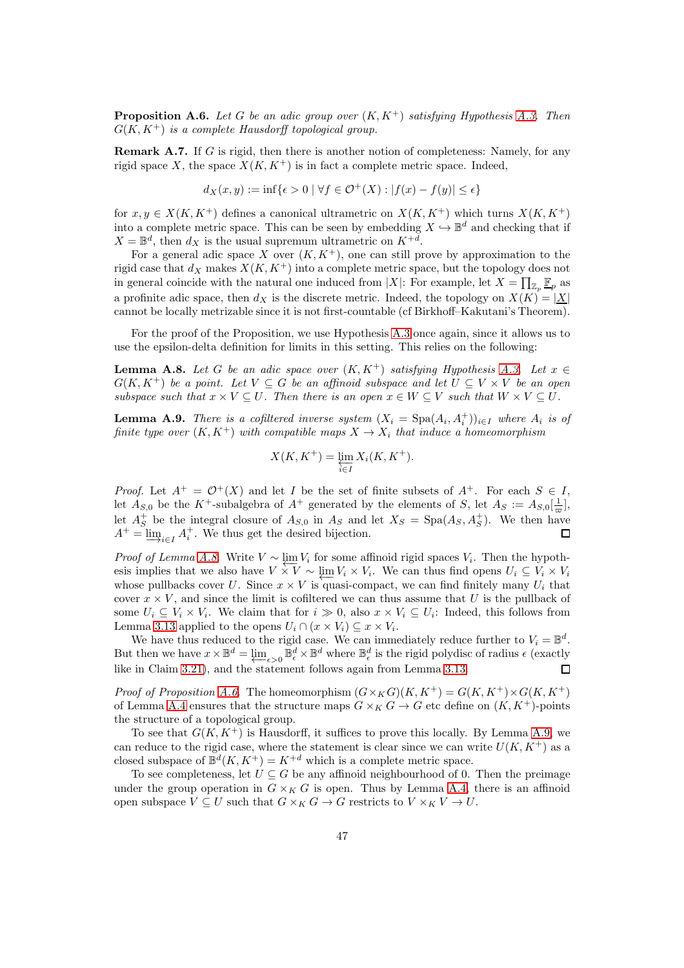<span id="page-46-0"></span>**Proposition A.6.** Let G be an adic group over  $(K, K^+)$  satisfying Hypothesis [A.3.](#page-45-0) Then  $G(K, K^+)$  is a complete Hausdorff topological group.

**Remark A.7.** If G is rigid, then there is another notion of completeness: Namely, for any rigid space X, the space  $X(K, K^+)$  is in fact a complete metric space. Indeed,

$$
d_X(x, y) := \inf\{\epsilon > 0 \mid \forall f \in \mathcal{O}^+(X) : |f(x) - f(y)| \le \epsilon\}
$$

for  $x, y \in X(K, K^+)$  defines a canonical ultrametric on  $X(K, K^+)$  which turns  $X(K, K^+)$ into a complete metric space. This can be seen by embedding  $X \hookrightarrow \mathbb{B}^d$  and checking that if  $X = \mathbb{B}^d$ , then  $d_X$  is the usual supremum ultrametric on  $K^{+d}$ .

For a general adic space X over  $(K, K^+)$ , one can still prove by approximation to the rigid case that  $d_X$  makes  $X(K, K^+)$  into a complete metric space, but the topology does not in general coincide with the natural one induced from |X|: For example, let  $X = \prod_{\mathbb{Z}_p} \mathbb{F}_p$  as a profinite adic space, then  $d_X$  is the discrete metric. Indeed, the topology on  $X(K) = |X|$ cannot be locally metrizable since it is not first-countable (cf Birkhoff–Kakutani's Theorem).

For the proof of the Proposition, we use Hypothesis [A.3](#page-45-0) once again, since it allows us to use the epsilon-delta definition for limits in this setting. This relies on the following:

<span id="page-46-1"></span>**Lemma A.8.** Let G be an adic space over  $(K, K^+)$  satisfying Hypothesis [A.3.](#page-45-0) Let  $x \in$  $G(K, K^+)$  be a point. Let  $V \subseteq G$  be an affinoid subspace and let  $U \subseteq V \times V$  be an open subspace such that  $x \times V \subseteq U$ . Then there is an open  $x \in W \subseteq V$  such that  $W \times V \subseteq U$ .

<span id="page-46-2"></span>**Lemma A.9.** There is a cofiltered inverse system  $(X_i = \text{Spa}(A_i, A_i^+))_{i \in I}$  where  $A_i$  is of finite type over  $(K, K^+)$  with compatible maps  $X \to X_i$  that induce a homeomorphism

$$
X(K,K^+) = \varprojlim_{i \in I} X_i(K,K^+).
$$

*Proof.* Let  $A^+ = \mathcal{O}^+(X)$  and let I be the set of finite subsets of  $A^+$ . For each  $S \in I$ , let  $A_{S,0}$  be the K<sup>+</sup>-subalgebra of  $A^+$  generated by the elements of S, let  $A_S := A_{S,0}[\frac{1}{\varpi}],$ let  $A_S^+$  be the integral closure of  $A_{S,0}$  in  $A_S$  and let  $X_S = \text{Spa}(A_S, A_S^+)$ . We then have  $A^+ = \underline{\lim}_{i \in I} A_i^+$ . We thus get the desired bijection.  $\Box$ 

*Proof of Lemma [A.8.](#page-46-1)* Write  $V \sim \lim_{i} V_i$  for some affinoid rigid spaces  $V_i$ . Then the hypoth- $\overline{V}$  roof of Behina A.o. Write  $V \propto \lim_{i} V_i$  for some annion right spaces  $V_i$ . Then the hypothesis implies that we also have  $V \times V \sim \lim_{i} V_i \times V_i$ . We can thus find opens  $U_i \subseteq V_i \times V_i$ whose pullbacks cover U. Since  $x \times V$  is quasi-compact, we can find finitely many  $U_i$  that whose pullbacks cover U. Since  $x \times V$  is quasi-compact, we can find finitely many  $U_i$  that cover  $x \times V$ , and since the limit is cofiltered we can thus assume that U is the pullback of some  $U_i \subseteq V_i \times V_i$ . We claim that for  $i \gg 0$ , also  $x \times V_i \subseteq U_i$ : Indeed, this follows from Lemma [3.13](#page-18-1) applied to the opens  $U_i \cap (x \times V_i) \subseteq x \times V_i$ .

We have thus reduced to the rigid case. We can immediately reduce further to  $V_i = \mathbb{B}^d$ . But then we have  $x \times \mathbb{B}^d = \varprojlim_{\epsilon > 0} \mathbb{B}^d_{\epsilon} \times \mathbb{B}^d$  where  $\mathbb{B}^d_{\epsilon}$  is the rigid polydisc of radius  $\epsilon$  (exactly like in Claim [3.21\)](#page-21-1), and the statement follows again from Lemma [3.13.](#page-18-1)  $\Box$ 

*Proof of Proposition [A.6.](#page-46-0)* The homeomorphism  $(G \times_K G)(K, K^+) = G(K, K^+) \times G(K, K^+)$ of Lemma [A.4](#page-45-1) ensures that the structure maps  $G \times_K G \to G$  etc define on  $(K, K^+)$ -points the structure of a topological group.

To see that  $G(K, K^+)$  is Hausdorff, it suffices to prove this locally. By Lemma [A.9,](#page-46-2) we can reduce to the rigid case, where the statement is clear since we can write  $U(K, K^+)$  as a closed subspace of  $\mathbb{B}^d(K, K^+) = K^{+d}$  which is a complete metric space.

To see completeness, let  $U \subseteq G$  be any affinoid neighbourhood of 0. Then the preimage under the group operation in  $G \times_K G$  is open. Thus by Lemma [A.4,](#page-45-1) there is an affinoid open subspace  $V \subseteq U$  such that  $G \times_K G \to G$  restricts to  $V \times_K V \to U$ .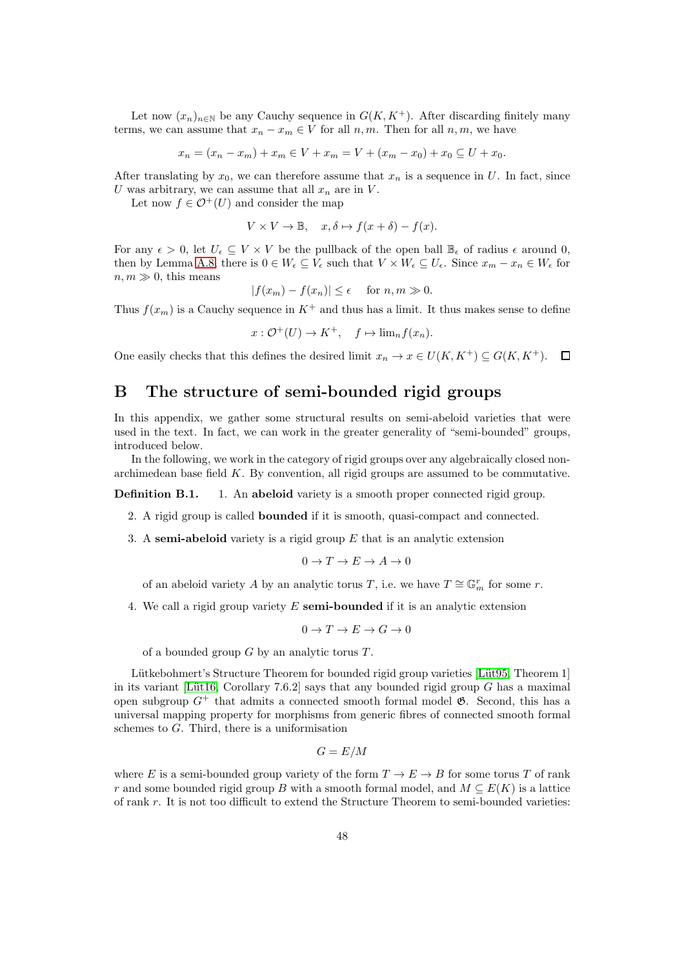Let now  $(x_n)_{n\in\mathbb{N}}$  be any Cauchy sequence in  $G(K, K^+)$ . After discarding finitely many terms, we can assume that  $x_n - x_m \in V$  for all  $n, m$ . Then for all  $n, m$ , we have

$$
x_n = (x_n - x_m) + x_m \in V + x_m = V + (x_m - x_0) + x_0 \subseteq U + x_0.
$$

After translating by  $x_0$ , we can therefore assume that  $x_n$  is a sequence in U. In fact, since U was arbitrary, we can assume that all  $x_n$  are in V.

Let now  $f \in \mathcal{O}^+(U)$  and consider the map

$$
V \times V \to \mathbb{B}, \quad x, \delta \mapsto f(x + \delta) - f(x).
$$

For any  $\epsilon > 0$ , let  $U_{\epsilon} \subseteq V \times V$  be the pullback of the open ball  $\mathbb{B}_{\epsilon}$  of radius  $\epsilon$  around 0, then by Lemma [A.8,](#page-46-1) there is  $0 \in W_{\epsilon} \subseteq V_{\epsilon}$  such that  $V \times W_{\epsilon} \subseteq U_{\epsilon}$ . Since  $x_m - x_n \in W_{\epsilon}$  for  $n, m \gg 0$ , this means

$$
|f(x_m) - f(x_n)| \le \epsilon \quad \text{ for } n, m \gg 0.
$$

Thus  $f(x_m)$  is a Cauchy sequence in  $K^+$  and thus has a limit. It thus makes sense to define

$$
x: \mathcal{O}^+(U) \to K^+, \quad f \mapsto \lim_n f(x_n).
$$

One easily checks that this defines the desired limit  $x_n \to x \in U(K, K^+) \subseteq G(K, K^+)$ .  $\Box$ 

# <span id="page-47-0"></span>B The structure of semi-bounded rigid groups

In this appendix, we gather some structural results on semi-abeloid varieties that were used in the text. In fact, we can work in the greater generality of "semi-bounded" groups, introduced below.

In the following, we work in the category of rigid groups over any algebraically closed nonarchimedean base field  $K$ . By convention, all rigid groups are assumed to be commutative.

**Definition B.1.** 1. An abeloid variety is a smooth proper connected rigid group.

- 2. A rigid group is called bounded if it is smooth, quasi-compact and connected.
- 3. A semi-abeloid variety is a rigid group  $E$  that is an analytic extension

$$
0 \to T \to E \to A \to 0
$$

of an abeloid variety A by an analytic torus T, i.e. we have  $T \cong \mathbb{G}_m^r$  for some r.

4. We call a rigid group variety  $E$  semi-bounded if it is an analytic extension

$$
0\to T\to E\to G\to 0
$$

of a bounded group  $G$  by an analytic torus  $T$ .

Lütkebohmert's Structure Theorem for bounded rigid group varieties [Lüt95, Theorem 1] in its variant [Lüt16, Corollary 7.6.2] says that any bounded rigid group  $G$  has a maximal open subgroup  $G^+$  that admits a connected smooth formal model  $\mathfrak{G}$ . Second, this has a universal mapping property for morphisms from generic fibres of connected smooth formal schemes to G. Third, there is a uniformisation

$$
G=E/M
$$

where E is a semi-bounded group variety of the form  $T \to E \to B$  for some torus T of rank r and some bounded rigid group B with a smooth formal model, and  $M \subseteq E(K)$  is a lattice of rank r. It is not too difficult to extend the Structure Theorem to semi-bounded varieties: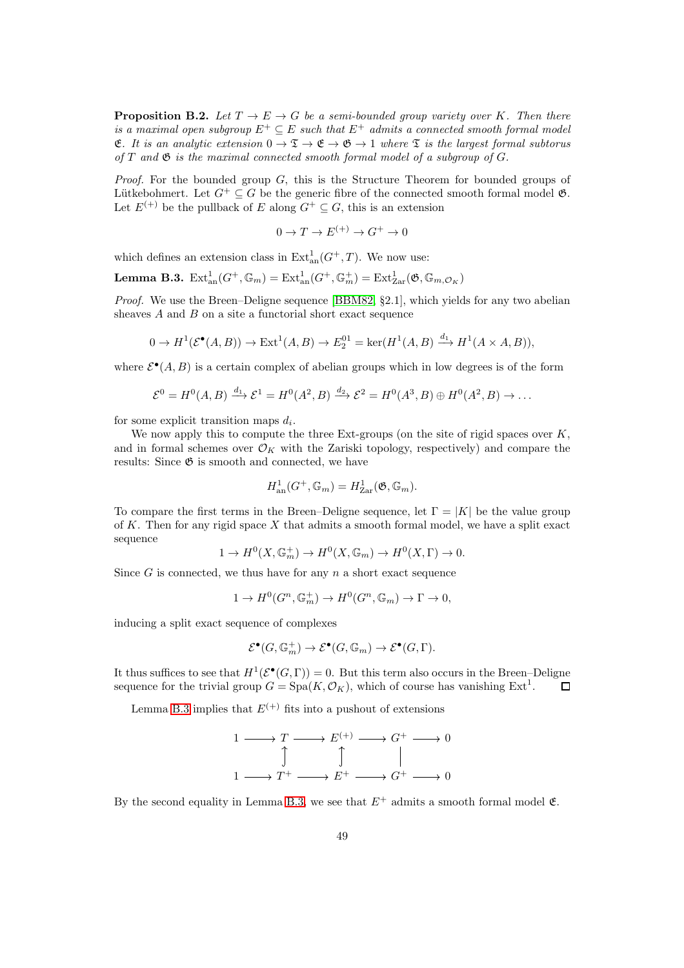**Proposition B.2.** Let  $T \to E \to G$  be a semi-bounded group variety over K. Then there is a maximal open subgroup  $E^+ \subseteq E$  such that  $E^+$  admits a connected smooth formal model **E.** It is an analytic extension  $0 \to \mathfrak{T} \to \mathfrak{E} \to \mathfrak{G} \to 1$  where  $\mathfrak{T}$  is the largest formal subtorus of  $T$  and  $\mathfrak G$  is the maximal connected smooth formal model of a subgroup of  $G$ .

*Proof.* For the bounded group  $G$ , this is the Structure Theorem for bounded groups of Lütkebohmert. Let  $G^+ \subseteq G$  be the generic fibre of the connected smooth formal model  $\mathfrak{G}$ . Let  $E^{(+)}$  be the pullback of E along  $G^+ \subseteq G$ , this is an extension

$$
0 \to T \to E^{(+)} \to G^+ \to 0
$$

which defines an extension class in  $\text{Ext}^1_{\text{an}}(G^+, T)$ . We now use:

<span id="page-48-0"></span>**Lemma B.3.**  $\text{Ext}^1_{\text{an}}(G^+, \mathbb{G}_m) = \text{Ext}^1_{\text{an}}(G^+, \mathbb{G}_m^+) = \text{Ext}^1_{\text{Zar}}(\mathfrak{G}, \mathbb{G}_{m, \mathcal{O}_K})$ 

Proof. We use the Breen–Deligne sequence [\[BBM82,](#page-51-19) §2.1], which yields for any two abelian sheaves  $A$  and  $B$  on a site a functorial short exact sequence

$$
0 \to H^1(\mathcal{E}^\bullet(A, B)) \to \text{Ext}^1(A, B) \to E_2^{01} = \ker(H^1(A, B) \xrightarrow{d_1} H^1(A \times A, B)),
$$

where  $\mathcal{E}^{\bullet}(A, B)$  is a certain complex of abelian groups which in low degrees is of the form

$$
\mathcal{E}^0 = H^0(A, B) \xrightarrow{d_1} \mathcal{E}^1 = H^0(A^2, B) \xrightarrow{d_2} \mathcal{E}^2 = H^0(A^3, B) \oplus H^0(A^2, B) \to \dots
$$

for some explicit transition maps  $d_i$ .

We now apply this to compute the three Ext-groups (on the site of rigid spaces over  $K$ , and in formal schemes over  $\mathcal{O}_K$  with the Zariski topology, respectively) and compare the results: Since  $\mathfrak G$  is smooth and connected, we have

$$
H_{\mathrm{an}}^1(G^+,\mathbb{G}_m)=H_{\mathrm{Zar}}^1(\mathfrak{G},\mathbb{G}_m).
$$

To compare the first terms in the Breen–Deligne sequence, let  $\Gamma = |K|$  be the value group of K. Then for any rigid space X that admits a smooth formal model, we have a split exact sequence

$$
1 \to H^0(X, \mathbb{G}_m^+) \to H^0(X, \mathbb{G}_m) \to H^0(X, \Gamma) \to 0.
$$

Since G is connected, we thus have for any  $n$  a short exact sequence

$$
1 \to H^0(G^n, \mathbb{G}_m^+) \to H^0(G^n, \mathbb{G}_m) \to \Gamma \to 0,
$$

inducing a split exact sequence of complexes

$$
\mathcal{E}^\bullet(G,\mathbb{G}_m^+) \to \mathcal{E}^\bullet(G,\mathbb{G}_m) \to \mathcal{E}^\bullet(G,\Gamma).
$$

It thus suffices to see that  $H^1(\mathcal{E}^\bullet(G,\Gamma)) = 0$ . But this term also occurs in the Breen–Deligne sequence for the trivial group  $G = \text{Spa}(K, \mathcal{O}_K)$ , which of course has vanishing  $\text{Ext}^1$ .  $\Box$ 

Lemma [B.3](#page-48-0) implies that  $E^{(+)}$  fits into a pushout of extensions

$$
\begin{array}{ccc}\n1 & \longrightarrow & T \longrightarrow E^{(+)} \longrightarrow & G^{+} \longrightarrow & 0 \\
\uparrow & & \uparrow & & \parallel \\
1 & \longrightarrow & T^{+} \longrightarrow & E^{+} \longrightarrow & G^{+} \longrightarrow & 0\n\end{array}
$$

By the second equality in Lemma [B.3,](#page-48-0) we see that  $E^+$  admits a smooth formal model  $\mathfrak{E}$ .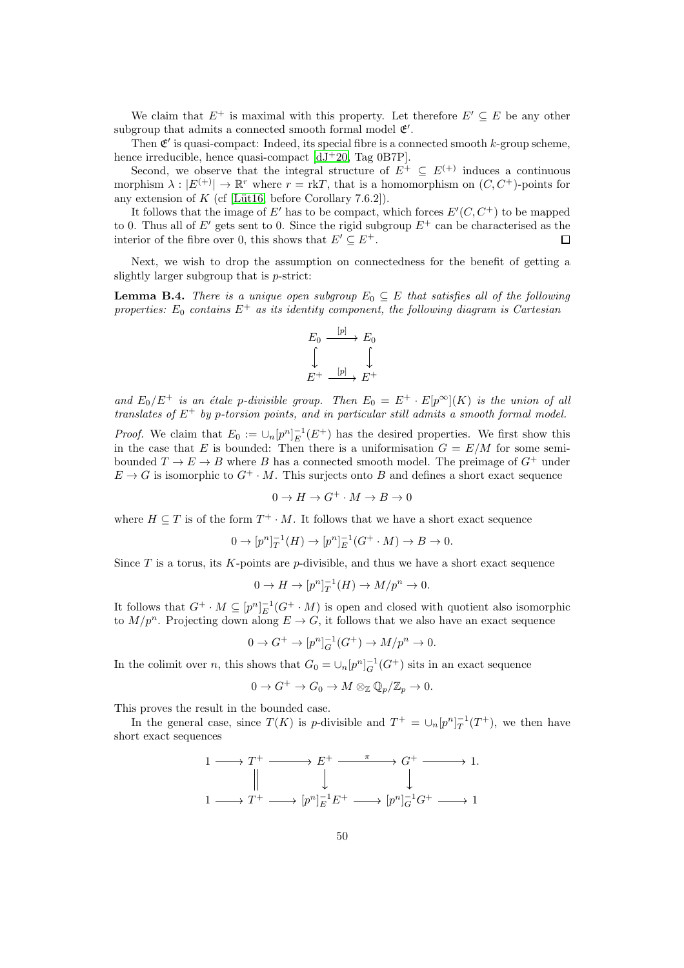We claim that  $E^+$  is maximal with this property. Let therefore  $E' \subseteq E$  be any other subgroup that admits a connected smooth formal model  $\mathfrak{E}'.$ 

Then  $\mathfrak{E}'$  is quasi-compact: Indeed, its special fibre is a connected smooth k-group scheme, hence irreducible, hence quasi-compact [\[dJ](#page-51-12)<sup>+</sup>20, Tag 0B7P].

Second, we observe that the integral structure of  $E^+ \subseteq E^{(+)}$  induces a continuous morphism  $\lambda : |E^{(+)}| \to \mathbb{R}^r$  where  $r = \text{rk}T$ , that is a homomorphism on  $(C, C^+)$ -points for any extension of K (cf [Lüt16, before Corollary 7.6.2]).

It follows that the image of E' has to be compact, which forces  $E'(C, C^+)$  to be mapped to 0. Thus all of E' gets sent to 0. Since the rigid subgroup  $E^+$  can be characterised as the interior of the fibre over 0, this shows that  $E' \subseteq E^+$ .  $\Box$ 

Next, we wish to drop the assumption on connectedness for the benefit of getting a slightly larger subgroup that is p-strict:

<span id="page-49-0"></span>**Lemma B.4.** There is a unique open subgroup  $E_0 \subseteq E$  that satisfies all of the following properties:  $E_0$  contains  $E^+$  as its identity component, the following diagram is Cartesian

$$
E_0 \xrightarrow{[p]} E_0
$$
  

$$
\downarrow \qquad \qquad \downarrow
$$
  

$$
E^+ \xrightarrow{[p]} E^+
$$

and  $E_0/E^+$  is an étale p-divisible group. Then  $E_0 = E^+ \cdot E[p^\infty](K)$  is the union of all translates of  $E^+$  by p-torsion points, and in particular still admits a smooth formal model.

*Proof.* We claim that  $E_0 := \cup_n [p^n]_E^{-1}(E^+)$  has the desired properties. We first show this in the case that E is bounded: Then there is a uniformisation  $G = E/M$  for some semibounded  $T \to E \to B$  where B has a connected smooth model. The preimage of  $G^+$  under  $E \to G$  is isomorphic to  $G^+ \cdot M$ . This surjects onto B and defines a short exact sequence

$$
0 \to H \to G^+ \cdot M \to B \to 0
$$

where  $H \subseteq T$  is of the form  $T^+ \cdot M$ . It follows that we have a short exact sequence

$$
0 \to [p^n]_T^{-1}(H) \to [p^n]_E^{-1}(G^+ \cdot M) \to B \to 0.
$$

Since  $T$  is a torus, its  $K$ -points are  $p$ -divisible, and thus we have a short exact sequence

$$
0 \to H \to [p^n]_T^{-1}(H) \to M/p^n \to 0.
$$

It follows that  $G^+ \cdot M \subseteq [p^n]_E^{-1}(G^+ \cdot M)$  is open and closed with quotient also isomorphic to  $M/p^n$ . Projecting down along  $E \to G$ , it follows that we also have an exact sequence

$$
0 \to G^+ \to [p^n]_G^{-1}(G^+) \to M/p^n \to 0.
$$

In the colimit over *n*, this shows that  $G_0 = \bigcup_n [p^n]_G^{-1}(G^+)$  sits in an exact sequence

$$
0 \to G^+ \to G_0 \to M \otimes_{\mathbb{Z}} \mathbb{Q}_p/\mathbb{Z}_p \to 0.
$$

This proves the result in the bounded case.

In the general case, since  $T(K)$  is p-divisible and  $T^+ = \bigcup_n [p^n]_T^{-1}(T^+)$ , we then have short exact sequences

$$
\begin{array}{ccc}\n1 & \longrightarrow & T^+ & \xrightarrow{\hspace{2mm}} & E^+ & \xrightarrow{\pi} & G^+ & \xrightarrow{\hspace{2mm}} & 1. \\
\parallel & & \downarrow & & \downarrow & & \downarrow \\
1 & \longrightarrow & T^+ & \longrightarrow & [p^n]_E^{-1} E^+ & \longrightarrow & [p^n]_G^{-1} G^+ & \xrightarrow{\hspace{2mm}} & 1\n\end{array}
$$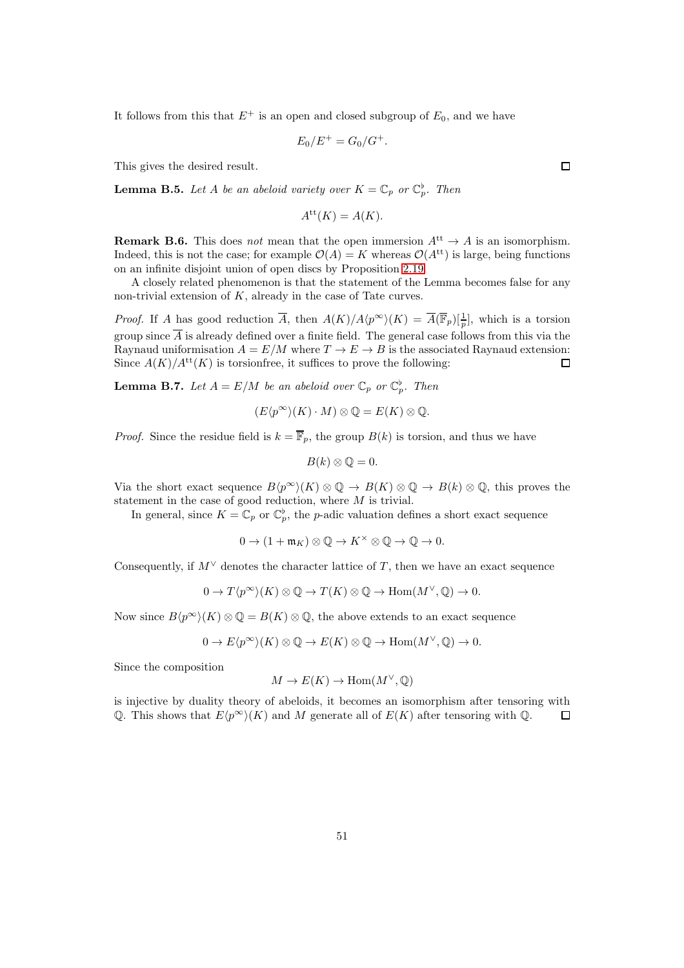It follows from this that  $E^+$  is an open and closed subgroup of  $E_0$ , and we have

$$
E_0/E^+ = G_0/G^+.
$$

This gives the desired result.

<span id="page-50-0"></span>**Lemma B.5.** Let A be an abeloid variety over  $K = \mathbb{C}_p$  or  $\mathbb{C}_p^{\flat}$ . Then

$$
A^{\mathrm{tt}}(K) = A(K).
$$

**Remark B.6.** This does not mean that the open immersion  $A<sup>tt</sup> \to A$  is an isomorphism. Indeed, this is not the case; for example  $\mathcal{O}(A) = K$  whereas  $\mathcal{O}(A^{tt})$  is large, being functions on an infinite disjoint union of open discs by Proposition [2.19.](#page-10-0)

A closely related phenomenon is that the statement of the Lemma becomes false for any non-trivial extension of  $K$ , already in the case of Tate curves.

*Proof.* If A has good reduction  $\overline{A}$ , then  $A(K)/A(p^{\infty})(K) = \overline{A(\mathbb{F}_p)}\left[\frac{1}{p}\right]$ , which is a torsion group since  $\overline{A}$  is already defined over a finite field. The general case follows from this via the Raynaud uniformisation  $A = E/M$  where  $T \to E \to B$  is the associated Raynaud extension: Since  $A(K)/A^{tt}(K)$  is torsionfree, it suffices to prove the following: 口

**Lemma B.7.** Let  $A = E/M$  be an abeloid over  $\mathbb{C}_p$  or  $\mathbb{C}_p^{\flat}$ . Then

$$
(E\langle p^{\infty}\rangle(K)\cdot M)\otimes \mathbb{Q}=E(K)\otimes \mathbb{Q}.
$$

*Proof.* Since the residue field is  $k = \overline{\mathbb{F}}_p$ , the group  $B(k)$  is torsion, and thus we have

$$
B(k)\otimes \mathbb{Q}=0.
$$

Via the short exact sequence  $B\langle p^{\infty} \rangle(K) \otimes \mathbb{Q} \to B(K) \otimes \mathbb{Q} \to B(k) \otimes \mathbb{Q}$ , this proves the statement in the case of good reduction, where M is trivial.

In general, since  $K = \mathbb{C}_p$  or  $\mathbb{C}_p^{\flat}$ , the *p*-adic valuation defines a short exact sequence

 $0 \to (1 + \mathfrak{m}_K) \otimes \mathbb{O} \to K^\times \otimes \mathbb{O} \to \mathbb{O} \to 0.$ 

Consequently, if  $M^{\vee}$  denotes the character lattice of T, then we have an exact sequence

$$
0 \to T\langle p^{\infty} \rangle(K) \otimes \mathbb{Q} \to T(K) \otimes \mathbb{Q} \to \text{Hom}(M^{\vee}, \mathbb{Q}) \to 0.
$$

Now since  $B\langle p^{\infty}\rangle(K) \otimes \mathbb{Q} = B(K) \otimes \mathbb{Q}$ , the above extends to an exact sequence

 $0 \to E\langle p^{\infty} \rangle(K) \otimes \mathbb{Q} \to E(K) \otimes \mathbb{Q} \to \text{Hom}(M^{\vee}, \mathbb{Q}) \to 0.$ 

Since the composition

$$
M \to E(K) \to \text{Hom}(M^{\vee}, \mathbb{Q})
$$

is injective by duality theory of abeloids, it becomes an isomorphism after tensoring with Q. This shows that  $E\langle p^{\infty}\rangle(K)$  and M generate all of  $E(K)$  after tensoring with Q.  $\Box$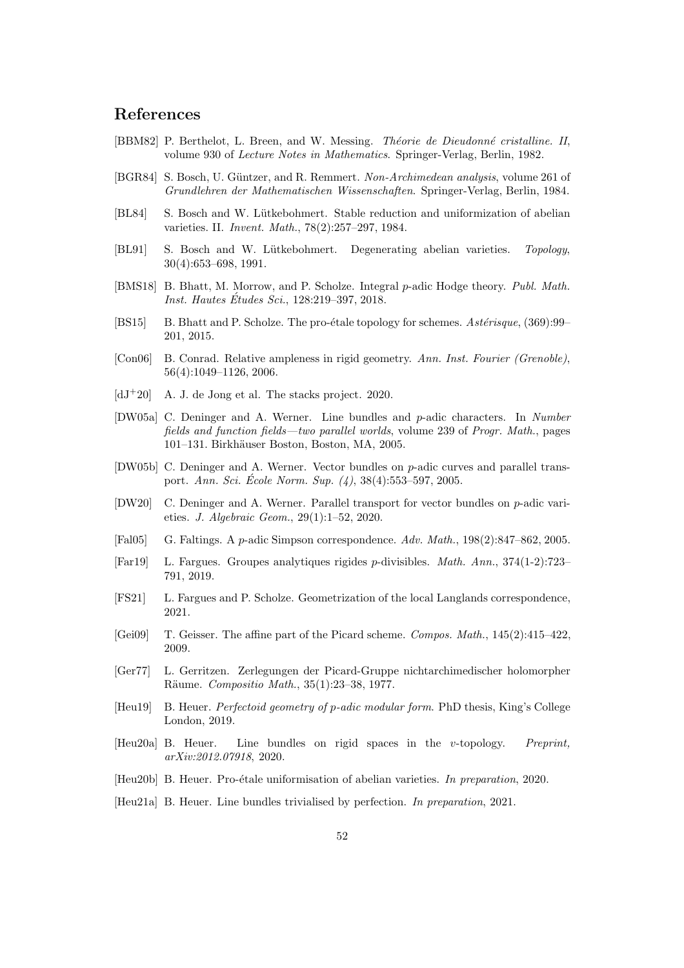## References

- <span id="page-51-19"></span>[BBM82] P. Berthelot, L. Breen, and W. Messing. *Théorie de Dieudonné cristalline. II*, volume 930 of Lecture Notes in Mathematics. Springer-Verlag, Berlin, 1982.
- <span id="page-51-13"></span>[BGR84] S. Bosch, U. Güntzer, and R. Remmert. Non-Archimedean analysis, volume 261 of Grundlehren der Mathematischen Wissenschaften. Springer-Verlag, Berlin, 1984.
- <span id="page-51-1"></span>[BL84] S. Bosch and W. Lütkebohmert. Stable reduction and uniformization of abelian varieties. II. Invent. Math., 78(2):257–297, 1984.
- <span id="page-51-3"></span>[BL91] S. Bosch and W. Lütkebohmert. Degenerating abelian varieties. Topology, 30(4):653–698, 1991.
- <span id="page-51-16"></span>[BMS18] B. Bhatt, M. Morrow, and P. Scholze. Integral p-adic Hodge theory. Publ. Math. *Inst. Hautes Études Sci.*,  $128:219-397, 2018.$
- <span id="page-51-18"></span>[BS15] B. Bhatt and P. Scholze. The pro-etale topology for schemes. Asterisque,  $(369):99-$ 201, 2015.
- <span id="page-51-2"></span>[Con06] B. Conrad. Relative ampleness in rigid geometry. Ann. Inst. Fourier (Grenoble), 56(4):1049–1126, 2006.
- <span id="page-51-12"></span> $[dJ+20]$  A. J. de Jong et al. The stacks project. 2020.
- <span id="page-51-7"></span>[DW05a] C. Deninger and A. Werner. Line bundles and p-adic characters. In Number fields and function fields—two parallel worlds, volume 239 of Progr. Math., pages 101–131. Birkhäuser Boston, Boston, MA, 2005.
- <span id="page-51-8"></span>[DW05b] C. Deninger and A. Werner. Vector bundles on p-adic curves and parallel transport. Ann. Sci. École Norm. Sup.  $(4)$ , 38 $(4)$ :553–597, 2005.
- <span id="page-51-6"></span>[DW20] C. Deninger and A. Werner. Parallel transport for vector bundles on p-adic varieties. J. Algebraic Geom., 29(1):1–52, 2020.
- <span id="page-51-5"></span>[Fal05] G. Faltings. A p-adic Simpson correspondence. Adv. Math., 198(2):847–862, 2005.
- <span id="page-51-9"></span>[Far19] L. Fargues. Groupes analytiques rigides p-divisibles. Math. Ann., 374(1-2):723– 791, 2019.
- <span id="page-51-11"></span>[FS21] L. Fargues and P. Scholze. Geometrization of the local Langlands correspondence, 2021.
- <span id="page-51-17"></span>[Gei09] T. Geisser. The affine part of the Picard scheme. Compos. Math., 145(2):415–422, 2009.
- <span id="page-51-0"></span>[Ger77] L. Gerritzen. Zerlegungen der Picard-Gruppe nichtarchimedischer holomorpher Räume. Compositio Math., 35(1):23-38, 1977.
- <span id="page-51-14"></span>[Heu19] B. Heuer. Perfectoid geometry of p-adic modular form. PhD thesis, King's College London, 2019.
- <span id="page-51-4"></span>[Heu20a] B. Heuer. Line bundles on rigid spaces in the v-topology. Preprint, arXiv:2012.07918, 2020.
- <span id="page-51-10"></span>[Heu20b] B. Heuer. Pro-étale uniformisation of abelian varieties. In preparation, 2020.
- <span id="page-51-15"></span>[Heu21a] B. Heuer. Line bundles trivialised by perfection. In preparation, 2021.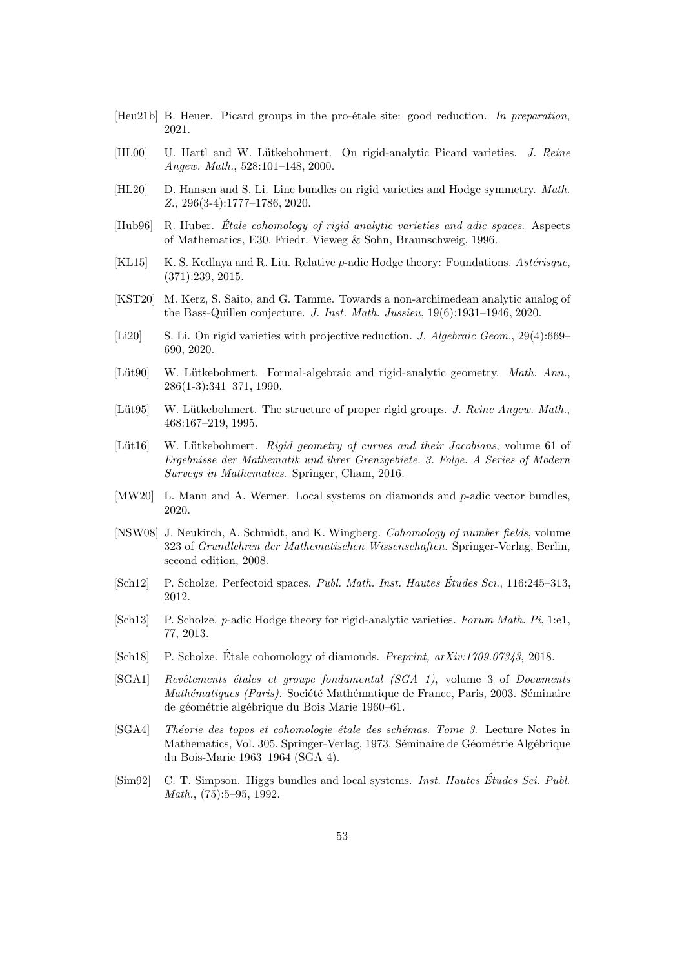- <span id="page-52-15"></span>[Heu21b] B. Heuer. Picard groups in the pro-étale site: good reduction. In preparation, 2021.
- <span id="page-52-0"></span>[HL00] U. Hartl and W. Lütkebohmert. On rigid-analytic Picard varieties. J. Reine Angew. Math., 528:101–148, 2000.
- <span id="page-52-17"></span>[HL20] D. Hansen and S. Li. Line bundles on rigid varieties and Hodge symmetry. Math. Z., 296(3-4):1777–1786, 2020.
- <span id="page-52-10"></span> $[Hub96]$  R. Huber. *Étale cohomology of rigid analytic varieties and adic spaces.* Aspects of Mathematics, E30. Friedr. Vieweg & Sohn, Braunschweig, 1996.
- <span id="page-52-12"></span>[KL15] K. S. Kedlaya and R. Liu. Relative p-adic Hodge theory: Foundations. Astérisque, (371):239, 2015.
- <span id="page-52-2"></span>[KST20] M. Kerz, S. Saito, and G. Tamme. Towards a non-archimedean analytic analog of the Bass-Quillen conjecture. J. Inst. Math. Jussieu, 19(6):1931–1946, 2020.
- <span id="page-52-3"></span>[Li20] S. Li. On rigid varieties with projective reduction. *J. Algebraic Geom.*, 29(4):669– 690, 2020.
- <span id="page-52-6"></span>[Lüt90] W. Lütkebohmert. Formal-algebraic and rigid-analytic geometry. Math. Ann., 286(1-3):341–371, 1990.
- <span id="page-52-8"></span>[Lüt95] W. Lütkebohmert. The structure of proper rigid groups. J. Reine Angew. Math., 468:167–219, 1995.
- <span id="page-52-1"></span>[Lüt16] W. Lütkebohmert. Rigid geometry of curves and their Jacobians, volume 61 of Ergebnisse der Mathematik und ihrer Grenzgebiete. 3. Folge. A Series of Modern Surveys in Mathematics. Springer, Cham, 2016.
- <span id="page-52-14"></span>[MW20] L. Mann and A. Werner. Local systems on diamonds and p-adic vector bundles, 2020.
- <span id="page-52-13"></span>[NSW08] J. Neukirch, A. Schmidt, and K. Wingberg. Cohomology of number fields, volume 323 of Grundlehren der Mathematischen Wissenschaften. Springer-Verlag, Berlin, second edition, 2008.
- <span id="page-52-9"></span>[Sch12] P. Scholze. Perfectoid spaces. Publ. Math. Inst. Hautes Études Sci., 116:245–313, 2012.
- <span id="page-52-4"></span>[Sch13] P. Scholze. p-adic Hodge theory for rigid-analytic varieties. Forum Math. Pi, 1:e1, 77, 2013.
- <span id="page-52-5"></span>[Sch18] P. Scholze. Étale cohomology of diamonds. *Preprint, arXiv:1709.07343*, 2018.
- <span id="page-52-16"></span>[SGA1] Revêtements étales et groupe fondamental (SGA 1), volume 3 of Documents Mathématiques (Paris). Société Mathématique de France, Paris, 2003. Séminaire de géométrie algébrique du Bois Marie 1960–61.
- <span id="page-52-11"></span>[SGA4] Théorie des topos et cohomologie étale des schémas. Tome 3. Lecture Notes in Mathematics, Vol. 305. Springer-Verlag, 1973. Séminaire de Géométrie Algébrique du Bois-Marie 1963–1964 (SGA 4).
- <span id="page-52-7"></span>[Sim92] C. T. Simpson. Higgs bundles and local systems. *Inst. Hautes Études Sci. Publ.* Math., (75):5–95, 1992.